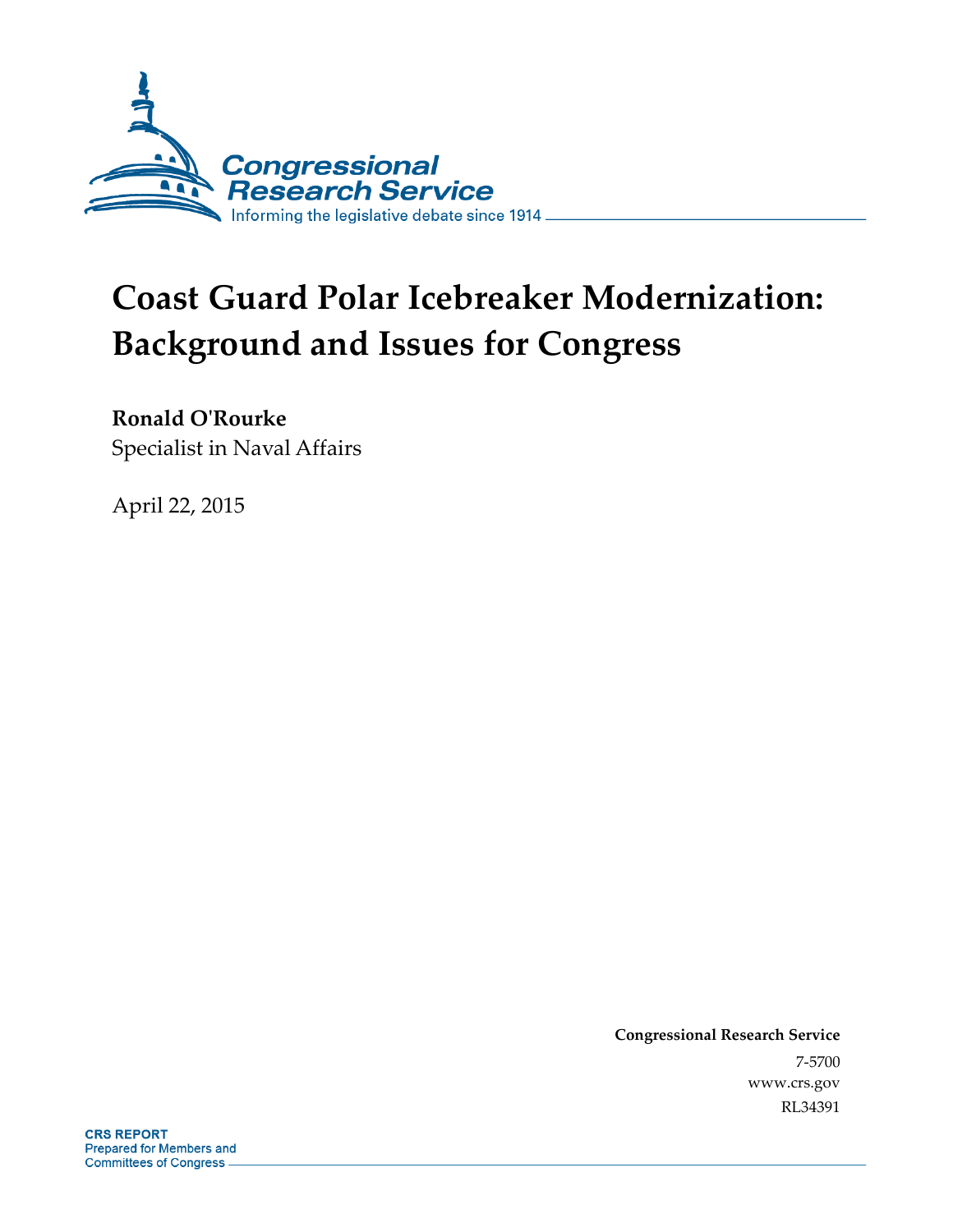

# **Coast Guard Polar Icebreaker Modernization: Background and Issues for Congress**

## **Ronald O'Rourke**

Specialist in Naval Affairs

April 22, 2015

**Congressional Research Service**  7-5700 www.crs.gov RL34391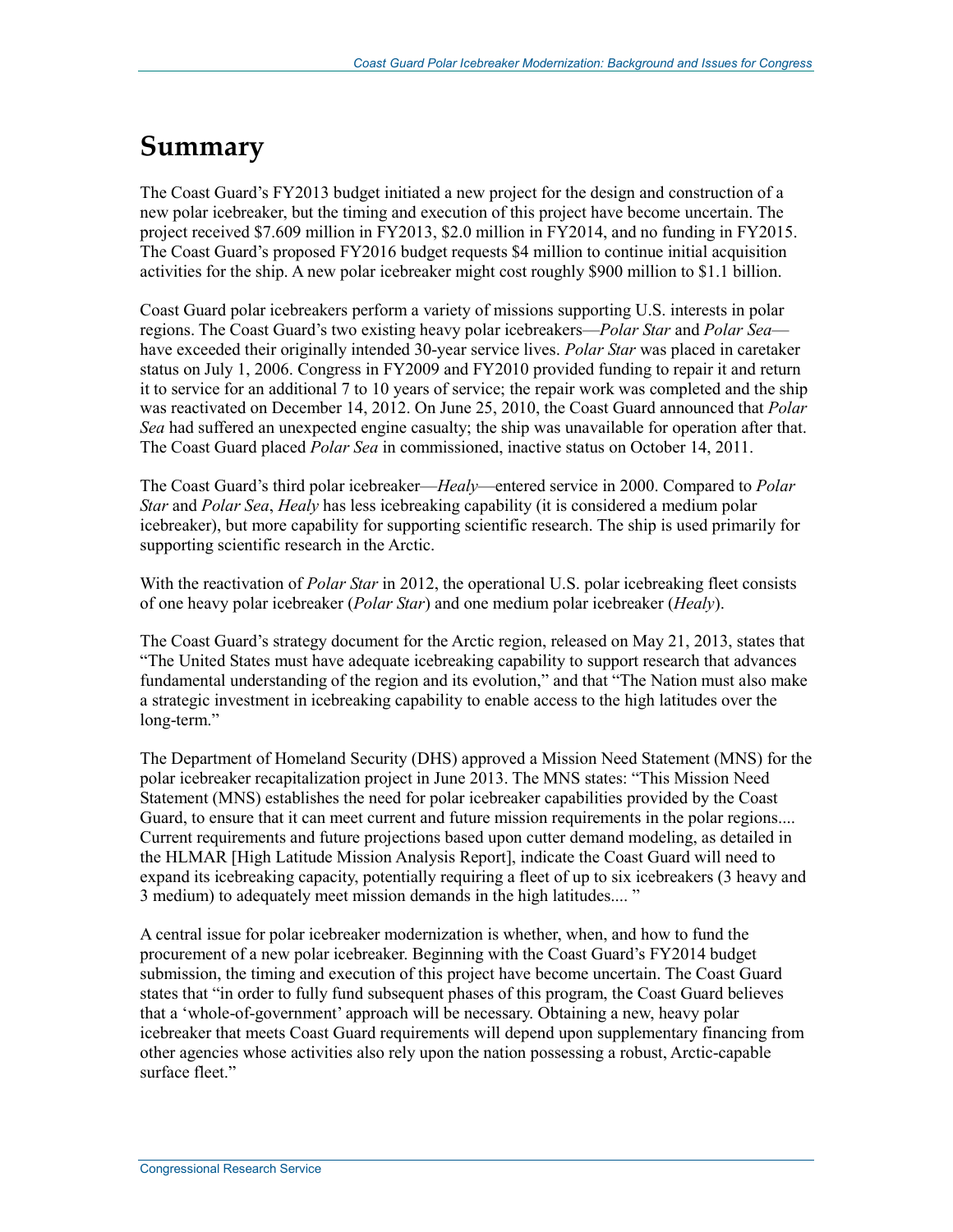## **Summary**

The Coast Guard's FY2013 budget initiated a new project for the design and construction of a new polar icebreaker, but the timing and execution of this project have become uncertain. The project received \$7.609 million in FY2013, \$2.0 million in FY2014, and no funding in FY2015. The Coast Guard's proposed FY2016 budget requests \$4 million to continue initial acquisition activities for the ship. A new polar icebreaker might cost roughly \$900 million to \$1.1 billion.

Coast Guard polar icebreakers perform a variety of missions supporting U.S. interests in polar regions. The Coast Guard's two existing heavy polar icebreakers—*Polar Star* and *Polar Sea* have exceeded their originally intended 30-year service lives. *Polar Star* was placed in caretaker status on July 1, 2006. Congress in FY2009 and FY2010 provided funding to repair it and return it to service for an additional 7 to 10 years of service; the repair work was completed and the ship was reactivated on December 14, 2012. On June 25, 2010, the Coast Guard announced that *Polar Sea* had suffered an unexpected engine casualty; the ship was unavailable for operation after that. The Coast Guard placed *Polar Sea* in commissioned, inactive status on October 14, 2011.

The Coast Guard's third polar icebreaker—*Healy*—entered service in 2000. Compared to *Polar Star* and *Polar Sea*, *Healy* has less icebreaking capability (it is considered a medium polar icebreaker), but more capability for supporting scientific research. The ship is used primarily for supporting scientific research in the Arctic.

With the reactivation of *Polar Star* in 2012, the operational U.S. polar icebreaking fleet consists of one heavy polar icebreaker (*Polar Star*) and one medium polar icebreaker (*Healy*).

The Coast Guard's strategy document for the Arctic region, released on May 21, 2013, states that "The United States must have adequate icebreaking capability to support research that advances fundamental understanding of the region and its evolution," and that "The Nation must also make a strategic investment in icebreaking capability to enable access to the high latitudes over the long-term."

The Department of Homeland Security (DHS) approved a Mission Need Statement (MNS) for the polar icebreaker recapitalization project in June 2013. The MNS states: "This Mission Need Statement (MNS) establishes the need for polar icebreaker capabilities provided by the Coast Guard, to ensure that it can meet current and future mission requirements in the polar regions.... Current requirements and future projections based upon cutter demand modeling, as detailed in the HLMAR [High Latitude Mission Analysis Report], indicate the Coast Guard will need to expand its icebreaking capacity, potentially requiring a fleet of up to six icebreakers (3 heavy and 3 medium) to adequately meet mission demands in the high latitudes.... "

A central issue for polar icebreaker modernization is whether, when, and how to fund the procurement of a new polar icebreaker. Beginning with the Coast Guard's FY2014 budget submission, the timing and execution of this project have become uncertain. The Coast Guard states that "in order to fully fund subsequent phases of this program, the Coast Guard believes that a 'whole-of-government' approach will be necessary. Obtaining a new, heavy polar icebreaker that meets Coast Guard requirements will depend upon supplementary financing from other agencies whose activities also rely upon the nation possessing a robust, Arctic-capable surface fleet."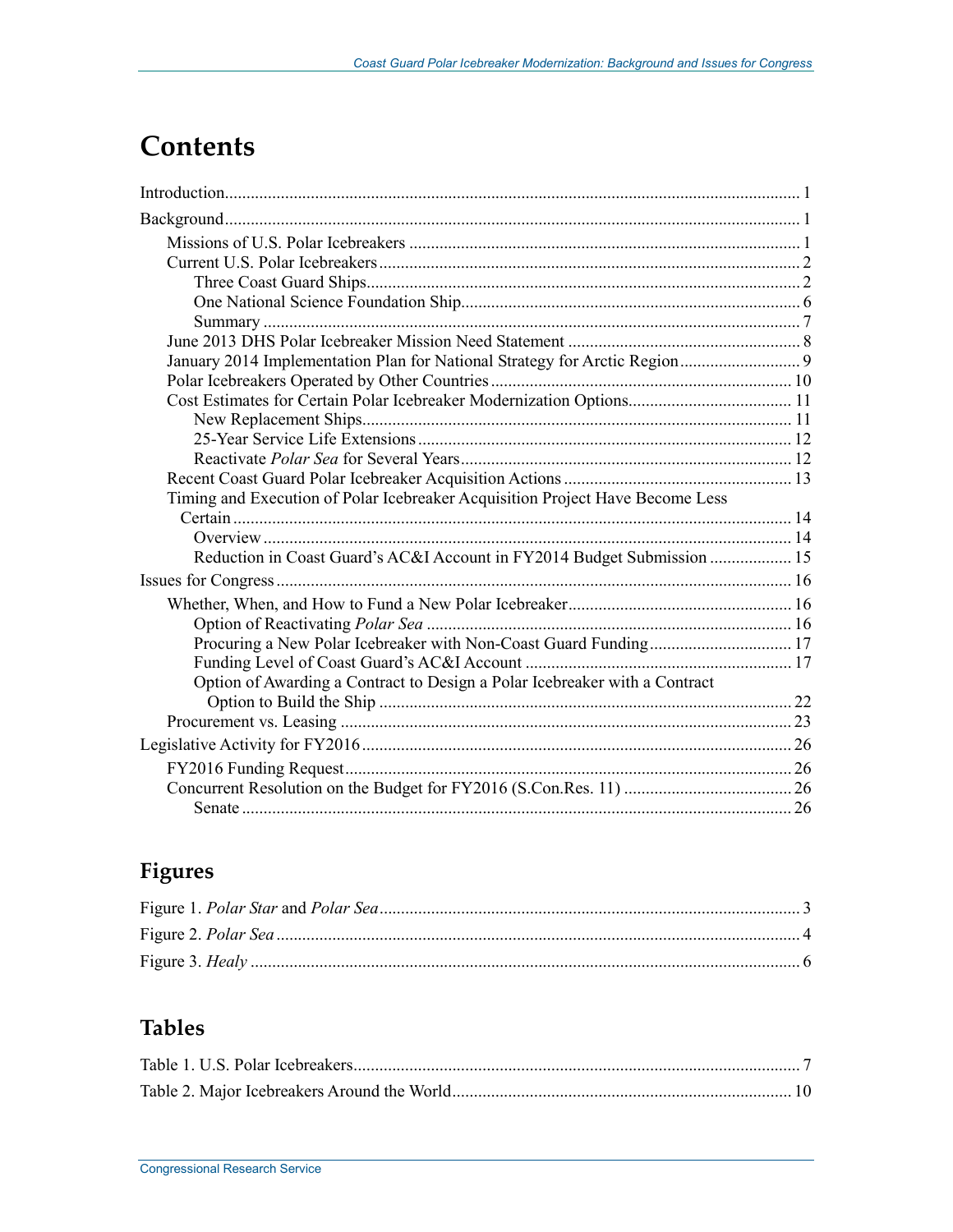## **Contents**

| Timing and Execution of Polar Icebreaker Acquisition Project Have Become Less |  |
|-------------------------------------------------------------------------------|--|
|                                                                               |  |
|                                                                               |  |
| Reduction in Coast Guard's AC&I Account in FY2014 Budget Submission  15       |  |
|                                                                               |  |
|                                                                               |  |
|                                                                               |  |
| Procuring a New Polar Icebreaker with Non-Coast Guard Funding 17              |  |
|                                                                               |  |
| Option of Awarding a Contract to Design a Polar Icebreaker with a Contract    |  |
|                                                                               |  |
|                                                                               |  |
|                                                                               |  |
|                                                                               |  |
|                                                                               |  |
|                                                                               |  |
|                                                                               |  |

## Figures

## **Tables**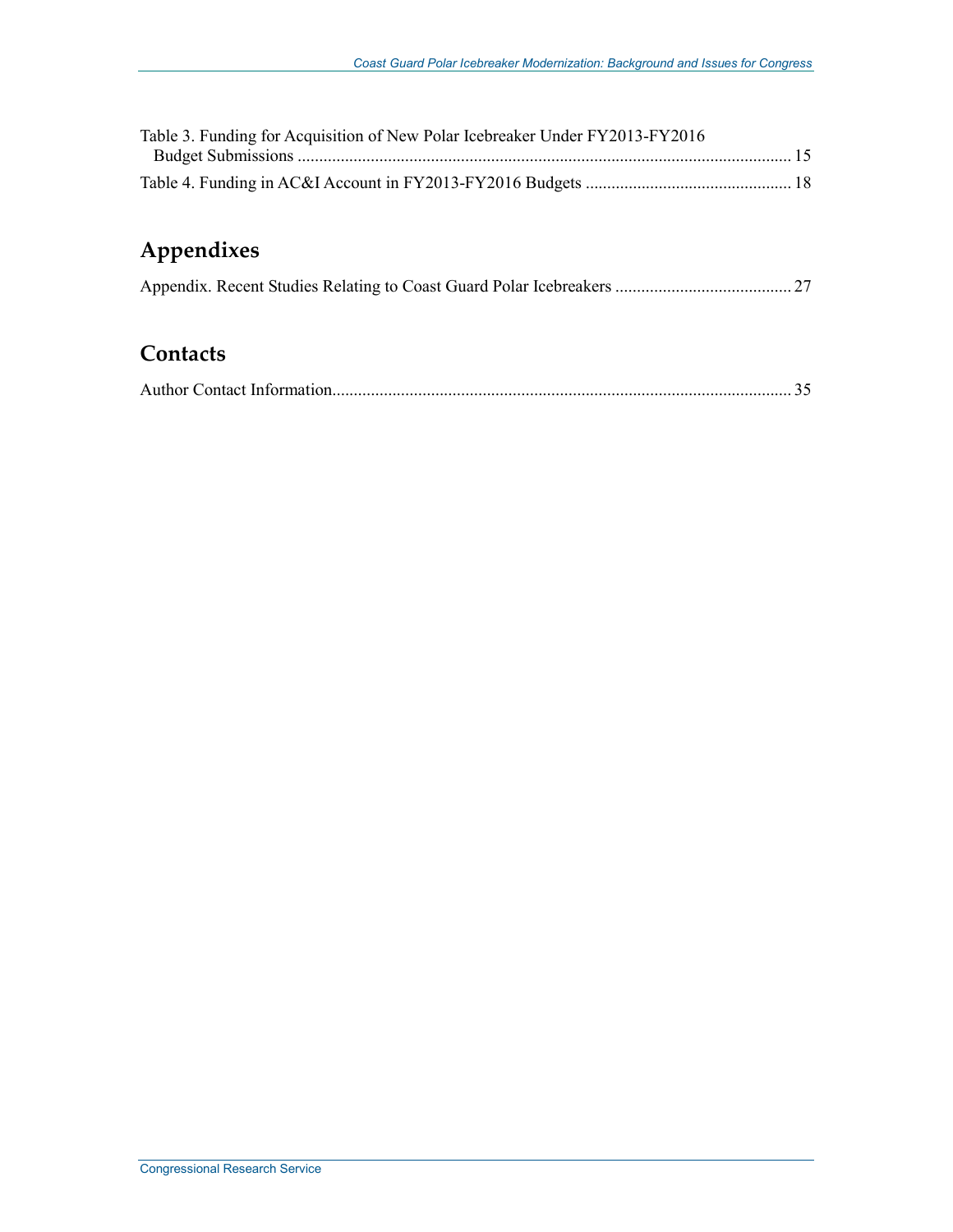| Table 3. Funding for Acquisition of New Polar Icebreaker Under FY2013-FY2016 |  |
|------------------------------------------------------------------------------|--|
|                                                                              |  |
|                                                                              |  |

## **Appendixes**

## **Contacts**

|--|--|--|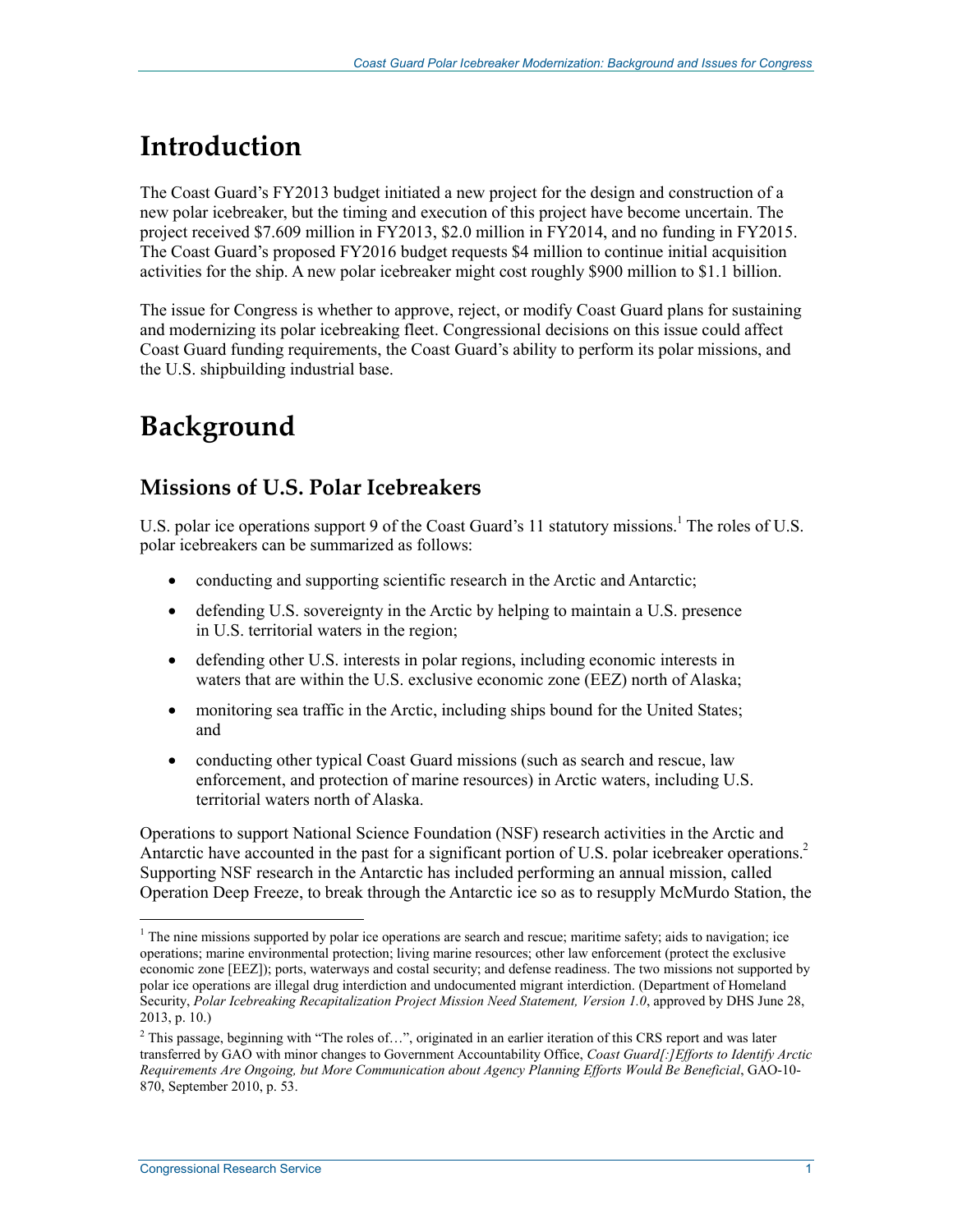## **Introduction**

The Coast Guard's FY2013 budget initiated a new project for the design and construction of a new polar icebreaker, but the timing and execution of this project have become uncertain. The project received \$7.609 million in FY2013, \$2.0 million in FY2014, and no funding in FY2015. The Coast Guard's proposed FY2016 budget requests \$4 million to continue initial acquisition activities for the ship. A new polar icebreaker might cost roughly \$900 million to \$1.1 billion.

The issue for Congress is whether to approve, reject, or modify Coast Guard plans for sustaining and modernizing its polar icebreaking fleet. Congressional decisions on this issue could affect Coast Guard funding requirements, the Coast Guard's ability to perform its polar missions, and the U.S. shipbuilding industrial base.

## **Background**

## **Missions of U.S. Polar Icebreakers**

U.S. polar ice operations support 9 of the Coast Guard's 11 statutory missions.<sup>1</sup> The roles of U.S. polar icebreakers can be summarized as follows:

- conducting and supporting scientific research in the Arctic and Antarctic;
- defending U.S. sovereignty in the Arctic by helping to maintain a U.S. presence in U.S. territorial waters in the region;
- defending other U.S. interests in polar regions, including economic interests in waters that are within the U.S. exclusive economic zone (EEZ) north of Alaska;
- monitoring sea traffic in the Arctic, including ships bound for the United States; and
- conducting other typical Coast Guard missions (such as search and rescue, law enforcement, and protection of marine resources) in Arctic waters, including U.S. territorial waters north of Alaska.

Operations to support National Science Foundation (NSF) research activities in the Arctic and Antarctic have accounted in the past for a significant portion of U.S. polar icebreaker operations.<sup>2</sup> Supporting NSF research in the Antarctic has included performing an annual mission, called Operation Deep Freeze, to break through the Antarctic ice so as to resupply McMurdo Station, the

 $<sup>1</sup>$  The nine missions supported by polar ice operations are search and rescue; maritime safety; aids to navigation; ice</sup> operations; marine environmental protection; living marine resources; other law enforcement (protect the exclusive economic zone [EEZ]); ports, waterways and costal security; and defense readiness. The two missions not supported by polar ice operations are illegal drug interdiction and undocumented migrant interdiction. (Department of Homeland Security, *Polar Icebreaking Recapitalization Project Mission Need Statement, Version 1.0*, approved by DHS June 28, 2013, p. 10.)

<sup>&</sup>lt;sup>2</sup> This passage, beginning with "The roles of...", originated in an earlier iteration of this CRS report and was later transferred by GAO with minor changes to Government Accountability Office, *Coast Guard[:]Efforts to Identify Arctic Requirements Are Ongoing, but More Communication about Agency Planning Efforts Would Be Beneficial*, GAO-10- 870, September 2010, p. 53.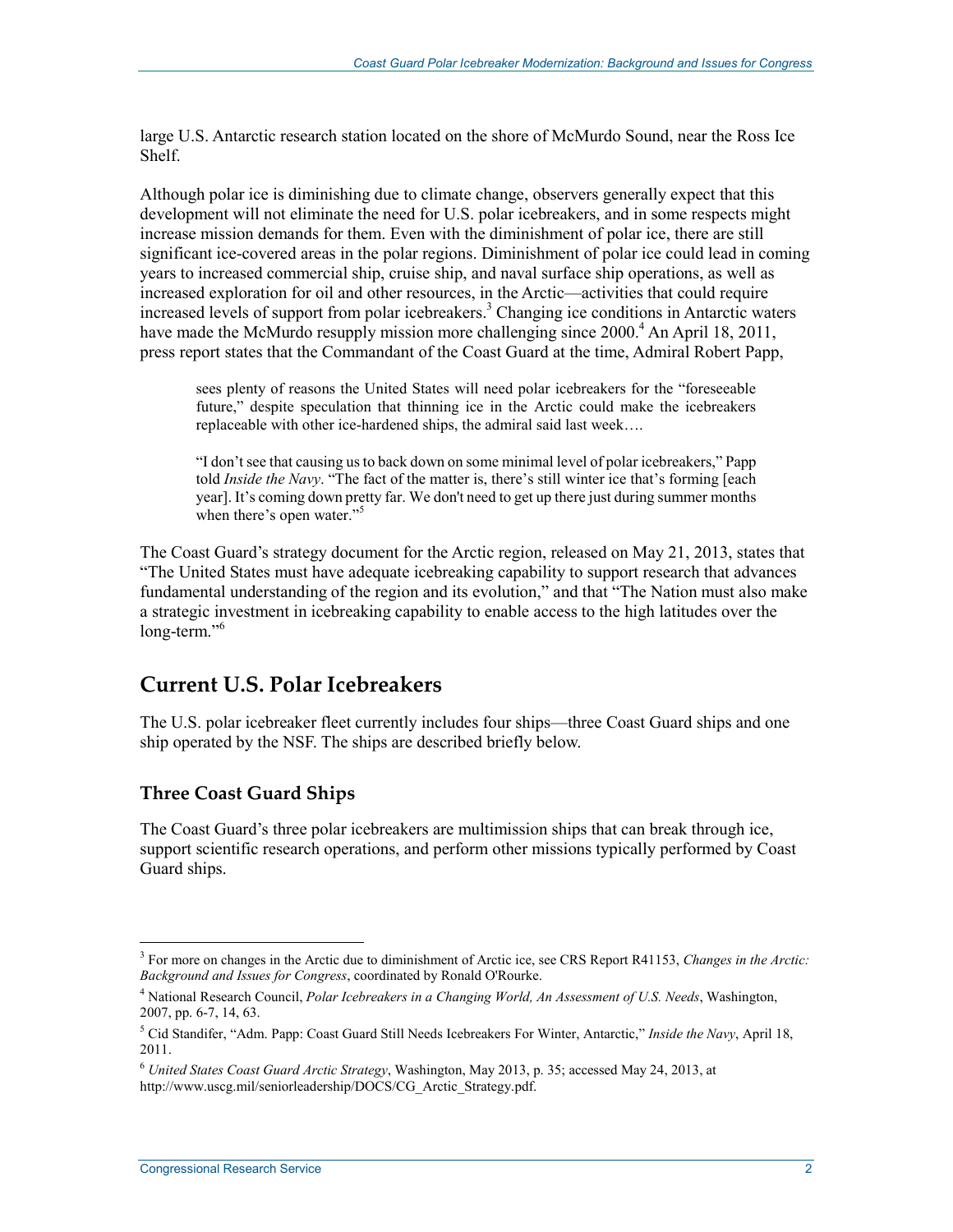large U.S. Antarctic research station located on the shore of McMurdo Sound, near the Ross Ice Shelf.

Although polar ice is diminishing due to climate change, observers generally expect that this development will not eliminate the need for U.S. polar icebreakers, and in some respects might increase mission demands for them. Even with the diminishment of polar ice, there are still significant ice-covered areas in the polar regions. Diminishment of polar ice could lead in coming years to increased commercial ship, cruise ship, and naval surface ship operations, as well as increased exploration for oil and other resources, in the Arctic—activities that could require increased levels of support from polar icebreakers.<sup>3</sup> Changing ice conditions in Antarctic waters have made the McMurdo resupply mission more challenging since 2000.<sup>4</sup> An April 18, 2011, press report states that the Commandant of the Coast Guard at the time, Admiral Robert Papp,

sees plenty of reasons the United States will need polar icebreakers for the "foreseeable future," despite speculation that thinning ice in the Arctic could make the icebreakers replaceable with other ice-hardened ships, the admiral said last week….

"I don't see that causing us to back down on some minimal level of polar icebreakers," Papp told *Inside the Navy*. "The fact of the matter is, there's still winter ice that's forming [each year]. It's coming down pretty far. We don't need to get up there just during summer months when there's open water."<sup>5</sup>

The Coast Guard's strategy document for the Arctic region, released on May 21, 2013, states that "The United States must have adequate icebreaking capability to support research that advances fundamental understanding of the region and its evolution," and that "The Nation must also make a strategic investment in icebreaking capability to enable access to the high latitudes over the long-term."<sup>6</sup>

### **Current U.S. Polar Icebreakers**

The U.S. polar icebreaker fleet currently includes four ships—three Coast Guard ships and one ship operated by the NSF. The ships are described briefly below.

#### **Three Coast Guard Ships**

The Coast Guard's three polar icebreakers are multimission ships that can break through ice, support scientific research operations, and perform other missions typically performed by Coast Guard ships.

<sup>&</sup>lt;sup>3</sup> For more on changes in the Arctic due to diminishment of Arctic ice, see CRS Report R41153, *Changes in the Arctic: Background and Issues for Congress*, coordinated by Ronald O'Rourke.

<sup>4</sup> National Research Council, *Polar Icebreakers in a Changing World, An Assessment of U.S. Needs*, Washington, 2007, pp. 6-7, 14, 63.

<sup>5</sup> Cid Standifer, "Adm. Papp: Coast Guard Still Needs Icebreakers For Winter, Antarctic," *Inside the Navy*, April 18, 2011.

<sup>6</sup> *United States Coast Guard Arctic Strategy*, Washington, May 2013, p. 35; accessed May 24, 2013, at http://www.uscg.mil/seniorleadership/DOCS/CG\_Arctic\_Strategy.pdf.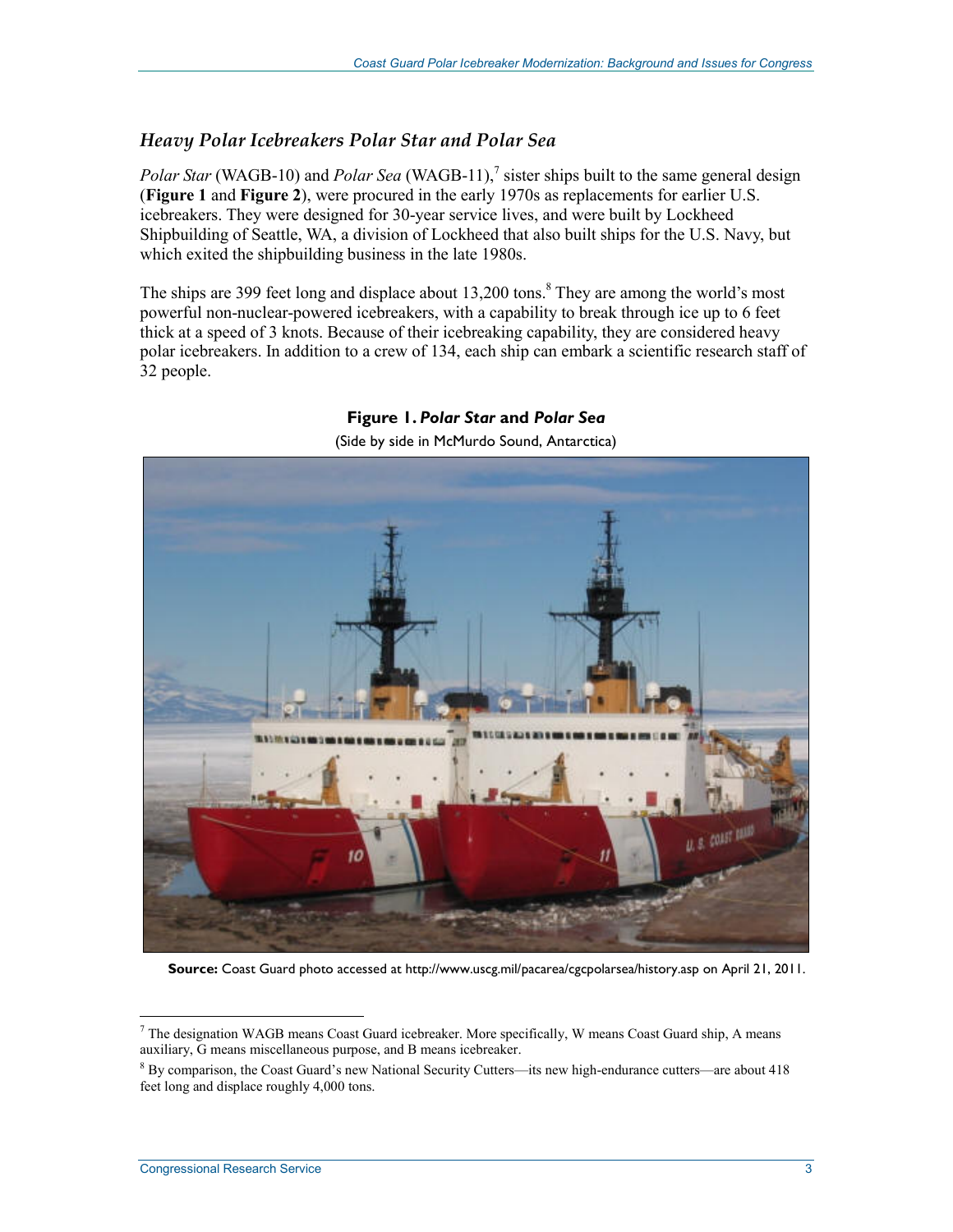#### *Heavy Polar Icebreakers Polar Star and Polar Sea*

Polar Star (WAGB-10) and *Polar Sea* (WAGB-11),<sup>7</sup> sister ships built to the same general design (**Figure 1** and **Figure 2**), were procured in the early 1970s as replacements for earlier U.S. icebreakers. They were designed for 30-year service lives, and were built by Lockheed Shipbuilding of Seattle, WA, a division of Lockheed that also built ships for the U.S. Navy, but which exited the shipbuilding business in the late 1980s.

The ships are 399 feet long and displace about 13,200 tons.<sup>8</sup> They are among the world's most powerful non-nuclear-powered icebreakers, with a capability to break through ice up to 6 feet thick at a speed of 3 knots. Because of their icebreaking capability, they are considered heavy polar icebreakers. In addition to a crew of 134, each ship can embark a scientific research staff of 32 people.



#### **Figure 1.** *Polar Star* **and** *Polar Sea*

(Side by side in McMurdo Sound, Antarctica)

**Source:** Coast Guard photo accessed at http://www.uscg.mil/pacarea/cgcpolarsea/history.asp on April 21, 2011.

<sup>1</sup>  $<sup>7</sup>$  The designation WAGB means Coast Guard icebreaker. More specifically, W means Coast Guard ship, A means</sup> auxiliary, G means miscellaneous purpose, and B means icebreaker.

<sup>&</sup>lt;sup>8</sup> By comparison, the Coast Guard's new National Security Cutters—its new high-endurance cutters—are about 418 feet long and displace roughly 4,000 tons.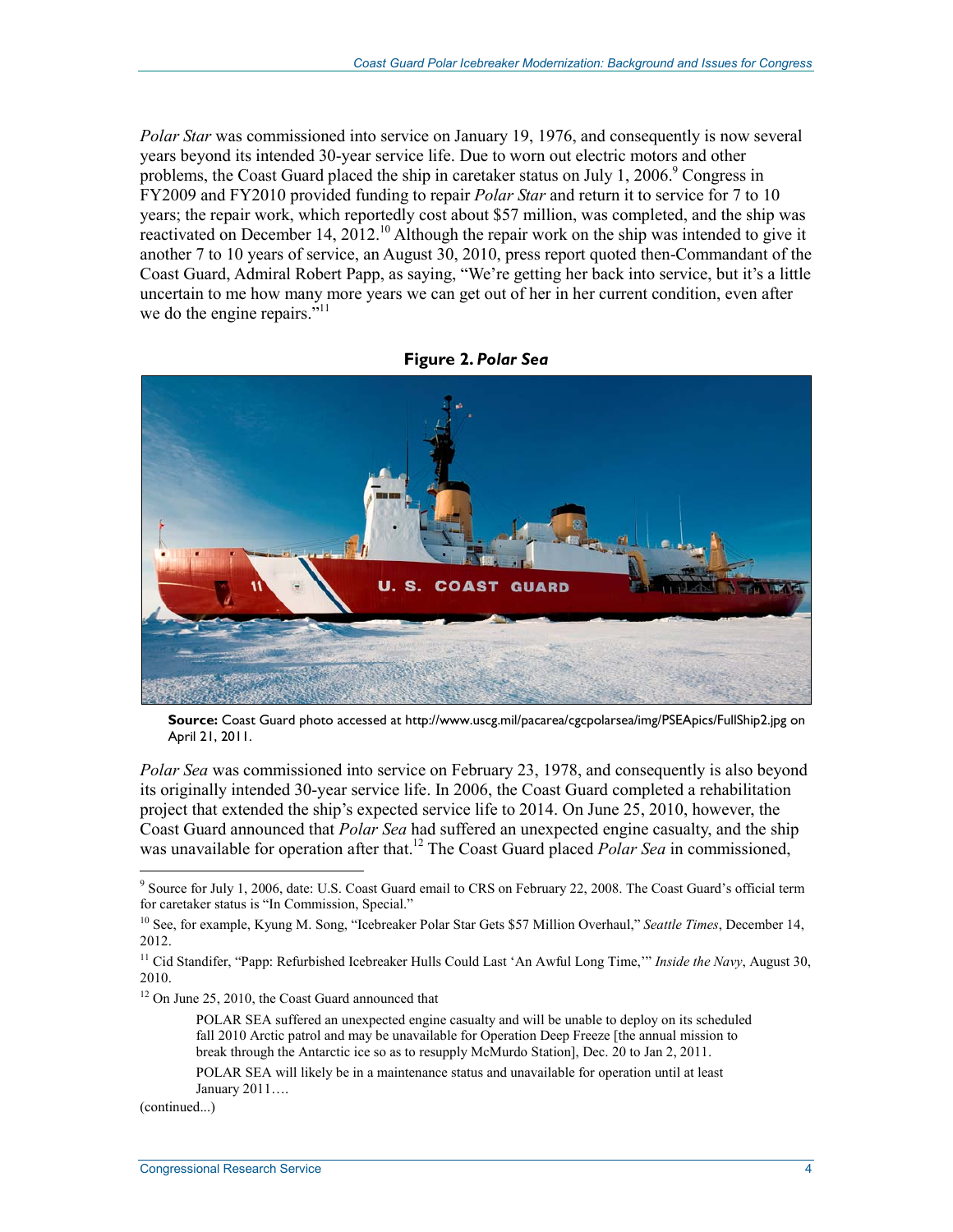*Polar Star* was commissioned into service on January 19, 1976, and consequently is now several years beyond its intended 30-year service life. Due to worn out electric motors and other problems, the Coast Guard placed the ship in caretaker status on July 1, 2006.<sup>9</sup> Congress in FY2009 and FY2010 provided funding to repair *Polar Star* and return it to service for 7 to 10 years; the repair work, which reportedly cost about \$57 million, was completed, and the ship was reactivated on December 14, 2012.<sup>10</sup> Although the repair work on the ship was intended to give it another 7 to 10 years of service, an August 30, 2010, press report quoted then-Commandant of the Coast Guard, Admiral Robert Papp, as saying, "We're getting her back into service, but it's a little uncertain to me how many more years we can get out of her in her current condition, even after we do the engine repairs."<sup>11</sup>



**Figure 2.** *Polar Sea*

**Source:** Coast Guard photo accessed at http://www.uscg.mil/pacarea/cgcpolarsea/img/PSEApics/FullShip2.jpg on April 21, 2011.

*Polar Sea* was commissioned into service on February 23, 1978, and consequently is also beyond its originally intended 30-year service life. In 2006, the Coast Guard completed a rehabilitation project that extended the ship's expected service life to 2014. On June 25, 2010, however, the Coast Guard announced that *Polar Sea* had suffered an unexpected engine casualty, and the ship was unavailable for operation after that.<sup>12</sup> The Coast Guard placed *Polar Sea* in commissioned,

POLAR SEA will likely be in a maintenance status and unavailable for operation until at least January 2011….

(continued...)

<u>.</u>

<sup>&</sup>lt;sup>9</sup> Source for July 1, 2006, date: U.S. Coast Guard email to CRS on February 22, 2008. The Coast Guard's official term for caretaker status is "In Commission, Special."

<sup>10</sup> See, for example, Kyung M. Song, "Icebreaker Polar Star Gets \$57 Million Overhaul," *Seattle Times*, December 14, 2012.

<sup>&</sup>lt;sup>11</sup> Cid Standifer, "Papp: Refurbished Icebreaker Hulls Could Last 'An Awful Long Time," *Inside the Navy*, August 30, 2010.

<sup>&</sup>lt;sup>12</sup> On June 25, 2010, the Coast Guard announced that

POLAR SEA suffered an unexpected engine casualty and will be unable to deploy on its scheduled fall 2010 Arctic patrol and may be unavailable for Operation Deep Freeze [the annual mission to break through the Antarctic ice so as to resupply McMurdo Station], Dec. 20 to Jan 2, 2011.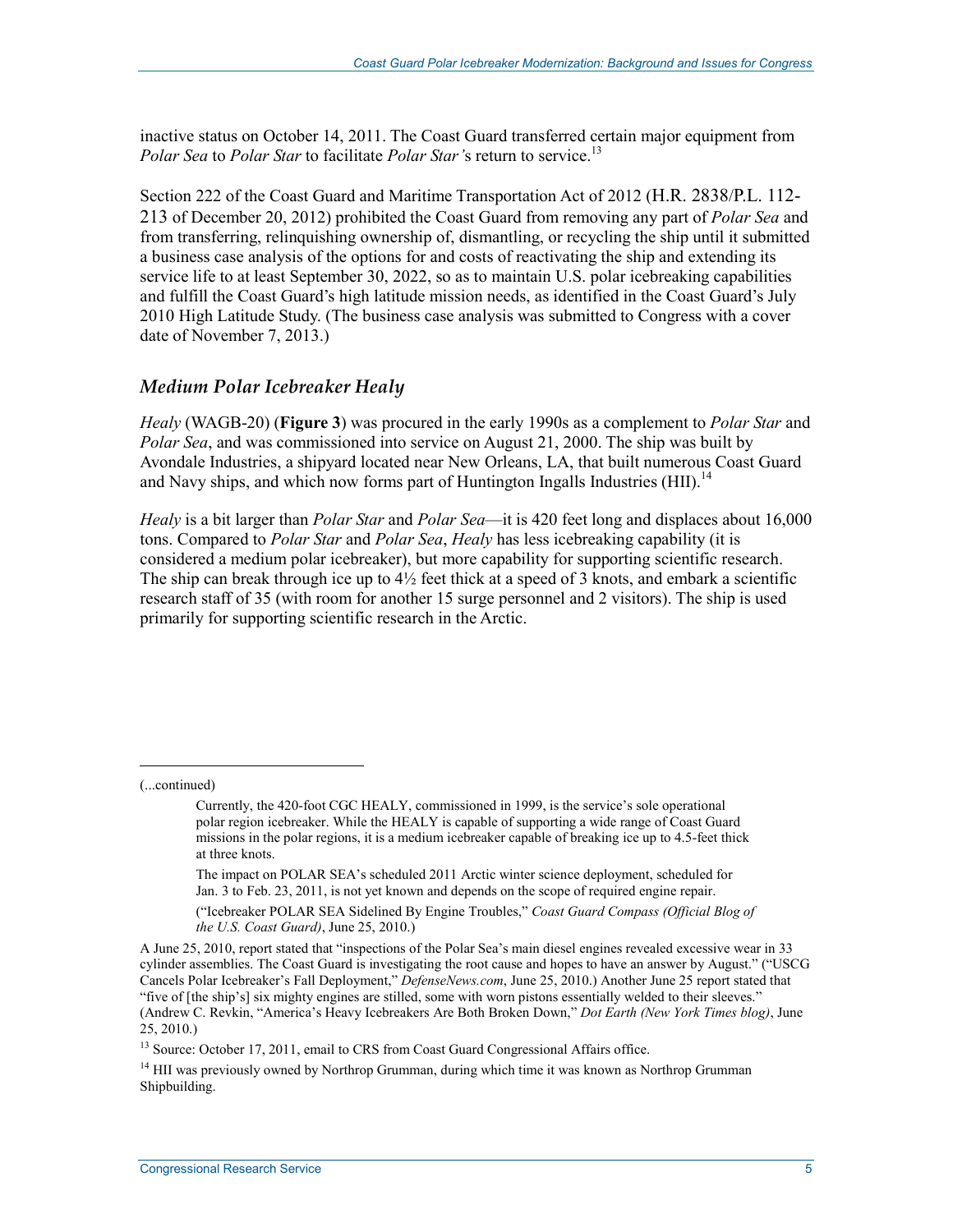inactive status on October 14, 2011. The Coast Guard transferred certain major equipment from *Polar Sea* to *Polar Star* to facilitate *Polar Star's* return to service.<sup>13</sup>

Section 222 of the Coast Guard and Maritime Transportation Act of 2012 (H.R. 2838/P.L. 112- 213 of December 20, 2012) prohibited the Coast Guard from removing any part of *Polar Sea* and from transferring, relinquishing ownership of, dismantling, or recycling the ship until it submitted a business case analysis of the options for and costs of reactivating the ship and extending its service life to at least September 30, 2022, so as to maintain U.S. polar icebreaking capabilities and fulfill the Coast Guard's high latitude mission needs, as identified in the Coast Guard's July 2010 High Latitude Study. (The business case analysis was submitted to Congress with a cover date of November 7, 2013.)

#### *Medium Polar Icebreaker Healy*

*Healy* (WAGB-20) (**Figure 3**) was procured in the early 1990s as a complement to *Polar Star* and *Polar Sea*, and was commissioned into service on August 21, 2000. The ship was built by Avondale Industries, a shipyard located near New Orleans, LA, that built numerous Coast Guard and Navy ships, and which now forms part of Huntington Ingalls Industries (HII).<sup>14</sup>

*Healy* is a bit larger than *Polar Star* and *Polar Sea*—it is 420 feet long and displaces about 16,000 tons. Compared to *Polar Star* and *Polar Sea*, *Healy* has less icebreaking capability (it is considered a medium polar icebreaker), but more capability for supporting scientific research. The ship can break through ice up to  $4\frac{1}{2}$  feet thick at a speed of 3 knots, and embark a scientific research staff of 35 (with room for another 15 surge personnel and 2 visitors). The ship is used primarily for supporting scientific research in the Arctic.

(...continued)

Currently, the 420-foot CGC HEALY, commissioned in 1999, is the service's sole operational polar region icebreaker. While the HEALY is capable of supporting a wide range of Coast Guard missions in the polar regions, it is a medium icebreaker capable of breaking ice up to 4.5-feet thick at three knots.

The impact on POLAR SEA's scheduled 2011 Arctic winter science deployment, scheduled for Jan. 3 to Feb. 23, 2011, is not yet known and depends on the scope of required engine repair.

<sup>(&</sup>quot;Icebreaker POLAR SEA Sidelined By Engine Troubles," *Coast Guard Compass (Official Blog of the U.S. Coast Guard)*, June 25, 2010.)

A June 25, 2010, report stated that "inspections of the Polar Sea's main diesel engines revealed excessive wear in 33 cylinder assemblies. The Coast Guard is investigating the root cause and hopes to have an answer by August." ("USCG Cancels Polar Icebreaker's Fall Deployment," *DefenseNews.com*, June 25, 2010.) Another June 25 report stated that "five of [the ship's] six mighty engines are stilled, some with worn pistons essentially welded to their sleeves." (Andrew C. Revkin, "America's Heavy Icebreakers Are Both Broken Down," *Dot Earth (New York Times blog)*, June 25, 2010.)

<sup>&</sup>lt;sup>13</sup> Source: October 17, 2011, email to CRS from Coast Guard Congressional Affairs office.

<sup>&</sup>lt;sup>14</sup> HII was previously owned by Northrop Grumman, during which time it was known as Northrop Grumman Shipbuilding.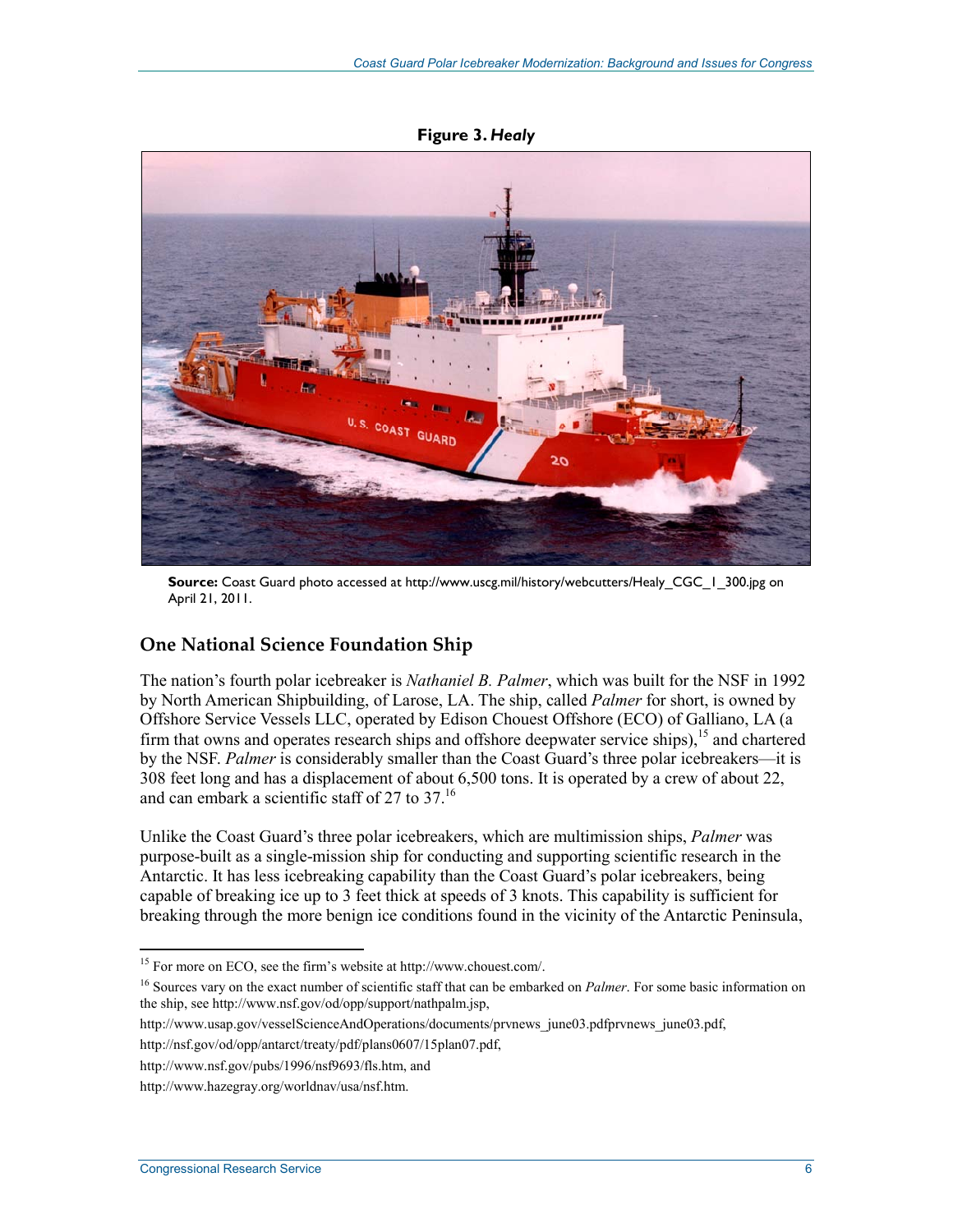**Figure 3.** *Healy*



**Source:** Coast Guard photo accessed at http://www.uscg.mil/history/webcutters/Healy\_CGC\_1\_300.jpg on April 21, 2011.

#### **One National Science Foundation Ship**

The nation's fourth polar icebreaker is *Nathaniel B. Palmer*, which was built for the NSF in 1992 by North American Shipbuilding, of Larose, LA. The ship, called *Palmer* for short, is owned by Offshore Service Vessels LLC, operated by Edison Chouest Offshore (ECO) of Galliano, LA (a firm that owns and operates research ships and offshore deepwater service ships),<sup>15</sup> and chartered by the NSF. *Palmer* is considerably smaller than the Coast Guard's three polar icebreakers—it is 308 feet long and has a displacement of about 6,500 tons. It is operated by a crew of about 22, and can embark a scientific staff of 27 to 37.<sup>16</sup>

Unlike the Coast Guard's three polar icebreakers, which are multimission ships, *Palmer* was purpose-built as a single-mission ship for conducting and supporting scientific research in the Antarctic. It has less icebreaking capability than the Coast Guard's polar icebreakers, being capable of breaking ice up to 3 feet thick at speeds of 3 knots. This capability is sufficient for breaking through the more benign ice conditions found in the vicinity of the Antarctic Peninsula,

<sup>&</sup>lt;sup>15</sup> For more on ECO, see the firm's website at http://www.chouest.com/.

<sup>16</sup> Sources vary on the exact number of scientific staff that can be embarked on *Palmer*. For some basic information on the ship, see http://www.nsf.gov/od/opp/support/nathpalm.jsp,

http://www.usap.gov/vesselScienceAndOperations/documents/prvnews\_june03.pdfprvnews\_june03.pdf,

http://nsf.gov/od/opp/antarct/treaty/pdf/plans0607/15plan07.pdf,

http://www.nsf.gov/pubs/1996/nsf9693/fls.htm, and

http://www.hazegray.org/worldnav/usa/nsf.htm.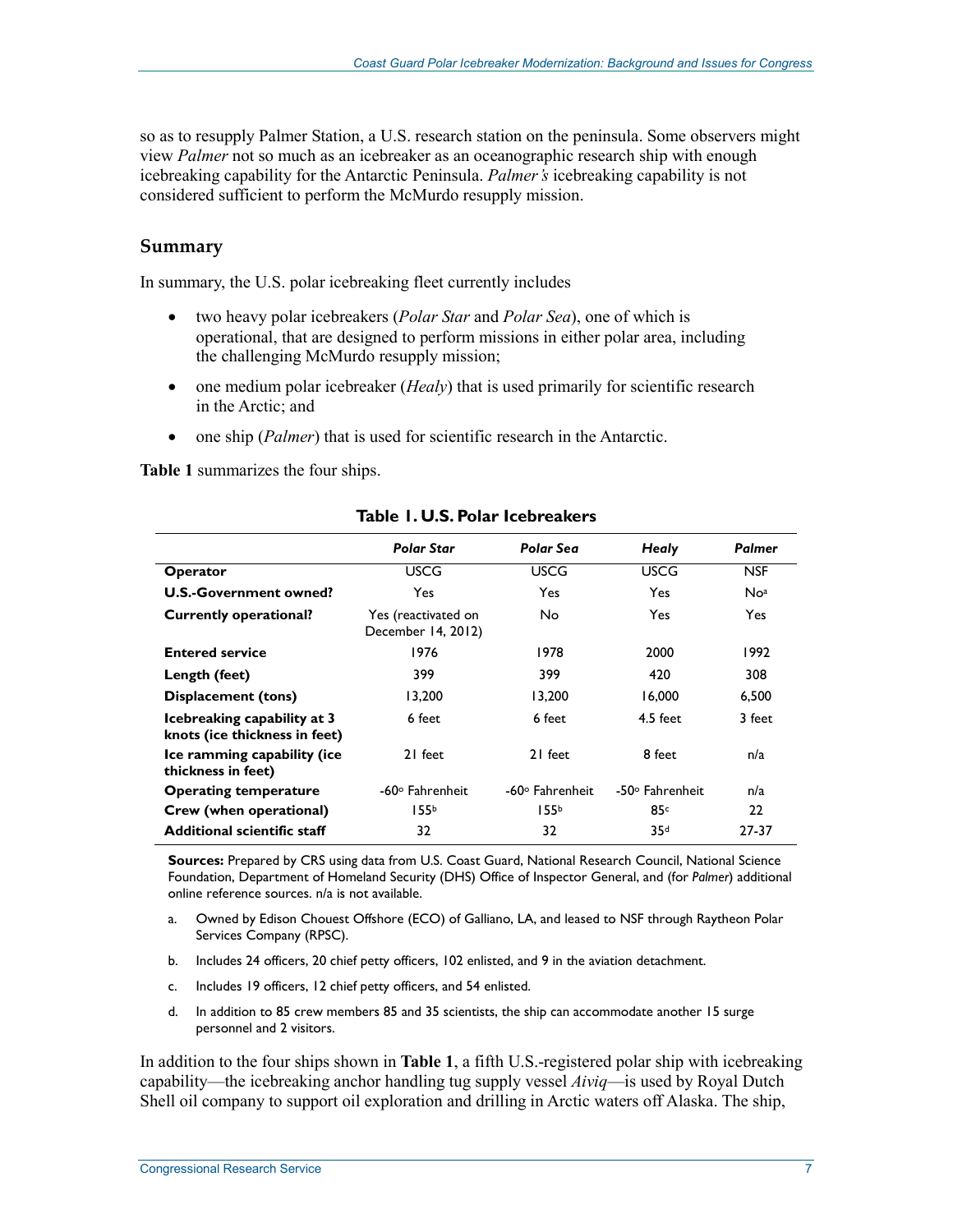so as to resupply Palmer Station, a U.S. research station on the peninsula. Some observers might view *Palmer* not so much as an icebreaker as an oceanographic research ship with enough icebreaking capability for the Antarctic Peninsula. *Palmer's* icebreaking capability is not considered sufficient to perform the McMurdo resupply mission.

#### **Summary**

In summary, the U.S. polar icebreaking fleet currently includes

- two heavy polar icebreakers (*Polar Star* and *Polar Sea*), one of which is operational, that are designed to perform missions in either polar area, including the challenging McMurdo resupply mission;
- one medium polar icebreaker *(Healy)* that is used primarily for scientific research in the Arctic; and
- one ship (*Palmer*) that is used for scientific research in the Antarctic.

**Table 1** summarizes the four ships.

|                                                              | <b>Polar Star</b>                         | Polar Sea              | <b>Healy</b>           | <b>Palmer</b>   |
|--------------------------------------------------------------|-------------------------------------------|------------------------|------------------------|-----------------|
| <b>Operator</b>                                              | <b>USCG</b>                               | <b>USCG</b>            | <b>USCG</b>            | <b>NSF</b>      |
| U.S.-Government owned?                                       | Yes.                                      | <b>Yes</b>             | Yes                    | No <sup>a</sup> |
| <b>Currently operational?</b>                                | Yes (reactivated on<br>December 14, 2012) | N <sub>o</sub>         | Yes                    | <b>Yes</b>      |
| <b>Entered service</b>                                       | 1976                                      | 1978                   | 2000                   | 1992            |
| Length (feet)                                                | 399                                       | 399                    | 420                    | 308             |
| Displacement (tons)                                          | 13.200                                    | 13,200                 | 16,000                 | 6,500           |
| Icebreaking capability at 3<br>knots (ice thickness in feet) | 6 feet                                    | 6 feet                 | 4.5 feet               | 3 feet          |
| Ice ramming capability (ice<br>thickness in feet)            | 21 feet                                   | 21 feet                | 8 feet                 | n/a             |
| <b>Operating temperature</b>                                 | $-60^\circ$ Fahrenheit                    | $-60^\circ$ Fahrenheit | $-50^\circ$ Fahrenheit | n/a             |
| Crew (when operational)                                      | 155 <sup>b</sup>                          | 155b                   | 85 <sup>c</sup>        | 22              |
| Additional scientific staff                                  | 32                                        | 32                     | 35d                    | 27-37           |

#### **Table 1. U.S. Polar Icebreakers**

**Sources:** Prepared by CRS using data from U.S. Coast Guard, National Research Council, National Science Foundation, Department of Homeland Security (DHS) Office of Inspector General, and (for *Palmer*) additional online reference sources. n/a is not available.

- a. Owned by Edison Chouest Offshore (ECO) of Galliano, LA, and leased to NSF through Raytheon Polar Services Company (RPSC).
- b. Includes 24 officers, 20 chief petty officers, 102 enlisted, and 9 in the aviation detachment.
- c. Includes 19 officers, 12 chief petty officers, and 54 enlisted.
- d. In addition to 85 crew members 85 and 35 scientists, the ship can accommodate another 15 surge personnel and 2 visitors.

In addition to the four ships shown in **Table 1**, a fifth U.S.-registered polar ship with icebreaking capability—the icebreaking anchor handling tug supply vessel *Aiviq*—is used by Royal Dutch Shell oil company to support oil exploration and drilling in Arctic waters off Alaska. The ship,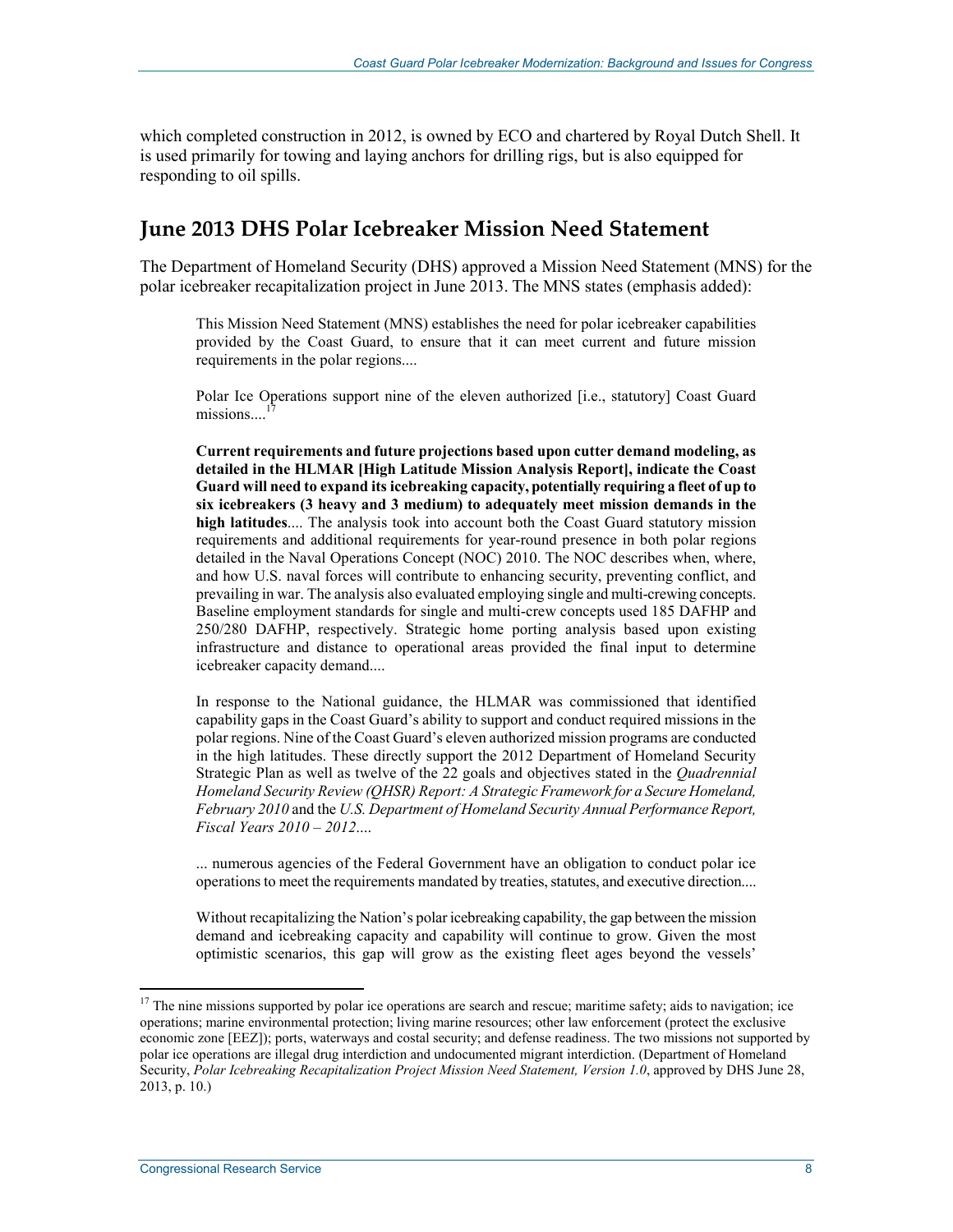which completed construction in 2012, is owned by ECO and chartered by Royal Dutch Shell. It is used primarily for towing and laying anchors for drilling rigs, but is also equipped for responding to oil spills.

### **June 2013 DHS Polar Icebreaker Mission Need Statement**

The Department of Homeland Security (DHS) approved a Mission Need Statement (MNS) for the polar icebreaker recapitalization project in June 2013. The MNS states (emphasis added):

This Mission Need Statement (MNS) establishes the need for polar icebreaker capabilities provided by the Coast Guard, to ensure that it can meet current and future mission requirements in the polar regions....

Polar Ice Operations support nine of the eleven authorized [i.e., statutory] Coast Guard missions....

**Current requirements and future projections based upon cutter demand modeling, as detailed in the HLMAR [High Latitude Mission Analysis Report], indicate the Coast Guard will need to expand its icebreaking capacity, potentially requiring a fleet of up to six icebreakers (3 heavy and 3 medium) to adequately meet mission demands in the high latitudes**.... The analysis took into account both the Coast Guard statutory mission requirements and additional requirements for year-round presence in both polar regions detailed in the Naval Operations Concept (NOC) 2010. The NOC describes when, where, and how U.S. naval forces will contribute to enhancing security, preventing conflict, and prevailing in war. The analysis also evaluated employing single and multi-crewing concepts. Baseline employment standards for single and multi-crew concepts used 185 DAFHP and 250/280 DAFHP, respectively. Strategic home porting analysis based upon existing infrastructure and distance to operational areas provided the final input to determine icebreaker capacity demand....

In response to the National guidance, the HLMAR was commissioned that identified capability gaps in the Coast Guard's ability to support and conduct required missions in the polar regions. Nine of the Coast Guard's eleven authorized mission programs are conducted in the high latitudes. These directly support the 2012 Department of Homeland Security Strategic Plan as well as twelve of the 22 goals and objectives stated in the *Quadrennial Homeland Security Review (QHSR) Report: A Strategic Framework for a Secure Homeland, February 2010* and the *U.S. Department of Homeland Security Annual Performance Report, Fiscal Years 2010 – 2012*....

... numerous agencies of the Federal Government have an obligation to conduct polar ice operations to meet the requirements mandated by treaties, statutes, and executive direction....

Without recapitalizing the Nation's polar icebreaking capability, the gap between the mission demand and icebreaking capacity and capability will continue to grow. Given the most optimistic scenarios, this gap will grow as the existing fleet ages beyond the vessels'

<sup>&</sup>lt;sup>17</sup> The nine missions supported by polar ice operations are search and rescue; maritime safety; aids to navigation; ice operations; marine environmental protection; living marine resources; other law enforcement (protect the exclusive economic zone [EEZ]); ports, waterways and costal security; and defense readiness. The two missions not supported by polar ice operations are illegal drug interdiction and undocumented migrant interdiction. (Department of Homeland Security, *Polar Icebreaking Recapitalization Project Mission Need Statement, Version 1.0*, approved by DHS June 28, 2013, p. 10.)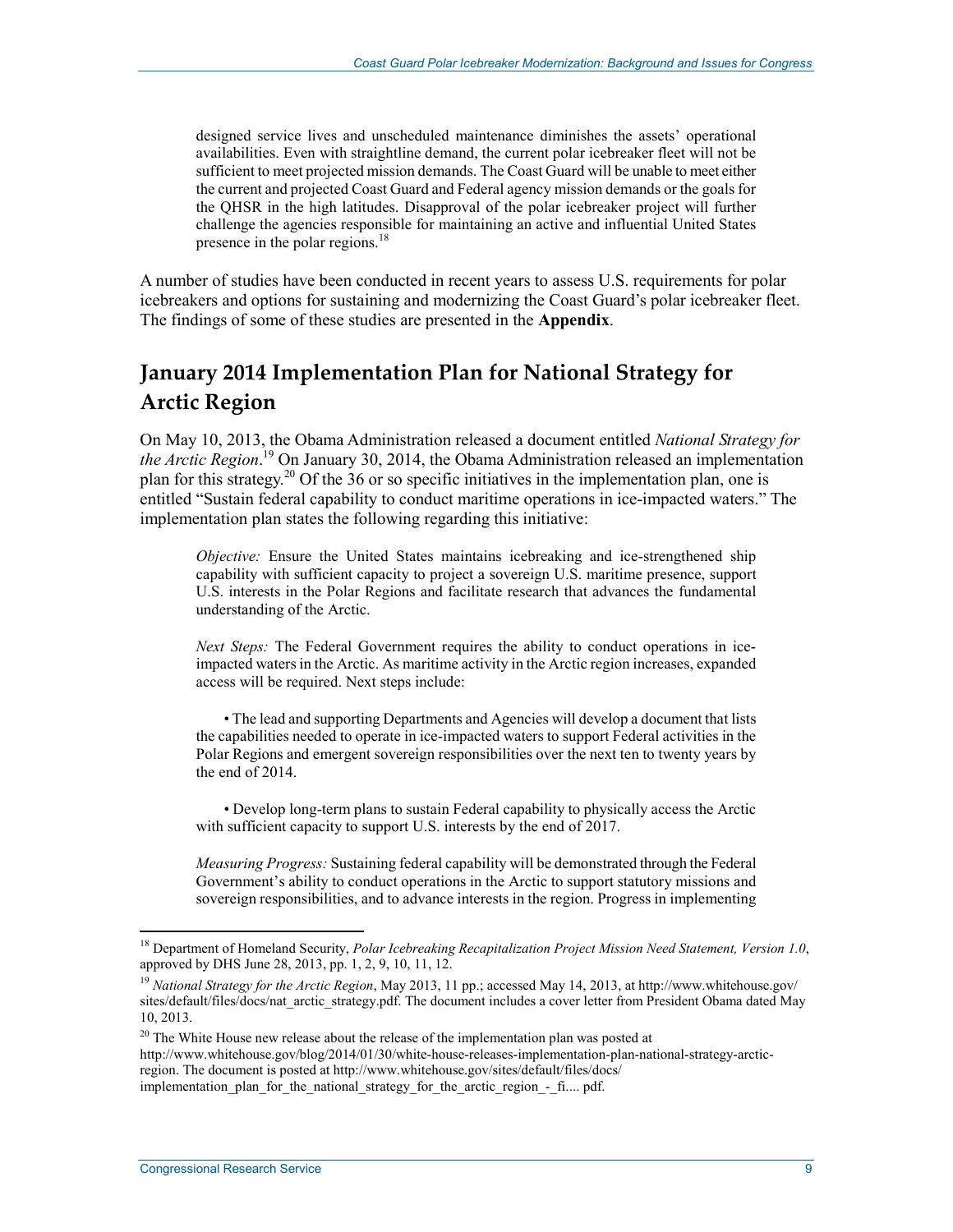designed service lives and unscheduled maintenance diminishes the assets' operational availabilities. Even with straightline demand, the current polar icebreaker fleet will not be sufficient to meet projected mission demands. The Coast Guard will be unable to meet either the current and projected Coast Guard and Federal agency mission demands or the goals for the QHSR in the high latitudes. Disapproval of the polar icebreaker project will further challenge the agencies responsible for maintaining an active and influential United States presence in the polar regions.<sup>18</sup>

A number of studies have been conducted in recent years to assess U.S. requirements for polar icebreakers and options for sustaining and modernizing the Coast Guard's polar icebreaker fleet. The findings of some of these studies are presented in the **Appendix**.

## **January 2014 Implementation Plan for National Strategy for Arctic Region**

On May 10, 2013, the Obama Administration released a document entitled *National Strategy for the Arctic Region*. 19 On January 30, 2014, the Obama Administration released an implementation plan for this strategy.<sup>20</sup> Of the 36 or so specific initiatives in the implementation plan, one is entitled "Sustain federal capability to conduct maritime operations in ice-impacted waters." The implementation plan states the following regarding this initiative:

*Objective:* Ensure the United States maintains icebreaking and ice-strengthened ship capability with sufficient capacity to project a sovereign U.S. maritime presence, support U.S. interests in the Polar Regions and facilitate research that advances the fundamental understanding of the Arctic.

*Next Steps:* The Federal Government requires the ability to conduct operations in iceimpacted waters in the Arctic. As maritime activity in the Arctic region increases, expanded access will be required. Next steps include:

• The lead and supporting Departments and Agencies will develop a document that lists the capabilities needed to operate in ice-impacted waters to support Federal activities in the Polar Regions and emergent sovereign responsibilities over the next ten to twenty years by the end of 2014.

• Develop long-term plans to sustain Federal capability to physically access the Arctic with sufficient capacity to support U.S. interests by the end of 2017.

*Measuring Progress:* Sustaining federal capability will be demonstrated through the Federal Government's ability to conduct operations in the Arctic to support statutory missions and sovereign responsibilities, and to advance interests in the region. Progress in implementing

<sup>18</sup> Department of Homeland Security, *Polar Icebreaking Recapitalization Project Mission Need Statement, Version 1.0*, approved by DHS June 28, 2013, pp. 1, 2, 9, 10, 11, 12.

<sup>19</sup> *National Strategy for the Arctic Region*, May 2013, 11 pp.; accessed May 14, 2013, at http://www.whitehouse.gov/ sites/default/files/docs/nat\_arctic\_strategy.pdf. The document includes a cover letter from President Obama dated May 10, 2013.

 $20$  The White House new release about the release of the implementation plan was posted at

http://www.whitehouse.gov/blog/2014/01/30/white-house-releases-implementation-plan-national-strategy-arcticregion. The document is posted at http://www.whitehouse.gov/sites/default/files/docs/ implementation plan for the national strategy for the arctic region - fi... pdf.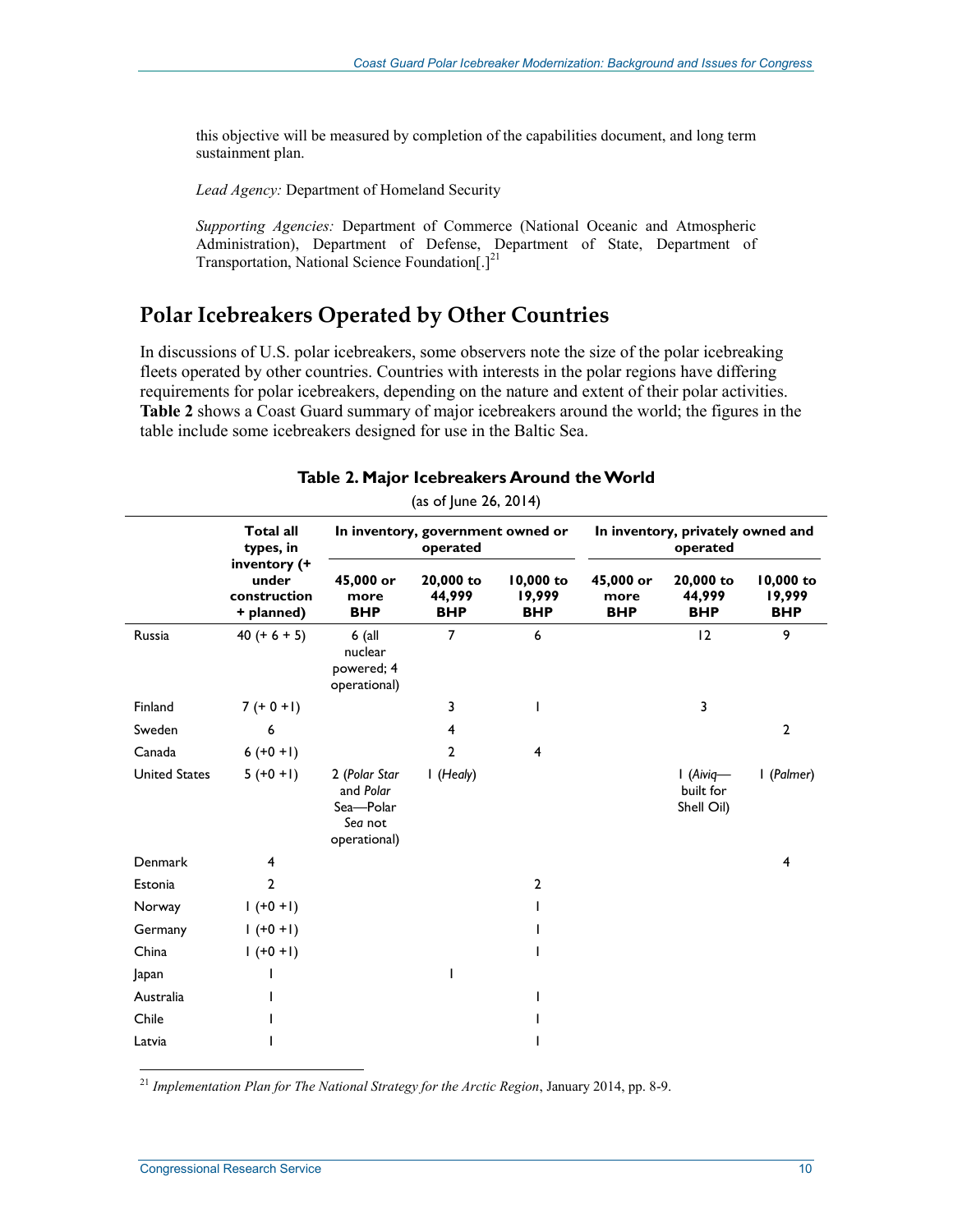this objective will be measured by completion of the capabilities document, and long term sustainment plan.

*Lead Agency:* Department of Homeland Security

*Supporting Agencies:* Department of Commerce (National Oceanic and Atmospheric Administration), Department of Defense, Department of State, Department of Transportation, National Science Foundation<sup>[121</sup>]<sup>21</sup>

## **Polar Icebreakers Operated by Other Countries**

In discussions of U.S. polar icebreakers, some observers note the size of the polar icebreaking fleets operated by other countries. Countries with interests in the polar regions have differing requirements for polar icebreakers, depending on the nature and extent of their polar activities. **Table 2** shows a Coast Guard summary of major icebreakers around the world; the figures in the table include some icebreakers designed for use in the Baltic Sea.

|                      |                                                     |                                                                    | $(100 - 1)$ and $-1)$ and $-1$    |                                   |                                               |                                      |                                   |  |
|----------------------|-----------------------------------------------------|--------------------------------------------------------------------|-----------------------------------|-----------------------------------|-----------------------------------------------|--------------------------------------|-----------------------------------|--|
|                      | Total all<br>types, in                              | In inventory, government owned or<br>operated                      |                                   |                                   | In inventory, privately owned and<br>operated |                                      |                                   |  |
|                      | inventory (+<br>under<br>construction<br>+ planned) | 45,000 or<br>more<br><b>BHP</b>                                    | 20,000 to<br>44,999<br><b>BHP</b> | 10,000 to<br>19,999<br><b>BHP</b> | 45,000 or<br>more<br><b>BHP</b>               | 20,000 to<br>44,999<br><b>BHP</b>    | 10,000 to<br>19,999<br><b>BHP</b> |  |
| Russia               | $40 (+ 6 + 5)$                                      | $6$ (all<br>nuclear<br>powered; 4<br>operational)                  | $\overline{7}$                    | 6                                 |                                               | 12                                   | 9                                 |  |
| Finland              | $7 (+ 0 + 1)$                                       |                                                                    | 3                                 |                                   |                                               | 3                                    |                                   |  |
| Sweden               | 6                                                   |                                                                    | 4                                 |                                   |                                               |                                      | $\overline{2}$                    |  |
| Canada               | $6 (+0 + 1)$                                        |                                                                    | $\overline{2}$                    | $\overline{4}$                    |                                               |                                      |                                   |  |
| <b>United States</b> | $5 (+0 + 1)$                                        | 2 (Polar Star<br>and Polar<br>Sea-Polar<br>Sea not<br>operational) | I (Healy)                         |                                   |                                               | I (Aivig-<br>built for<br>Shell Oil) | I (Palmer)                        |  |
| <b>Denmark</b>       | $\overline{4}$                                      |                                                                    |                                   |                                   |                                               |                                      | $\overline{4}$                    |  |
| Estonia              | $\overline{2}$                                      |                                                                    |                                   | $\mathbf{2}$                      |                                               |                                      |                                   |  |
| Norway               | $1 (+0 + 1)$                                        |                                                                    |                                   |                                   |                                               |                                      |                                   |  |
| Germany              | $1 (+0 + 1)$                                        |                                                                    |                                   |                                   |                                               |                                      |                                   |  |
| China                | $1 (+0 + 1)$                                        |                                                                    |                                   |                                   |                                               |                                      |                                   |  |
| Japan                |                                                     |                                                                    |                                   |                                   |                                               |                                      |                                   |  |
| Australia            |                                                     |                                                                    |                                   |                                   |                                               |                                      |                                   |  |
| Chile                |                                                     |                                                                    |                                   |                                   |                                               |                                      |                                   |  |
| Latvia               |                                                     |                                                                    |                                   |                                   |                                               |                                      |                                   |  |

**Table 2. Major Icebreakers Around the World**   $(as of June 26, 2014)$ 

<sup>21</sup> *Implementation Plan for The National Strategy for the Arctic Region*, January 2014, pp. 8-9.

<u>.</u>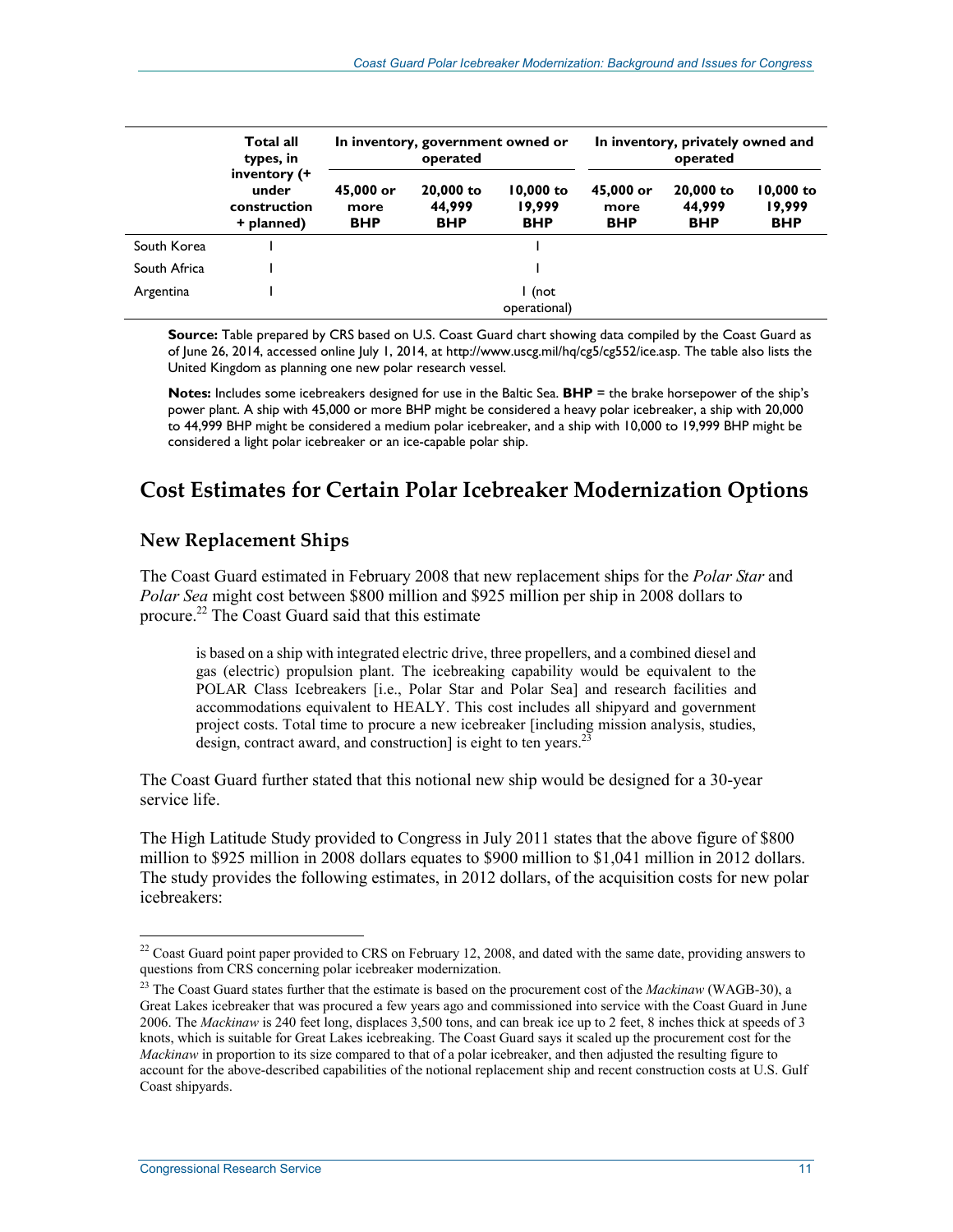|              | Total all<br>types, in                              |                                 | In inventory, government owned or<br>operated |                                     |                                 | In inventory, privately owned and<br>operated |                                     |
|--------------|-----------------------------------------------------|---------------------------------|-----------------------------------------------|-------------------------------------|---------------------------------|-----------------------------------------------|-------------------------------------|
|              | inventory (+<br>under<br>construction<br>+ planned) | 45,000 or<br>more<br><b>BHP</b> | $20,000$ to<br>44.999<br><b>BHP</b>           | $10,000$ to<br>19.999<br><b>BHP</b> | 45,000 or<br>more<br><b>BHP</b> | $20,000$ to<br>44.999<br><b>BHP</b>           | $10,000$ to<br>19,999<br><b>BHP</b> |
| South Korea  |                                                     |                                 |                                               |                                     |                                 |                                               |                                     |
| South Africa |                                                     |                                 |                                               |                                     |                                 |                                               |                                     |
| Argentina    |                                                     |                                 |                                               | l (not<br>operational)              |                                 |                                               |                                     |

**Source:** Table prepared by CRS based on U.S. Coast Guard chart showing data compiled by the Coast Guard as of June 26, 2014, accessed online July 1, 2014, at http://www.uscg.mil/hq/cg5/cg552/ice.asp. The table also lists the United Kingdom as planning one new polar research vessel.

**Notes:** Includes some icebreakers designed for use in the Baltic Sea. **BHP** = the brake horsepower of the ship's power plant. A ship with 45,000 or more BHP might be considered a heavy polar icebreaker, a ship with 20,000 to 44,999 BHP might be considered a medium polar icebreaker, and a ship with 10,000 to 19,999 BHP might be considered a light polar icebreaker or an ice-capable polar ship.

## **Cost Estimates for Certain Polar Icebreaker Modernization Options**

#### **New Replacement Ships**

The Coast Guard estimated in February 2008 that new replacement ships for the *Polar Star* and *Polar Sea* might cost between \$800 million and \$925 million per ship in 2008 dollars to procure.<sup>22</sup> The Coast Guard said that this estimate

is based on a ship with integrated electric drive, three propellers, and a combined diesel and gas (electric) propulsion plant. The icebreaking capability would be equivalent to the POLAR Class Icebreakers [i.e., Polar Star and Polar Sea] and research facilities and accommodations equivalent to HEALY. This cost includes all shipyard and government project costs. Total time to procure a new icebreaker [including mission analysis, studies, design, contract award, and construction] is eight to ten years.<sup>2</sup>

The Coast Guard further stated that this notional new ship would be designed for a 30-year service life.

The High Latitude Study provided to Congress in July 2011 states that the above figure of \$800 million to \$925 million in 2008 dollars equates to \$900 million to \$1,041 million in 2012 dollars. The study provides the following estimates, in 2012 dollars, of the acquisition costs for new polar icebreakers:

 $^{22}$  Coast Guard point paper provided to CRS on February 12, 2008, and dated with the same date, providing answers to questions from CRS concerning polar icebreaker modernization.

<sup>23</sup> The Coast Guard states further that the estimate is based on the procurement cost of the *Mackinaw* (WAGB-30), a Great Lakes icebreaker that was procured a few years ago and commissioned into service with the Coast Guard in June 2006. The *Mackinaw* is 240 feet long, displaces 3,500 tons, and can break ice up to 2 feet, 8 inches thick at speeds of 3 knots, which is suitable for Great Lakes icebreaking. The Coast Guard says it scaled up the procurement cost for the *Mackinaw* in proportion to its size compared to that of a polar icebreaker, and then adjusted the resulting figure to account for the above-described capabilities of the notional replacement ship and recent construction costs at U.S. Gulf Coast shipyards.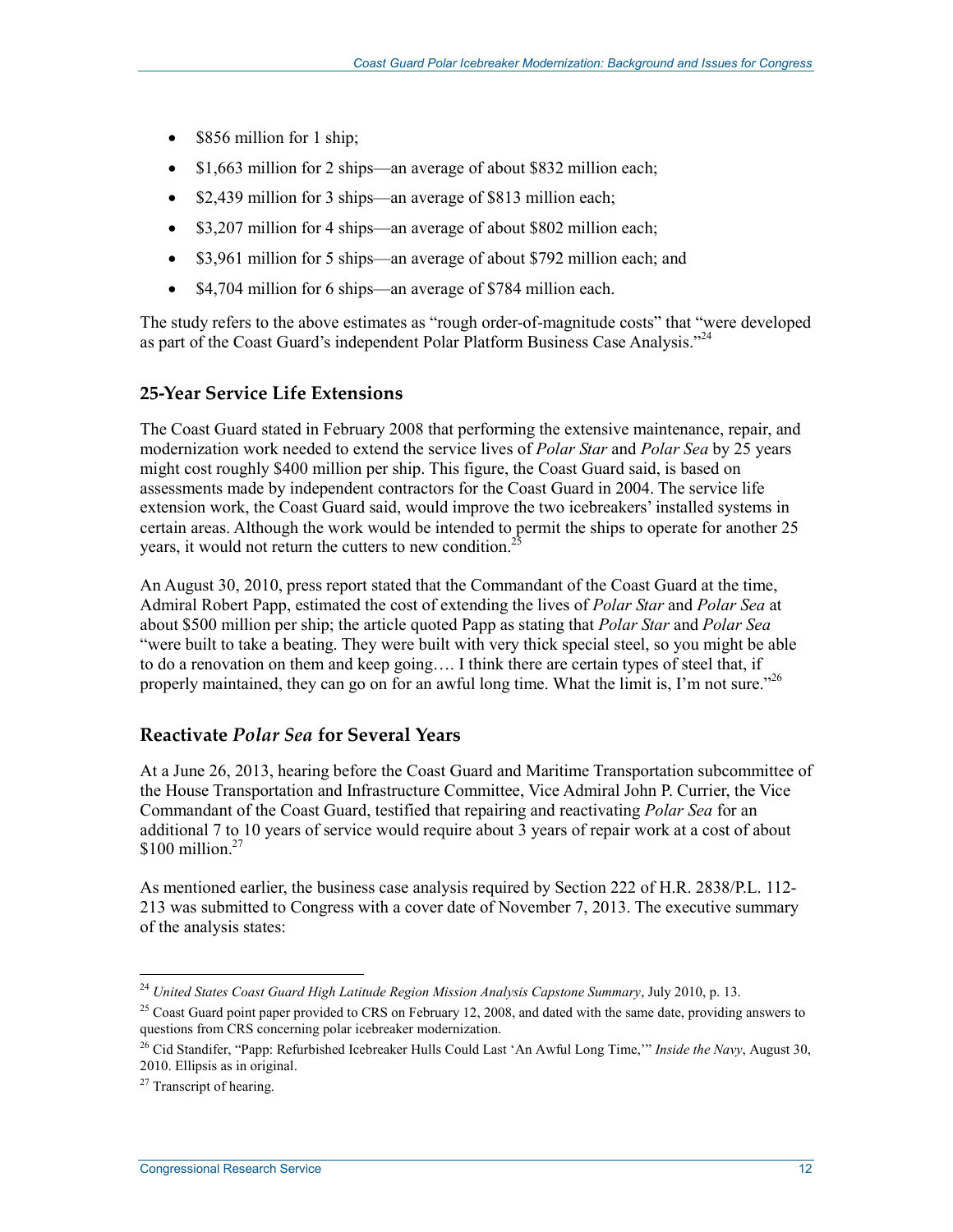- \$856 million for 1 ship;
- \$1,663 million for 2 ships—an average of about \$832 million each;
- \$2,439 million for 3 ships—an average of \$813 million each;
- \$3,207 million for 4 ships—an average of about \$802 million each;
- \$3,961 million for 5 ships—an average of about \$792 million each; and
- \$4,704 million for 6 ships—an average of \$784 million each.

The study refers to the above estimates as "rough order-of-magnitude costs" that "were developed as part of the Coast Guard's independent Polar Platform Business Case Analysis."<sup>24</sup>

#### **25-Year Service Life Extensions**

The Coast Guard stated in February 2008 that performing the extensive maintenance, repair, and modernization work needed to extend the service lives of *Polar Star* and *Polar Sea* by 25 years might cost roughly \$400 million per ship. This figure, the Coast Guard said, is based on assessments made by independent contractors for the Coast Guard in 2004. The service life extension work, the Coast Guard said, would improve the two icebreakers' installed systems in certain areas. Although the work would be intended to permit the ships to operate for another 25 years, it would not return the cutters to new condition.<sup>2</sup>

An August 30, 2010, press report stated that the Commandant of the Coast Guard at the time, Admiral Robert Papp, estimated the cost of extending the lives of *Polar Star* and *Polar Sea* at about \$500 million per ship; the article quoted Papp as stating that *Polar Star* and *Polar Sea* "were built to take a beating. They were built with very thick special steel, so you might be able to do a renovation on them and keep going…. I think there are certain types of steel that, if properly maintained, they can go on for an awful long time. What the limit is, I'm not sure."<sup>26</sup>

#### **Reactivate** *Polar Sea* **for Several Years**

At a June 26, 2013, hearing before the Coast Guard and Maritime Transportation subcommittee of the House Transportation and Infrastructure Committee, Vice Admiral John P. Currier, the Vice Commandant of the Coast Guard, testified that repairing and reactivating *Polar Sea* for an additional 7 to 10 years of service would require about 3 years of repair work at a cost of about  $$100$  million.<sup>27</sup>

As mentioned earlier, the business case analysis required by Section 222 of H.R. 2838/P.L. 112- 213 was submitted to Congress with a cover date of November 7, 2013. The executive summary of the analysis states:

<sup>24</sup> *United States Coast Guard High Latitude Region Mission Analysis Capstone Summary*, July 2010, p. 13.

<sup>&</sup>lt;sup>25</sup> Coast Guard point paper provided to CRS on February 12, 2008, and dated with the same date, providing answers to questions from CRS concerning polar icebreaker modernization.

<sup>26</sup> Cid Standifer, "Papp: Refurbished Icebreaker Hulls Could Last 'An Awful Long Time,'" *Inside the Navy*, August 30, 2010. Ellipsis as in original.

 $27$  Transcript of hearing.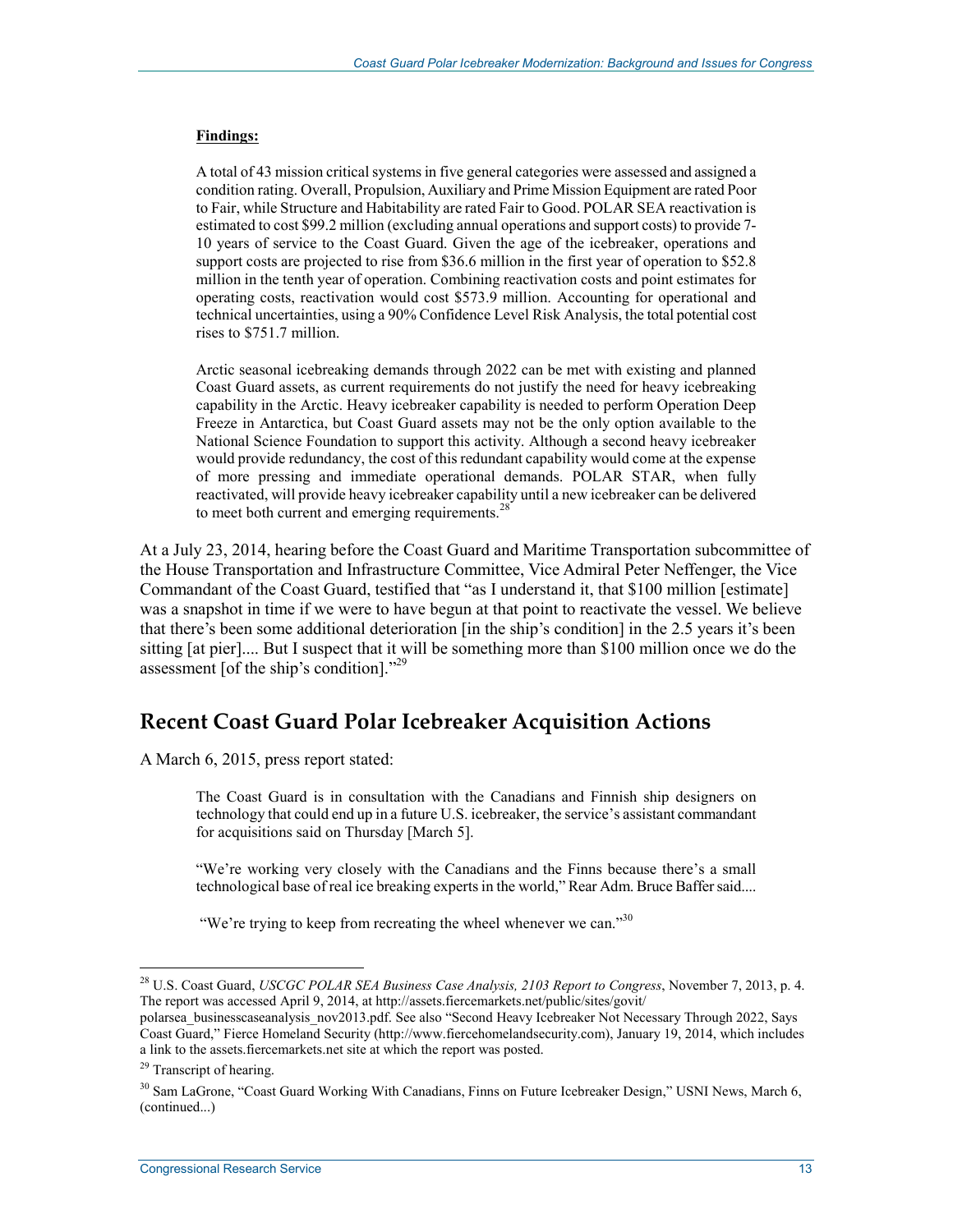#### **Findings:**

A total of 43 mission critical systems in five general categories were assessed and assigned a condition rating. Overall, Propulsion, Auxiliary and Prime Mission Equipment are rated Poor to Fair, while Structure and Habitability are rated Fair to Good. POLAR SEA reactivation is estimated to cost \$99.2 million (excluding annual operations and support costs) to provide 7- 10 years of service to the Coast Guard. Given the age of the icebreaker, operations and support costs are projected to rise from \$36.6 million in the first year of operation to \$52.8 million in the tenth year of operation. Combining reactivation costs and point estimates for operating costs, reactivation would cost \$573.9 million. Accounting for operational and technical uncertainties, using a 90% Confidence Level Risk Analysis, the total potential cost rises to \$751.7 million.

Arctic seasonal icebreaking demands through 2022 can be met with existing and planned Coast Guard assets, as current requirements do not justify the need for heavy icebreaking capability in the Arctic. Heavy icebreaker capability is needed to perform Operation Deep Freeze in Antarctica, but Coast Guard assets may not be the only option available to the National Science Foundation to support this activity. Although a second heavy icebreaker would provide redundancy, the cost of this redundant capability would come at the expense of more pressing and immediate operational demands. POLAR STAR, when fully reactivated, will provide heavy icebreaker capability until a new icebreaker can be delivered to meet both current and emerging requirements.<sup>28</sup>

At a July 23, 2014, hearing before the Coast Guard and Maritime Transportation subcommittee of the House Transportation and Infrastructure Committee, Vice Admiral Peter Neffenger, the Vice Commandant of the Coast Guard, testified that "as I understand it, that \$100 million [estimate] was a snapshot in time if we were to have begun at that point to reactivate the vessel. We believe that there's been some additional deterioration [in the ship's condition] in the 2.5 years it's been sitting [at pier].... But I suspect that it will be something more than \$100 million once we do the assessment [of the ship's condition]."<sup>29</sup>

### **Recent Coast Guard Polar Icebreaker Acquisition Actions**

A March 6, 2015, press report stated:

The Coast Guard is in consultation with the Canadians and Finnish ship designers on technology that could end up in a future U.S. icebreaker, the service's assistant commandant for acquisitions said on Thursday [March 5].

"We're working very closely with the Canadians and the Finns because there's a small technological base of real ice breaking experts in the world," Rear Adm. Bruce Baffer said....

"We're trying to keep from recreating the wheel whenever we can."<sup>30</sup>

<sup>28</sup> U.S. Coast Guard, *USCGC POLAR SEA Business Case Analysis, 2103 Report to Congress*, November 7, 2013, p. 4. The report was accessed April 9, 2014, at http://assets.fiercemarkets.net/public/sites/govit/

polarsea\_businesscaseanalysis\_nov2013.pdf. See also "Second Heavy Icebreaker Not Necessary Through 2022, Says Coast Guard," Fierce Homeland Security (http://www.fiercehomelandsecurity.com), January 19, 2014, which includes a link to the assets.fiercemarkets.net site at which the report was posted.

<sup>&</sup>lt;sup>29</sup> Transcript of hearing.

<sup>&</sup>lt;sup>30</sup> Sam LaGrone, "Coast Guard Working With Canadians, Finns on Future Icebreaker Design," USNI News, March 6, (continued...)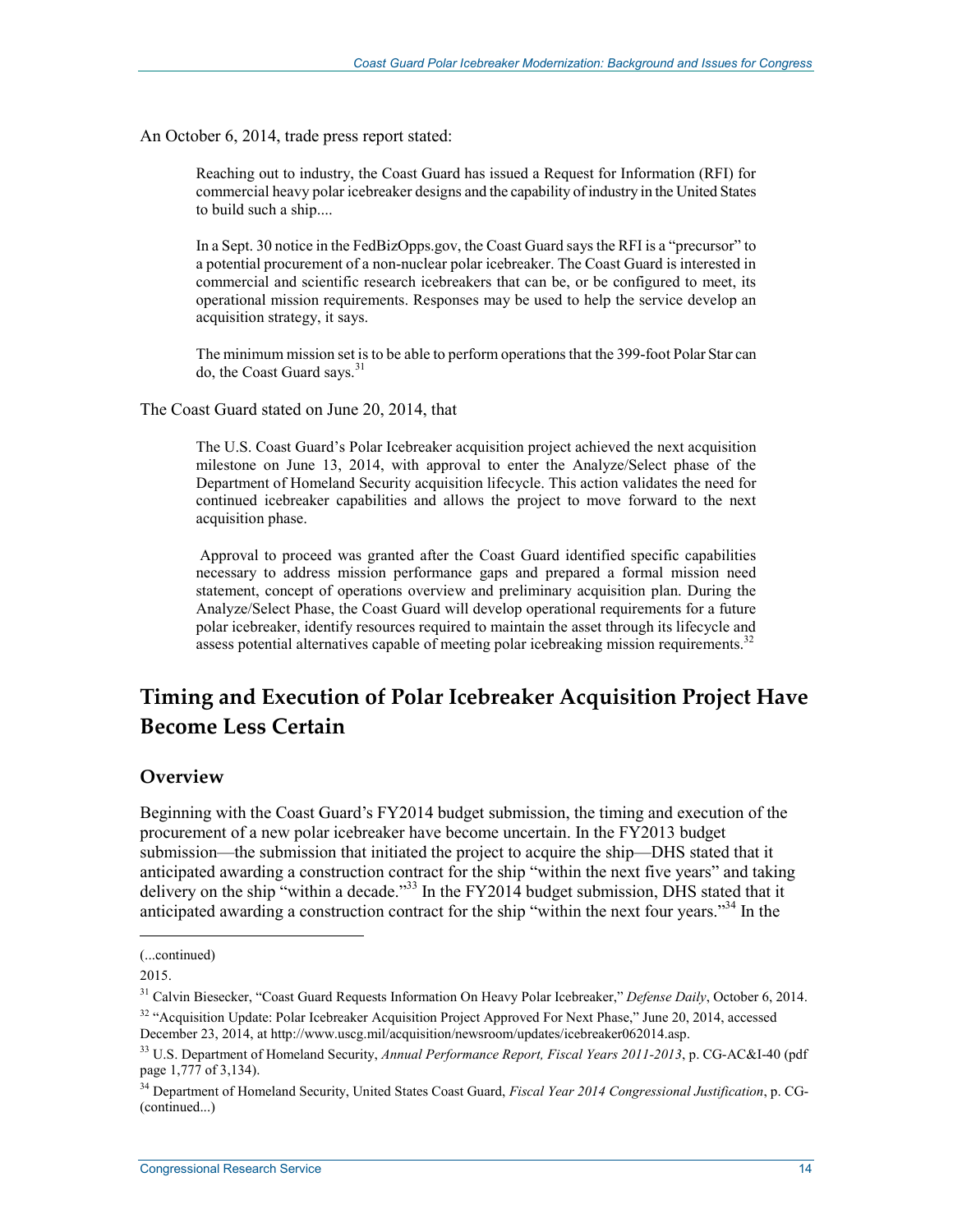An October 6, 2014, trade press report stated:

Reaching out to industry, the Coast Guard has issued a Request for Information (RFI) for commercial heavy polar icebreaker designs and the capability of industry in the United States to build such a ship....

In a Sept. 30 notice in the FedBizOpps.gov, the Coast Guard says the RFI is a "precursor" to a potential procurement of a non-nuclear polar icebreaker. The Coast Guard is interested in commercial and scientific research icebreakers that can be, or be configured to meet, its operational mission requirements. Responses may be used to help the service develop an acquisition strategy, it says.

The minimum mission set is to be able to perform operations that the 399-foot Polar Star can do, the Coast Guard says.<sup>31</sup>

The Coast Guard stated on June 20, 2014, that

The U.S. Coast Guard's Polar Icebreaker acquisition project achieved the next acquisition milestone on June 13, 2014, with approval to enter the Analyze/Select phase of the Department of Homeland Security acquisition lifecycle. This action validates the need for continued icebreaker capabilities and allows the project to move forward to the next acquisition phase.

 Approval to proceed was granted after the Coast Guard identified specific capabilities necessary to address mission performance gaps and prepared a formal mission need statement, concept of operations overview and preliminary acquisition plan. During the Analyze/Select Phase, the Coast Guard will develop operational requirements for a future polar icebreaker, identify resources required to maintain the asset through its lifecycle and assess potential alternatives capable of meeting polar icebreaking mission requirements.<sup>32</sup>

## **Timing and Execution of Polar Icebreaker Acquisition Project Have Become Less Certain**

#### **Overview**

Beginning with the Coast Guard's FY2014 budget submission, the timing and execution of the procurement of a new polar icebreaker have become uncertain. In the FY2013 budget submission—the submission that initiated the project to acquire the ship—DHS stated that it anticipated awarding a construction contract for the ship "within the next five years" and taking delivery on the ship "within a decade."<sup>33</sup> In the FY2014 budget submission, DHS stated that it anticipated awarding a construction contract for the ship "within the next four years."<sup>34</sup> In the

<sup>(...</sup>continued)

<sup>2015.</sup> 

<sup>31</sup> Calvin Biesecker, "Coast Guard Requests Information On Heavy Polar Icebreaker," *Defense Daily*, October 6, 2014. <sup>32</sup> "Acquisition Update: Polar Icebreaker Acquisition Project Approved For Next Phase," June 20, 2014, accessed

December 23, 2014, at http://www.uscg.mil/acquisition/newsroom/updates/icebreaker062014.asp.

<sup>33</sup> U.S. Department of Homeland Security, *Annual Performance Report, Fiscal Years 2011-2013*, p. CG-AC&I-40 (pdf page 1,777 of 3,134).

<sup>34</sup> Department of Homeland Security, United States Coast Guard, *Fiscal Year 2014 Congressional Justification*, p. CG- (continued...)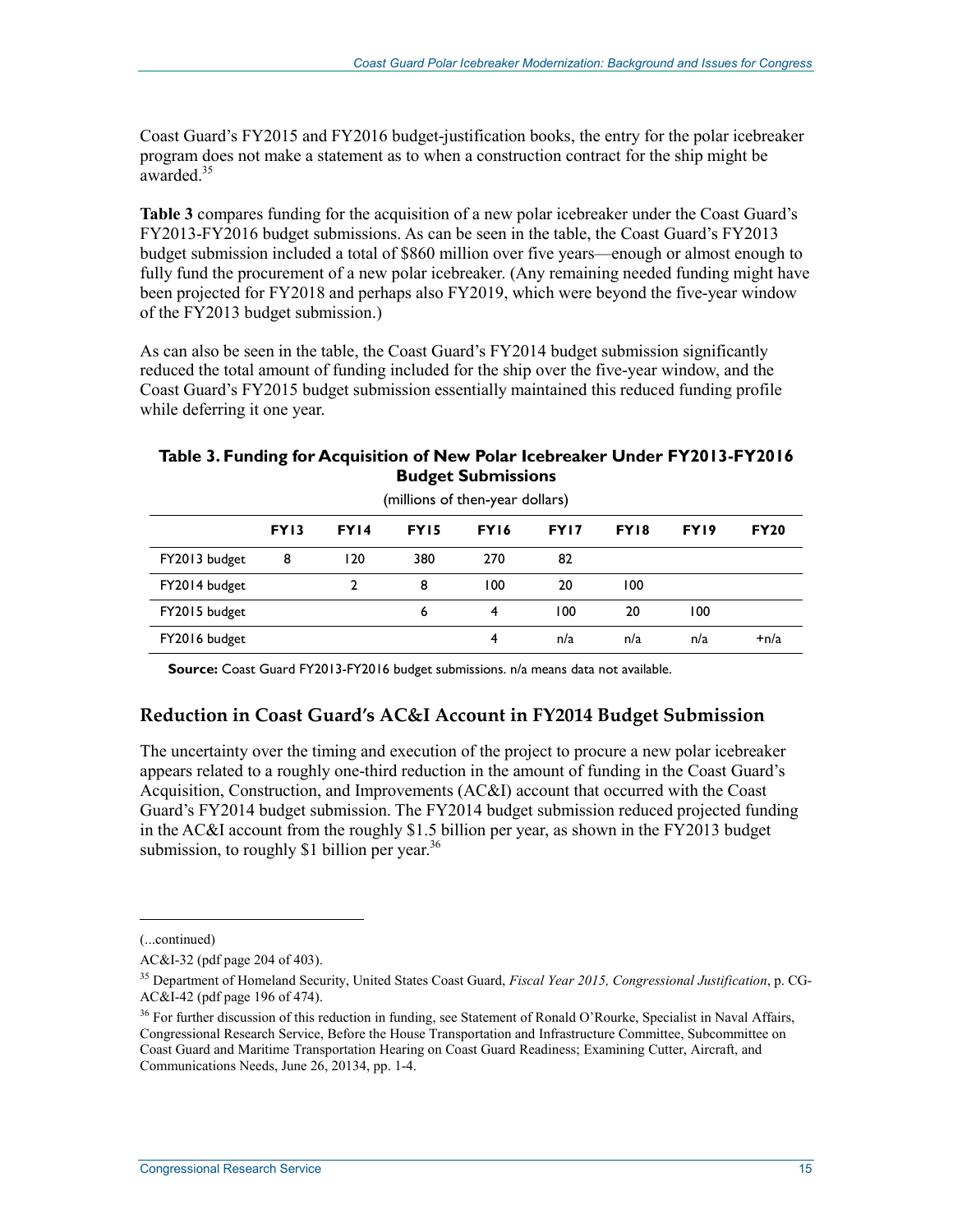Coast Guard's FY2015 and FY2016 budget-justification books, the entry for the polar icebreaker program does not make a statement as to when a construction contract for the ship might be awarded.<sup>35</sup>

**Table 3** compares funding for the acquisition of a new polar icebreaker under the Coast Guard's FY2013-FY2016 budget submissions. As can be seen in the table, the Coast Guard's FY2013 budget submission included a total of \$860 million over five years—enough or almost enough to fully fund the procurement of a new polar icebreaker. (Any remaining needed funding might have been projected for FY2018 and perhaps also FY2019, which were beyond the five-year window of the FY2013 budget submission.)

As can also be seen in the table, the Coast Guard's FY2014 budget submission significantly reduced the total amount of funding included for the ship over the five-year window, and the Coast Guard's FY2015 budget submission essentially maintained this reduced funding profile while deferring it one year.

#### **Table 3. Funding for Acquisition of New Polar Icebreaker Under FY2013-FY2016 Budget Submissions**

| (millions of then-year dollars) |                  |      |                  |             |      |      |                  |             |
|---------------------------------|------------------|------|------------------|-------------|------|------|------------------|-------------|
|                                 | FY <sub>13</sub> | FY14 | FY <sub>15</sub> | <b>FY16</b> | FY17 | FY18 | FY <sub>19</sub> | <b>FY20</b> |
| FY2013 budget                   | 8                | 120  | 380              | 270         | 82   |      |                  |             |
| FY2014 budget                   |                  |      | 8                | 100         | 20   | 100  |                  |             |
| FY2015 budget                   |                  |      | 6                | 4           | 100  | 20   | 100              |             |
| FY2016 budget                   |                  |      |                  | 4           | n/a  | n/a  | n/a              | $+n/a$      |

**Source:** Coast Guard FY2013-FY2016 budget submissions. n/a means data not available.

#### **Reduction in Coast Guard's AC&I Account in FY2014 Budget Submission**

The uncertainty over the timing and execution of the project to procure a new polar icebreaker appears related to a roughly one-third reduction in the amount of funding in the Coast Guard's Acquisition, Construction, and Improvements (AC&I) account that occurred with the Coast Guard's FY2014 budget submission. The FY2014 budget submission reduced projected funding in the AC&I account from the roughly \$1.5 billion per year, as shown in the FY2013 budget submission, to roughly \$1 billion per year.  $36$ 

 $\overline{a}$ 

<sup>(...</sup>continued)

AC&I-32 (pdf page 204 of 403).

<sup>35</sup> Department of Homeland Security, United States Coast Guard, *Fiscal Year 2015, Congressional Justification*, p. CG-AC&I-42 (pdf page 196 of 474).

<sup>&</sup>lt;sup>36</sup> For further discussion of this reduction in funding, see Statement of Ronald O'Rourke, Specialist in Naval Affairs, Congressional Research Service, Before the House Transportation and Infrastructure Committee, Subcommittee on Coast Guard and Maritime Transportation Hearing on Coast Guard Readiness; Examining Cutter, Aircraft, and Communications Needs, June 26, 20134, pp. 1-4.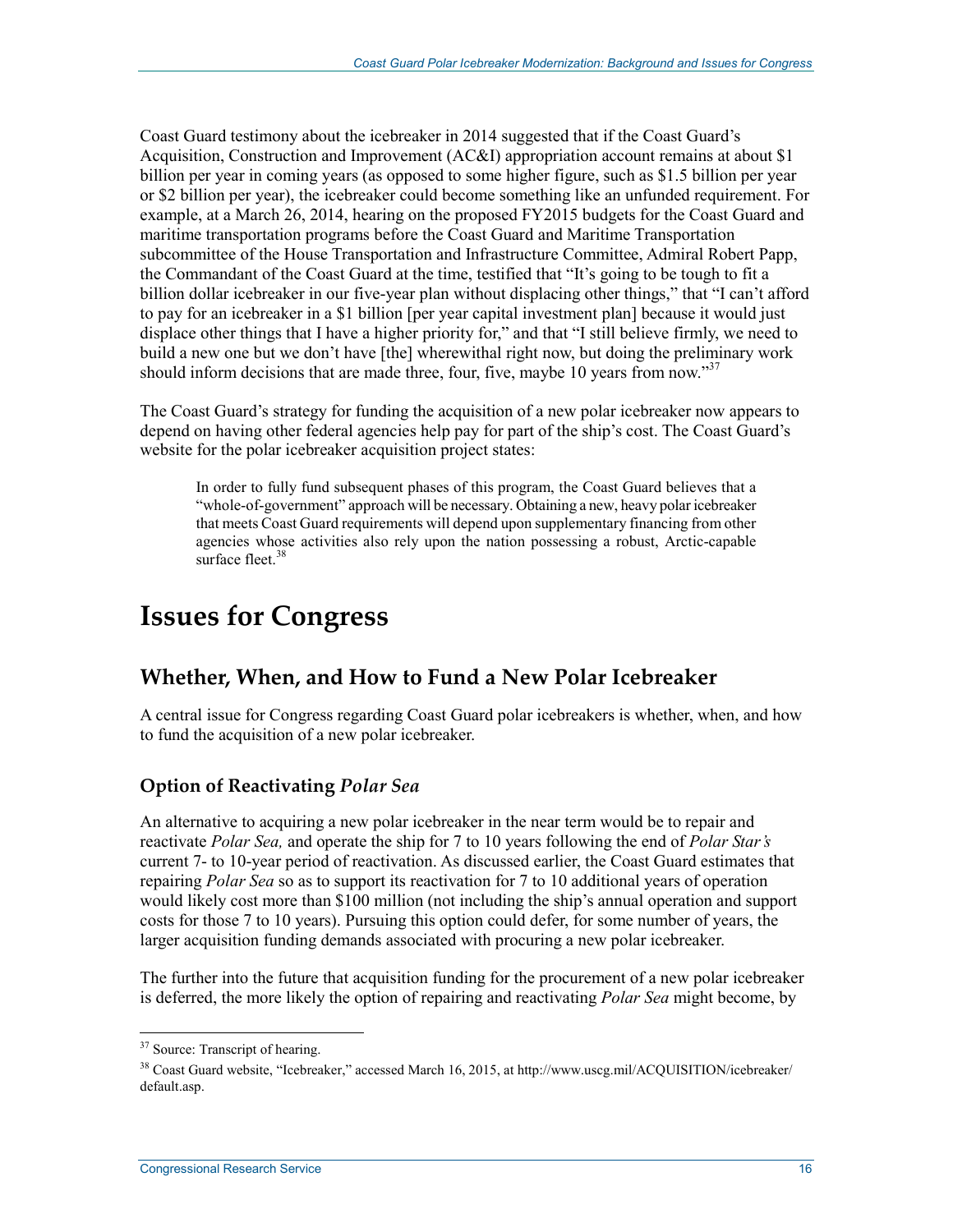Coast Guard testimony about the icebreaker in 2014 suggested that if the Coast Guard's Acquisition, Construction and Improvement (AC&I) appropriation account remains at about \$1 billion per year in coming years (as opposed to some higher figure, such as \$1.5 billion per year or \$2 billion per year), the icebreaker could become something like an unfunded requirement. For example, at a March 26, 2014, hearing on the proposed FY2015 budgets for the Coast Guard and maritime transportation programs before the Coast Guard and Maritime Transportation subcommittee of the House Transportation and Infrastructure Committee, Admiral Robert Papp, the Commandant of the Coast Guard at the time, testified that "It's going to be tough to fit a billion dollar icebreaker in our five-year plan without displacing other things," that "I can't afford to pay for an icebreaker in a \$1 billion [per year capital investment plan] because it would just displace other things that I have a higher priority for," and that "I still believe firmly, we need to build a new one but we don't have [the] wherewithal right now, but doing the preliminary work should inform decisions that are made three, four, five, maybe 10 years from now."<sup>37</sup>

The Coast Guard's strategy for funding the acquisition of a new polar icebreaker now appears to depend on having other federal agencies help pay for part of the ship's cost. The Coast Guard's website for the polar icebreaker acquisition project states:

In order to fully fund subsequent phases of this program, the Coast Guard believes that a "whole-of-government" approach will be necessary. Obtaining a new, heavy polar icebreaker that meets Coast Guard requirements will depend upon supplementary financing from other agencies whose activities also rely upon the nation possessing a robust, Arctic-capable surface fleet.<sup>38</sup>

## **Issues for Congress**

### **Whether, When, and How to Fund a New Polar Icebreaker**

A central issue for Congress regarding Coast Guard polar icebreakers is whether, when, and how to fund the acquisition of a new polar icebreaker.

#### **Option of Reactivating** *Polar Sea*

An alternative to acquiring a new polar icebreaker in the near term would be to repair and reactivate *Polar Sea,* and operate the ship for 7 to 10 years following the end of *Polar Star's* current 7- to 10-year period of reactivation. As discussed earlier, the Coast Guard estimates that repairing *Polar Sea* so as to support its reactivation for 7 to 10 additional years of operation would likely cost more than \$100 million (not including the ship's annual operation and support costs for those 7 to 10 years). Pursuing this option could defer, for some number of years, the larger acquisition funding demands associated with procuring a new polar icebreaker.

The further into the future that acquisition funding for the procurement of a new polar icebreaker is deferred, the more likely the option of repairing and reactivating *Polar Sea* might become, by

<sup>37</sup> Source: Transcript of hearing.

<sup>&</sup>lt;sup>38</sup> Coast Guard website, "Icebreaker," accessed March 16, 2015, at http://www.uscg.mil/ACQUISITION/icebreaker/ default.asp.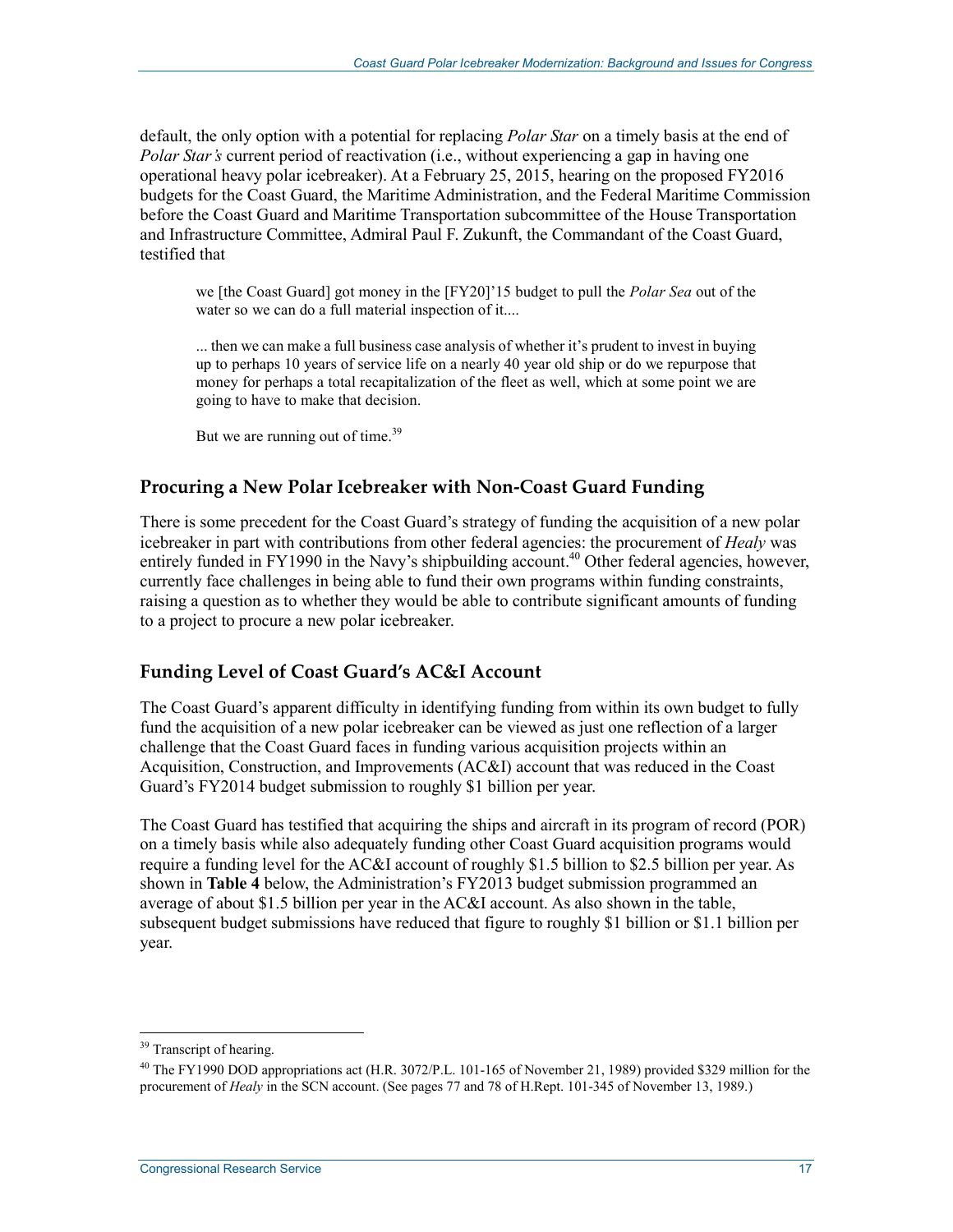default, the only option with a potential for replacing *Polar Star* on a timely basis at the end of *Polar Star's* current period of reactivation (i.e., without experiencing a gap in having one operational heavy polar icebreaker). At a February 25, 2015, hearing on the proposed FY2016 budgets for the Coast Guard, the Maritime Administration, and the Federal Maritime Commission before the Coast Guard and Maritime Transportation subcommittee of the House Transportation and Infrastructure Committee, Admiral Paul F. Zukunft, the Commandant of the Coast Guard, testified that

we [the Coast Guard] got money in the [FY20]'15 budget to pull the *Polar Sea* out of the water so we can do a full material inspection of it....

... then we can make a full business case analysis of whether it's prudent to invest in buying up to perhaps 10 years of service life on a nearly 40 year old ship or do we repurpose that money for perhaps a total recapitalization of the fleet as well, which at some point we are going to have to make that decision.

But we are running out of time. $39$ 

#### **Procuring a New Polar Icebreaker with Non-Coast Guard Funding**

There is some precedent for the Coast Guard's strategy of funding the acquisition of a new polar icebreaker in part with contributions from other federal agencies: the procurement of *Healy* was entirely funded in FY1990 in the Navy's shipbuilding account.<sup>40</sup> Other federal agencies, however, currently face challenges in being able to fund their own programs within funding constraints, raising a question as to whether they would be able to contribute significant amounts of funding to a project to procure a new polar icebreaker.

#### **Funding Level of Coast Guard's AC&I Account**

The Coast Guard's apparent difficulty in identifying funding from within its own budget to fully fund the acquisition of a new polar icebreaker can be viewed as just one reflection of a larger challenge that the Coast Guard faces in funding various acquisition projects within an Acquisition, Construction, and Improvements (AC&I) account that was reduced in the Coast Guard's FY2014 budget submission to roughly \$1 billion per year.

The Coast Guard has testified that acquiring the ships and aircraft in its program of record (POR) on a timely basis while also adequately funding other Coast Guard acquisition programs would require a funding level for the AC&I account of roughly \$1.5 billion to \$2.5 billion per year. As shown in **Table 4** below, the Administration's FY2013 budget submission programmed an average of about \$1.5 billion per year in the AC&I account. As also shown in the table, subsequent budget submissions have reduced that figure to roughly \$1 billion or \$1.1 billion per year.

<sup>&</sup>lt;sup>39</sup> Transcript of hearing.

 $^{40}$  The FY1990 DOD appropriations act (H.R. 3072/P.L. 101-165 of November 21, 1989) provided \$329 million for the procurement of *Healy* in the SCN account. (See pages 77 and 78 of H.Rept. 101-345 of November 13, 1989.)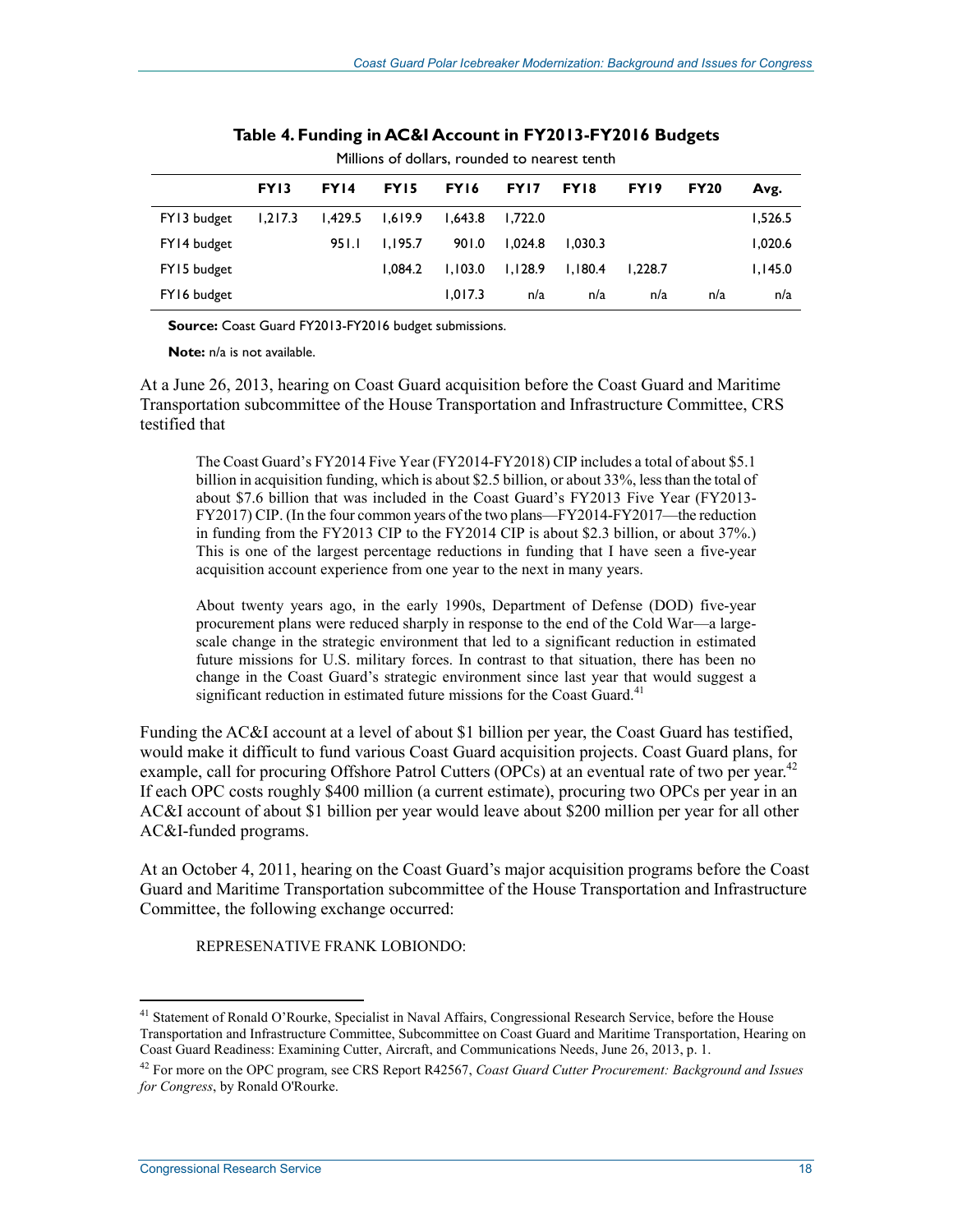|             | FY <sub>13</sub> | FY14    | FY <sub>15</sub> | FY16    | FY17    | FY18    | FY <sub>19</sub> | <b>FY20</b> | Avg.    |
|-------------|------------------|---------|------------------|---------|---------|---------|------------------|-------------|---------|
| FY13 budget | 1,217.3          | 1,429.5 | 1,619.9          | 1,643.8 | 1.722.0 |         |                  |             | 1,526.5 |
| FY14 budget |                  | 95 I.I  | 1.195.7          | 901.0   | 1.024.8 | 1.030.3 |                  |             | 1,020.6 |
| FY15 budget |                  |         | 1.084.2          | 1.103.0 | 1.128.9 | 1.180.4 | 1.228.7          |             | 1,145.0 |
| FY16 budget |                  |         |                  | 1.017.3 | n/a     | n/a     | n/a              | n/a         | n/a     |

#### **Table 4. Funding in AC&I Account in FY2013-FY2016 Budgets**

Millions of dollars, rounded to nearest tenth

**Source:** Coast Guard FY2013-FY2016 budget submissions.

**Note:** n/a is not available.

At a June 26, 2013, hearing on Coast Guard acquisition before the Coast Guard and Maritime Transportation subcommittee of the House Transportation and Infrastructure Committee, CRS testified that

The Coast Guard's FY2014 Five Year (FY2014-FY2018) CIP includes a total of about \$5.1 billion in acquisition funding, which is about \$2.5 billion, or about 33%, less than the total of about \$7.6 billion that was included in the Coast Guard's FY2013 Five Year (FY2013- FY2017) CIP. (In the four common years of the two plans—FY2014-FY2017—the reduction in funding from the FY2013 CIP to the FY2014 CIP is about \$2.3 billion, or about 37%.) This is one of the largest percentage reductions in funding that I have seen a five-year acquisition account experience from one year to the next in many years.

About twenty years ago, in the early 1990s, Department of Defense (DOD) five-year procurement plans were reduced sharply in response to the end of the Cold War—a largescale change in the strategic environment that led to a significant reduction in estimated future missions for U.S. military forces. In contrast to that situation, there has been no change in the Coast Guard's strategic environment since last year that would suggest a significant reduction in estimated future missions for the Coast Guard.<sup>41</sup>

Funding the AC&I account at a level of about \$1 billion per year, the Coast Guard has testified, would make it difficult to fund various Coast Guard acquisition projects. Coast Guard plans, for example, call for procuring Offshore Patrol Cutters (OPCs) at an eventual rate of two per year.<sup>42</sup> If each OPC costs roughly \$400 million (a current estimate), procuring two OPCs per year in an AC&I account of about \$1 billion per year would leave about \$200 million per year for all other AC&I-funded programs.

At an October 4, 2011, hearing on the Coast Guard's major acquisition programs before the Coast Guard and Maritime Transportation subcommittee of the House Transportation and Infrastructure Committee, the following exchange occurred:

#### REPRESENATIVE FRANK LOBIONDO:

<sup>&</sup>lt;sup>41</sup> Statement of Ronald O'Rourke, Specialist in Naval Affairs, Congressional Research Service, before the House Transportation and Infrastructure Committee, Subcommittee on Coast Guard and Maritime Transportation, Hearing on Coast Guard Readiness: Examining Cutter, Aircraft, and Communications Needs, June 26, 2013, p. 1.

<sup>42</sup> For more on the OPC program, see CRS Report R42567, *Coast Guard Cutter Procurement: Background and Issues for Congress*, by Ronald O'Rourke.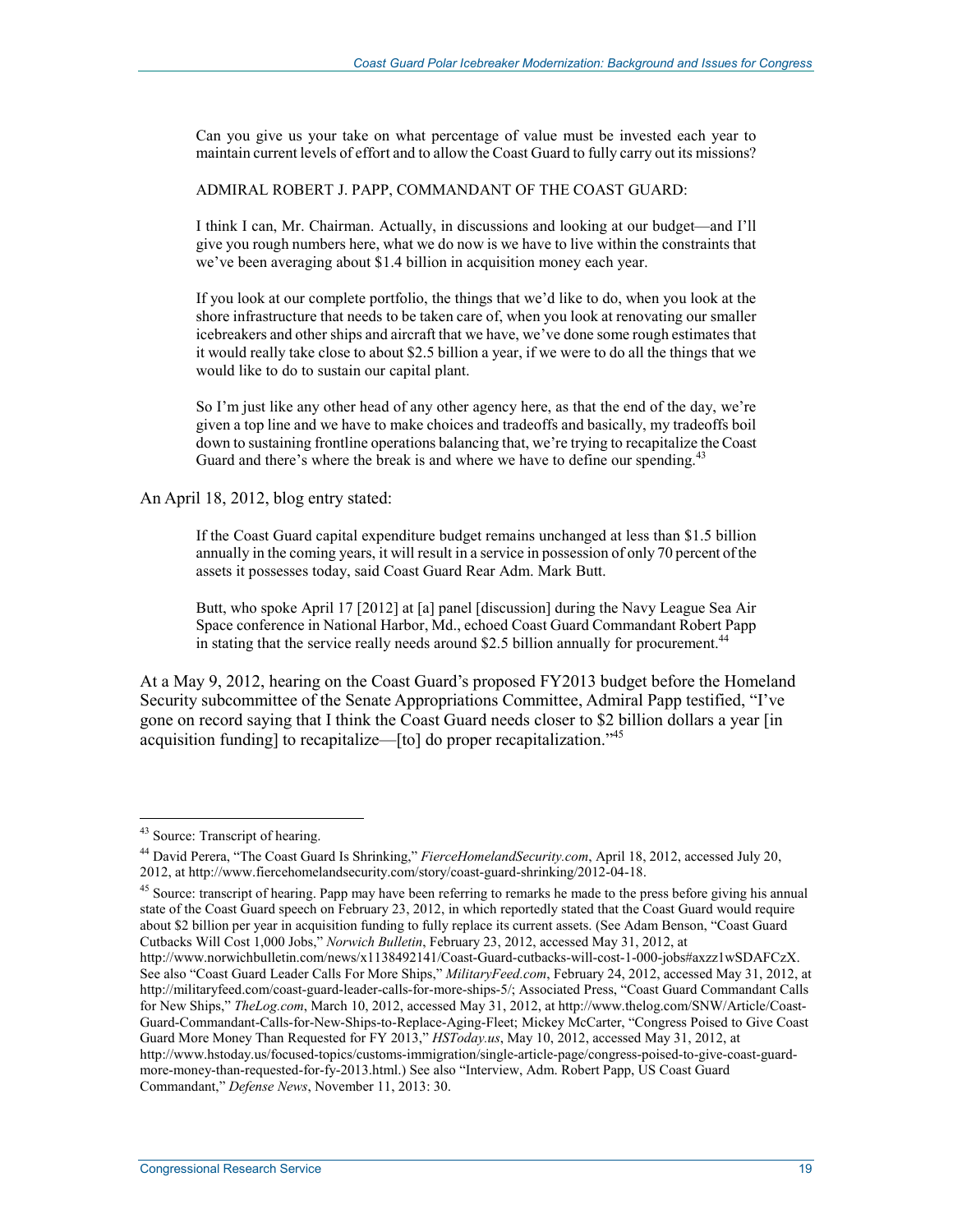Can you give us your take on what percentage of value must be invested each year to maintain current levels of effort and to allow the Coast Guard to fully carry out its missions?

ADMIRAL ROBERT J. PAPP, COMMANDANT OF THE COAST GUARD:

I think I can, Mr. Chairman. Actually, in discussions and looking at our budget—and I'll give you rough numbers here, what we do now is we have to live within the constraints that we've been averaging about \$1.4 billion in acquisition money each year.

If you look at our complete portfolio, the things that we'd like to do, when you look at the shore infrastructure that needs to be taken care of, when you look at renovating our smaller icebreakers and other ships and aircraft that we have, we've done some rough estimates that it would really take close to about \$2.5 billion a year, if we were to do all the things that we would like to do to sustain our capital plant.

So I'm just like any other head of any other agency here, as that the end of the day, we're given a top line and we have to make choices and tradeoffs and basically, my tradeoffs boil down to sustaining frontline operations balancing that, we're trying to recapitalize the Coast Guard and there's where the break is and where we have to define our spending.<sup>43</sup>

An April 18, 2012, blog entry stated:

If the Coast Guard capital expenditure budget remains unchanged at less than \$1.5 billion annually in the coming years, it will result in a service in possession of only 70 percent of the assets it possesses today, said Coast Guard Rear Adm. Mark Butt.

Butt, who spoke April 17 [2012] at [a] panel [discussion] during the Navy League Sea Air Space conference in National Harbor, Md., echoed Coast Guard Commandant Robert Papp in stating that the service really needs around \$2.5 billion annually for procurement.<sup>44</sup>

At a May 9, 2012, hearing on the Coast Guard's proposed FY2013 budget before the Homeland Security subcommittee of the Senate Appropriations Committee, Admiral Papp testified, "I've gone on record saying that I think the Coast Guard needs closer to \$2 billion dollars a year [in acquisition funding] to recapitalize—[to] do proper recapitalization."45

<u>.</u>

<sup>45</sup> Source: transcript of hearing. Papp may have been referring to remarks he made to the press before giving his annual state of the Coast Guard speech on February 23, 2012, in which reportedly stated that the Coast Guard would require about \$2 billion per year in acquisition funding to fully replace its current assets. (See Adam Benson, "Coast Guard Cutbacks Will Cost 1,000 Jobs," *Norwich Bulletin*, February 23, 2012, accessed May 31, 2012, at http://www.norwichbulletin.com/news/x1138492141/Coast-Guard-cutbacks-will-cost-1-000-jobs#axzz1wSDAFCzX. See also "Coast Guard Leader Calls For More Ships," *MilitaryFeed.com*, February 24, 2012, accessed May 31, 2012, at http://militaryfeed.com/coast-guard-leader-calls-for-more-ships-5/; Associated Press, "Coast Guard Commandant Calls for New Ships," *TheLog.com*, March 10, 2012, accessed May 31, 2012, at http://www.thelog.com/SNW/Article/Coast-Guard-Commandant-Calls-for-New-Ships-to-Replace-Aging-Fleet; Mickey McCarter, "Congress Poised to Give Coast Guard More Money Than Requested for FY 2013," *HSToday.us*, May 10, 2012, accessed May 31, 2012, at http://www.hstoday.us/focused-topics/customs-immigration/single-article-page/congress-poised-to-give-coast-guardmore-money-than-requested-for-fy-2013.html.) See also "Interview, Adm. Robert Papp, US Coast Guard Commandant," *Defense News*, November 11, 2013: 30.

<sup>43</sup> Source: Transcript of hearing.

<sup>44</sup> David Perera, "The Coast Guard Is Shrinking," *FierceHomelandSecurity.com*, April 18, 2012, accessed July 20, 2012, at http://www.fiercehomelandsecurity.com/story/coast-guard-shrinking/2012-04-18.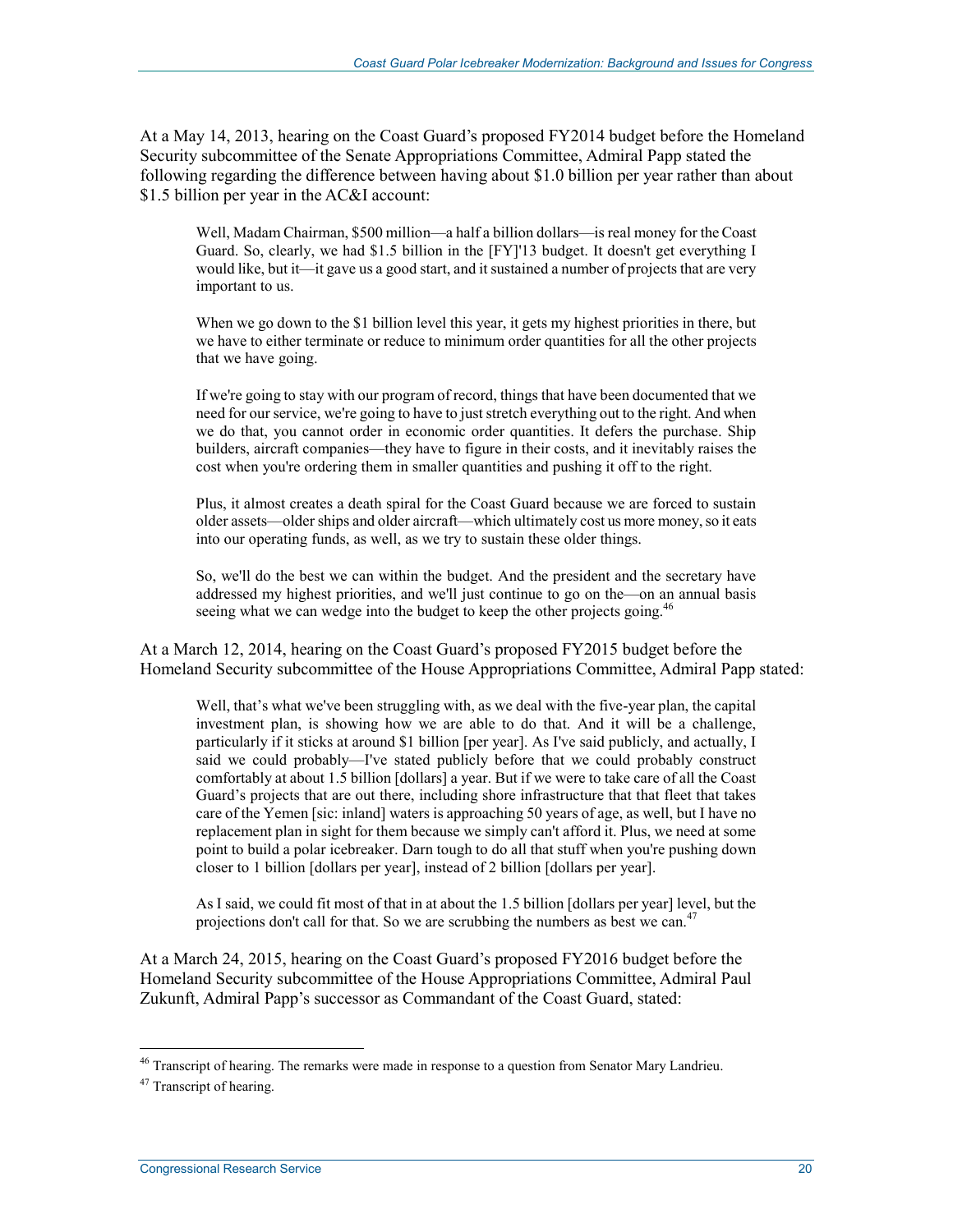At a May 14, 2013, hearing on the Coast Guard's proposed FY2014 budget before the Homeland Security subcommittee of the Senate Appropriations Committee, Admiral Papp stated the following regarding the difference between having about \$1.0 billion per year rather than about \$1.5 billion per year in the AC&I account:

Well, Madam Chairman, \$500 million—a half a billion dollars—is real money for the Coast Guard. So, clearly, we had \$1.5 billion in the [FY]'13 budget. It doesn't get everything I would like, but it—it gave us a good start, and it sustained a number of projects that are very important to us.

When we go down to the \$1 billion level this year, it gets my highest priorities in there, but we have to either terminate or reduce to minimum order quantities for all the other projects that we have going.

If we're going to stay with our program of record, things that have been documented that we need for our service, we're going to have to just stretch everything out to the right. And when we do that, you cannot order in economic order quantities. It defers the purchase. Ship builders, aircraft companies—they have to figure in their costs, and it inevitably raises the cost when you're ordering them in smaller quantities and pushing it off to the right.

Plus, it almost creates a death spiral for the Coast Guard because we are forced to sustain older assets—older ships and older aircraft—which ultimately cost us more money, so it eats into our operating funds, as well, as we try to sustain these older things.

So, we'll do the best we can within the budget. And the president and the secretary have addressed my highest priorities, and we'll just continue to go on the—on an annual basis seeing what we can wedge into the budget to keep the other projects going.<sup>46</sup>

At a March 12, 2014, hearing on the Coast Guard's proposed FY2015 budget before the Homeland Security subcommittee of the House Appropriations Committee, Admiral Papp stated:

Well, that's what we've been struggling with, as we deal with the five-year plan, the capital investment plan, is showing how we are able to do that. And it will be a challenge, particularly if it sticks at around \$1 billion [per year]. As I've said publicly, and actually, I said we could probably—I've stated publicly before that we could probably construct comfortably at about 1.5 billion [dollars] a year. But if we were to take care of all the Coast Guard's projects that are out there, including shore infrastructure that that fleet that takes care of the Yemen [sic: inland] waters is approaching 50 years of age, as well, but I have no replacement plan in sight for them because we simply can't afford it. Plus, we need at some point to build a polar icebreaker. Darn tough to do all that stuff when you're pushing down closer to 1 billion [dollars per year], instead of 2 billion [dollars per year].

As I said, we could fit most of that in at about the 1.5 billion [dollars per year] level, but the projections don't call for that. So we are scrubbing the numbers as best we can.<sup>47</sup>

At a March 24, 2015, hearing on the Coast Guard's proposed FY2016 budget before the Homeland Security subcommittee of the House Appropriations Committee, Admiral Paul Zukunft, Admiral Papp's successor as Commandant of the Coast Guard, stated:

<sup>&</sup>lt;sup>46</sup> Transcript of hearing. The remarks were made in response to a question from Senator Mary Landrieu.

<sup>&</sup>lt;sup>47</sup> Transcript of hearing.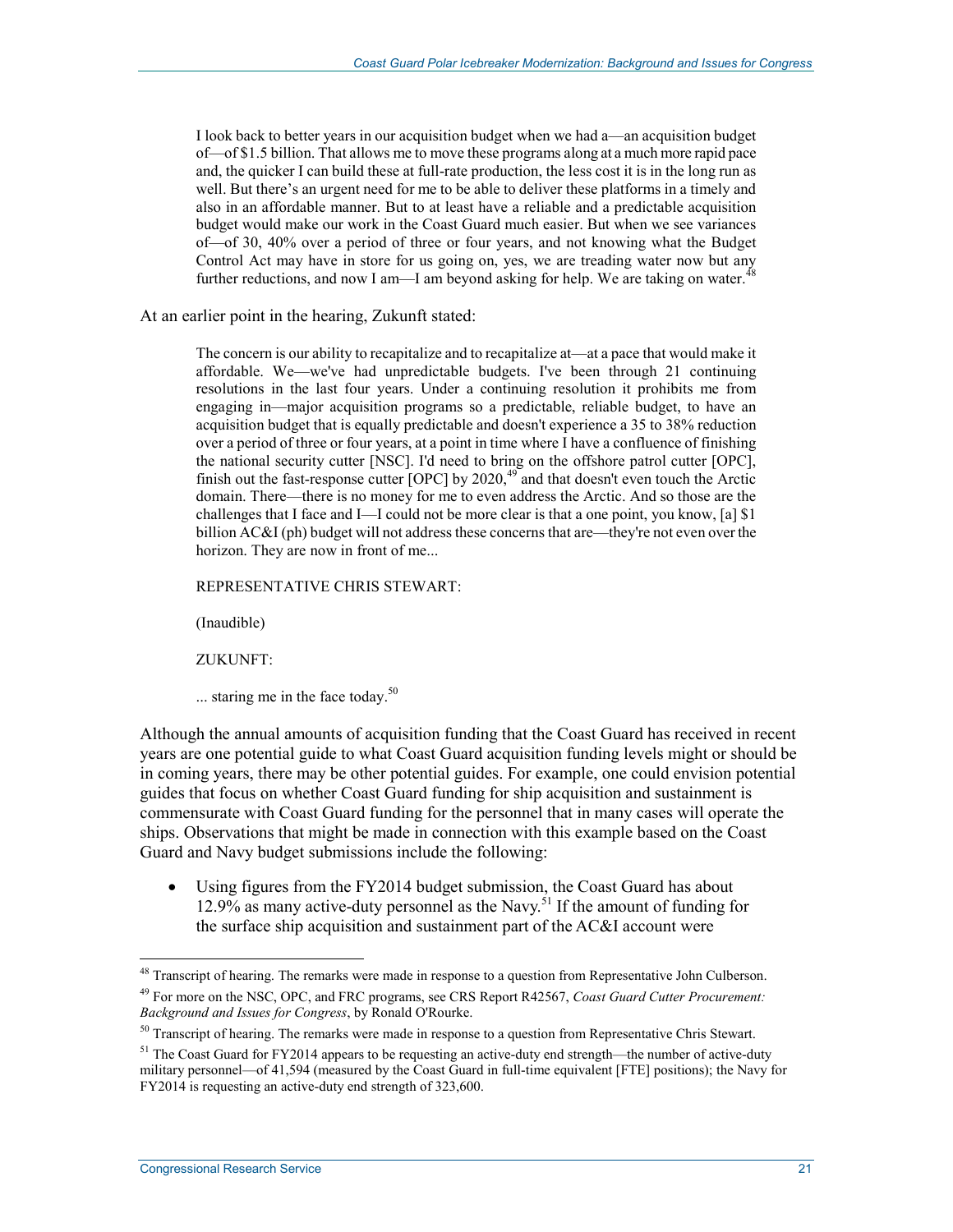I look back to better years in our acquisition budget when we had a—an acquisition budget of—of \$1.5 billion. That allows me to move these programs along at a much more rapid pace and, the quicker I can build these at full-rate production, the less cost it is in the long run as well. But there's an urgent need for me to be able to deliver these platforms in a timely and also in an affordable manner. But to at least have a reliable and a predictable acquisition budget would make our work in the Coast Guard much easier. But when we see variances of—of 30, 40% over a period of three or four years, and not knowing what the Budget Control Act may have in store for us going on, yes, we are treading water now but any further reductions, and now I am—I am beyond asking for help. We are taking on water.  $^{48}$ 

At an earlier point in the hearing, Zukunft stated:

The concern is our ability to recapitalize and to recapitalize at—at a pace that would make it affordable. We—we've had unpredictable budgets. I've been through 21 continuing resolutions in the last four years. Under a continuing resolution it prohibits me from engaging in—major acquisition programs so a predictable, reliable budget, to have an acquisition budget that is equally predictable and doesn't experience a 35 to 38% reduction over a period of three or four years, at a point in time where I have a confluence of finishing the national security cutter [NSC]. I'd need to bring on the offshore patrol cutter [OPC], finish out the fast-response cutter [OPC] by  $2020$ ,<sup>49</sup> and that doesn't even touch the Arctic domain. There—there is no money for me to even address the Arctic. And so those are the challenges that I face and I—I could not be more clear is that a one point, you know, [a] \$1 billion AC&I (ph) budget will not address these concerns that are—they're not even over the horizon. They are now in front of me...

REPRESENTATIVE CHRIS STEWART:

(Inaudible)

ZUKUNFT:

 $\ldots$  staring me in the face today.<sup>50</sup>

Although the annual amounts of acquisition funding that the Coast Guard has received in recent years are one potential guide to what Coast Guard acquisition funding levels might or should be in coming years, there may be other potential guides. For example, one could envision potential guides that focus on whether Coast Guard funding for ship acquisition and sustainment is commensurate with Coast Guard funding for the personnel that in many cases will operate the ships. Observations that might be made in connection with this example based on the Coast Guard and Navy budget submissions include the following:

• Using figures from the FY2014 budget submission, the Coast Guard has about 12.9% as many active-duty personnel as the Navy.<sup>51</sup> If the amount of funding for the surface ship acquisition and sustainment part of the AC&I account were

<sup>&</sup>lt;sup>48</sup> Transcript of hearing. The remarks were made in response to a question from Representative John Culberson. 49 For more on the NSC, OPC, and FRC programs, see CRS Report R42567, *Coast Guard Cutter Procurement: Background and Issues for Congress*, by Ronald O'Rourke.

 $50$  Transcript of hearing. The remarks were made in response to a question from Representative Chris Stewart.

<sup>&</sup>lt;sup>51</sup> The Coast Guard for FY2014 appears to be requesting an active-duty end strength—the number of active-duty military personnel—of 41,594 (measured by the Coast Guard in full-time equivalent [FTE] positions); the Navy for FY2014 is requesting an active-duty end strength of 323,600.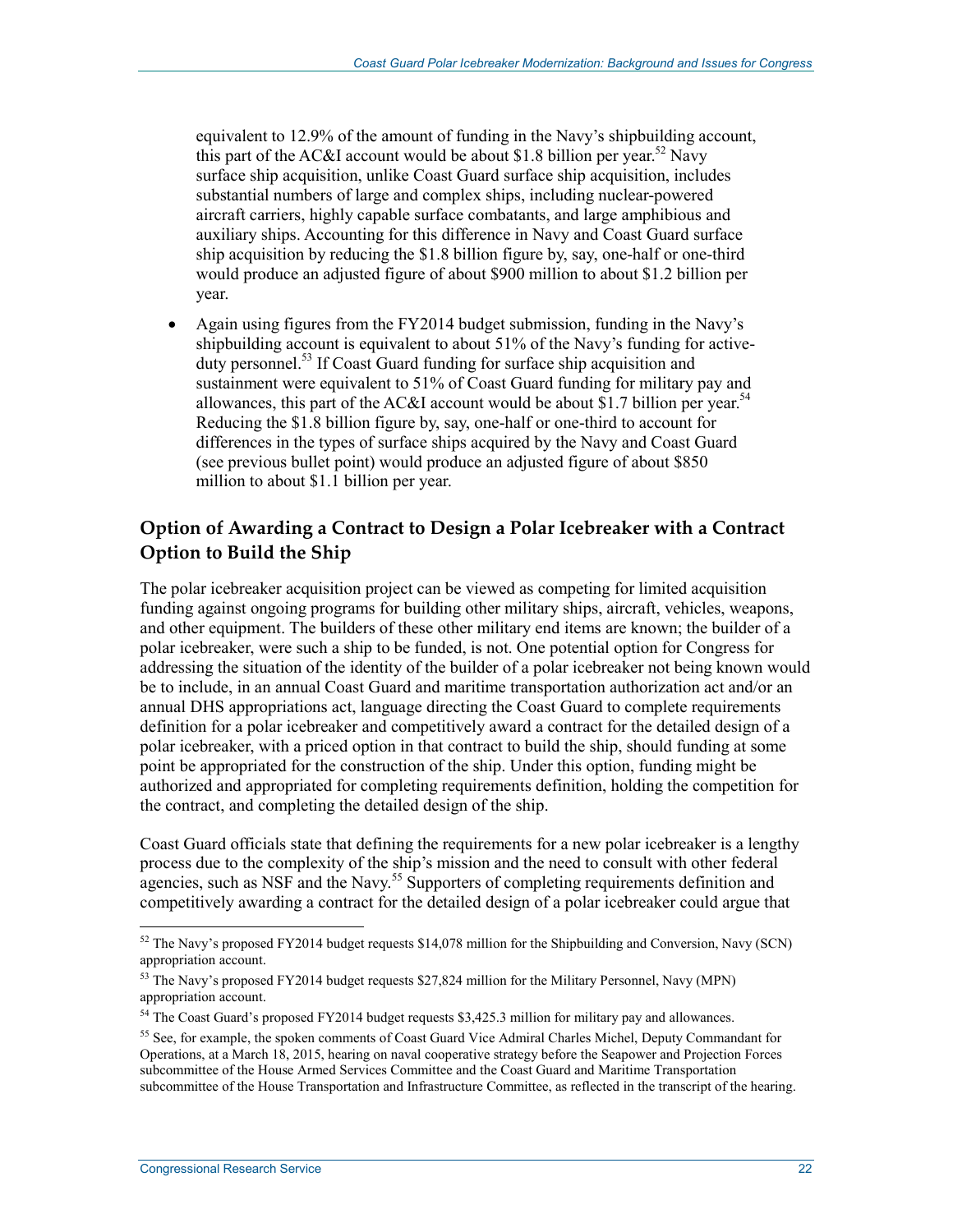equivalent to 12.9% of the amount of funding in the Navy's shipbuilding account, this part of the AC&I account would be about \$1.8 billion per year.<sup>52</sup> Navy surface ship acquisition, unlike Coast Guard surface ship acquisition, includes substantial numbers of large and complex ships, including nuclear-powered aircraft carriers, highly capable surface combatants, and large amphibious and auxiliary ships. Accounting for this difference in Navy and Coast Guard surface ship acquisition by reducing the \$1.8 billion figure by, say, one-half or one-third would produce an adjusted figure of about \$900 million to about \$1.2 billion per year.

• Again using figures from the FY2014 budget submission, funding in the Navy's shipbuilding account is equivalent to about 51% of the Navy's funding for activeduty personnel.<sup>53</sup> If Coast Guard funding for surface ship acquisition and sustainment were equivalent to 51% of Coast Guard funding for military pay and allowances, this part of the AC&I account would be about \$1.7 billion per year.<sup>54</sup> Reducing the \$1.8 billion figure by, say, one-half or one-third to account for differences in the types of surface ships acquired by the Navy and Coast Guard (see previous bullet point) would produce an adjusted figure of about \$850 million to about \$1.1 billion per year.

#### **Option of Awarding a Contract to Design a Polar Icebreaker with a Contract Option to Build the Ship**

The polar icebreaker acquisition project can be viewed as competing for limited acquisition funding against ongoing programs for building other military ships, aircraft, vehicles, weapons, and other equipment. The builders of these other military end items are known; the builder of a polar icebreaker, were such a ship to be funded, is not. One potential option for Congress for addressing the situation of the identity of the builder of a polar icebreaker not being known would be to include, in an annual Coast Guard and maritime transportation authorization act and/or an annual DHS appropriations act, language directing the Coast Guard to complete requirements definition for a polar icebreaker and competitively award a contract for the detailed design of a polar icebreaker, with a priced option in that contract to build the ship, should funding at some point be appropriated for the construction of the ship. Under this option, funding might be authorized and appropriated for completing requirements definition, holding the competition for the contract, and completing the detailed design of the ship.

Coast Guard officials state that defining the requirements for a new polar icebreaker is a lengthy process due to the complexity of the ship's mission and the need to consult with other federal agencies, such as NSF and the Navy.<sup>55</sup> Supporters of completing requirements definition and competitively awarding a contract for the detailed design of a polar icebreaker could argue that

 $52$  The Navy's proposed FY2014 budget requests \$14,078 million for the Shipbuilding and Conversion, Navy (SCN) appropriation account.

<sup>&</sup>lt;sup>53</sup> The Navy's proposed FY2014 budget requests \$27,824 million for the Military Personnel, Navy (MPN) appropriation account.

<sup>54</sup> The Coast Guard's proposed FY2014 budget requests \$3,425.3 million for military pay and allowances.

<sup>&</sup>lt;sup>55</sup> See, for example, the spoken comments of Coast Guard Vice Admiral Charles Michel, Deputy Commandant for Operations, at a March 18, 2015, hearing on naval cooperative strategy before the Seapower and Projection Forces subcommittee of the House Armed Services Committee and the Coast Guard and Maritime Transportation subcommittee of the House Transportation and Infrastructure Committee, as reflected in the transcript of the hearing.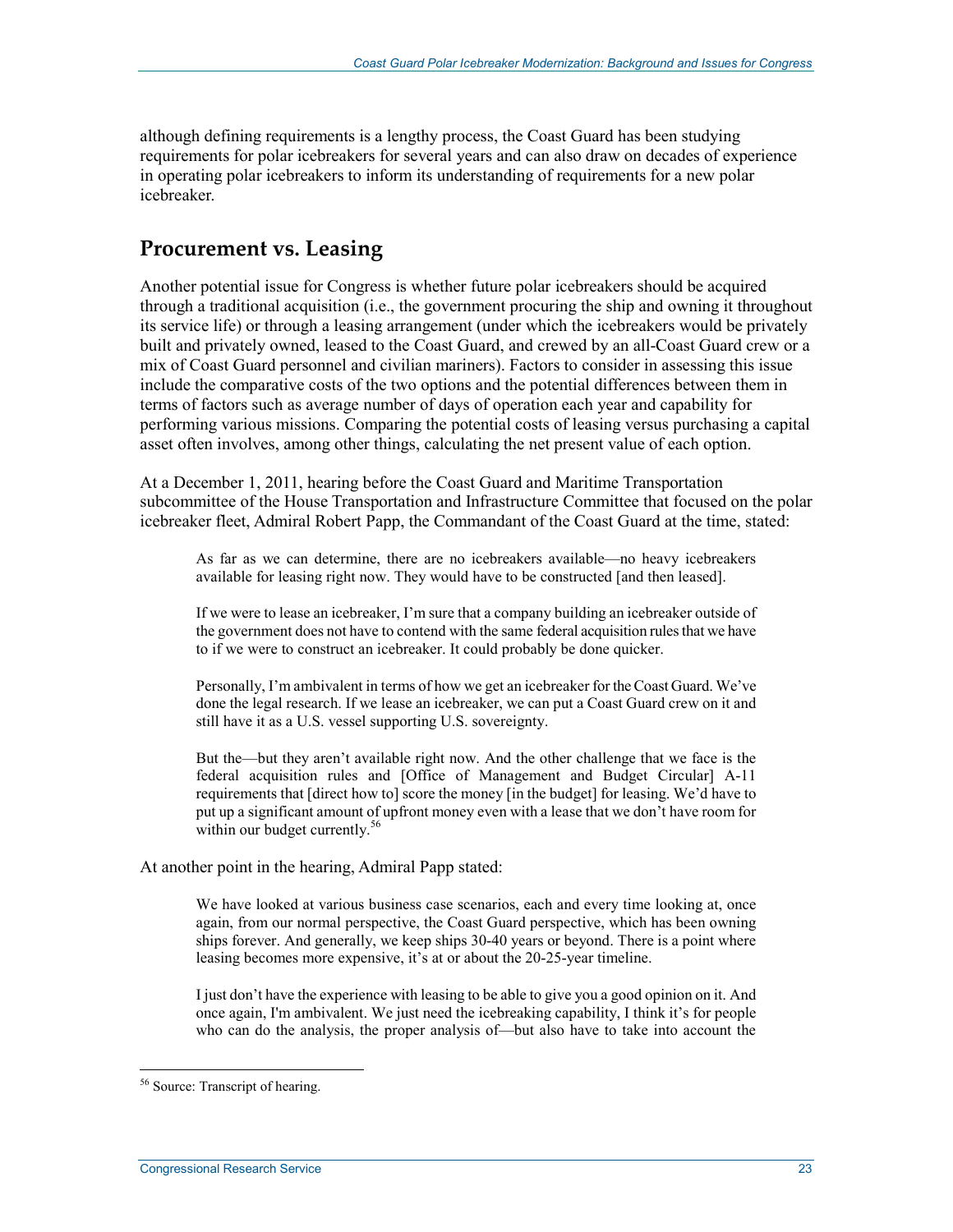although defining requirements is a lengthy process, the Coast Guard has been studying requirements for polar icebreakers for several years and can also draw on decades of experience in operating polar icebreakers to inform its understanding of requirements for a new polar icebreaker.

### **Procurement vs. Leasing**

Another potential issue for Congress is whether future polar icebreakers should be acquired through a traditional acquisition (i.e., the government procuring the ship and owning it throughout its service life) or through a leasing arrangement (under which the icebreakers would be privately built and privately owned, leased to the Coast Guard, and crewed by an all-Coast Guard crew or a mix of Coast Guard personnel and civilian mariners). Factors to consider in assessing this issue include the comparative costs of the two options and the potential differences between them in terms of factors such as average number of days of operation each year and capability for performing various missions. Comparing the potential costs of leasing versus purchasing a capital asset often involves, among other things, calculating the net present value of each option.

At a December 1, 2011, hearing before the Coast Guard and Maritime Transportation subcommittee of the House Transportation and Infrastructure Committee that focused on the polar icebreaker fleet, Admiral Robert Papp, the Commandant of the Coast Guard at the time, stated:

As far as we can determine, there are no icebreakers available—no heavy icebreakers available for leasing right now. They would have to be constructed [and then leased].

If we were to lease an icebreaker, I'm sure that a company building an icebreaker outside of the government does not have to contend with the same federal acquisition rules that we have to if we were to construct an icebreaker. It could probably be done quicker.

Personally, I'm ambivalent in terms of how we get an icebreaker for the Coast Guard. We've done the legal research. If we lease an icebreaker, we can put a Coast Guard crew on it and still have it as a U.S. vessel supporting U.S. sovereignty.

But the—but they aren't available right now. And the other challenge that we face is the federal acquisition rules and [Office of Management and Budget Circular] A-11 requirements that [direct how to] score the money [in the budget] for leasing. We'd have to put up a significant amount of upfront money even with a lease that we don't have room for within our budget currently.<sup>56</sup>

#### At another point in the hearing, Admiral Papp stated:

We have looked at various business case scenarios, each and every time looking at, once again, from our normal perspective, the Coast Guard perspective, which has been owning ships forever. And generally, we keep ships 30-40 years or beyond. There is a point where leasing becomes more expensive, it's at or about the 20-25-year timeline.

I just don't have the experience with leasing to be able to give you a good opinion on it. And once again, I'm ambivalent. We just need the icebreaking capability, I think it's for people who can do the analysis, the proper analysis of—but also have to take into account the

<u>.</u>

<sup>56</sup> Source: Transcript of hearing.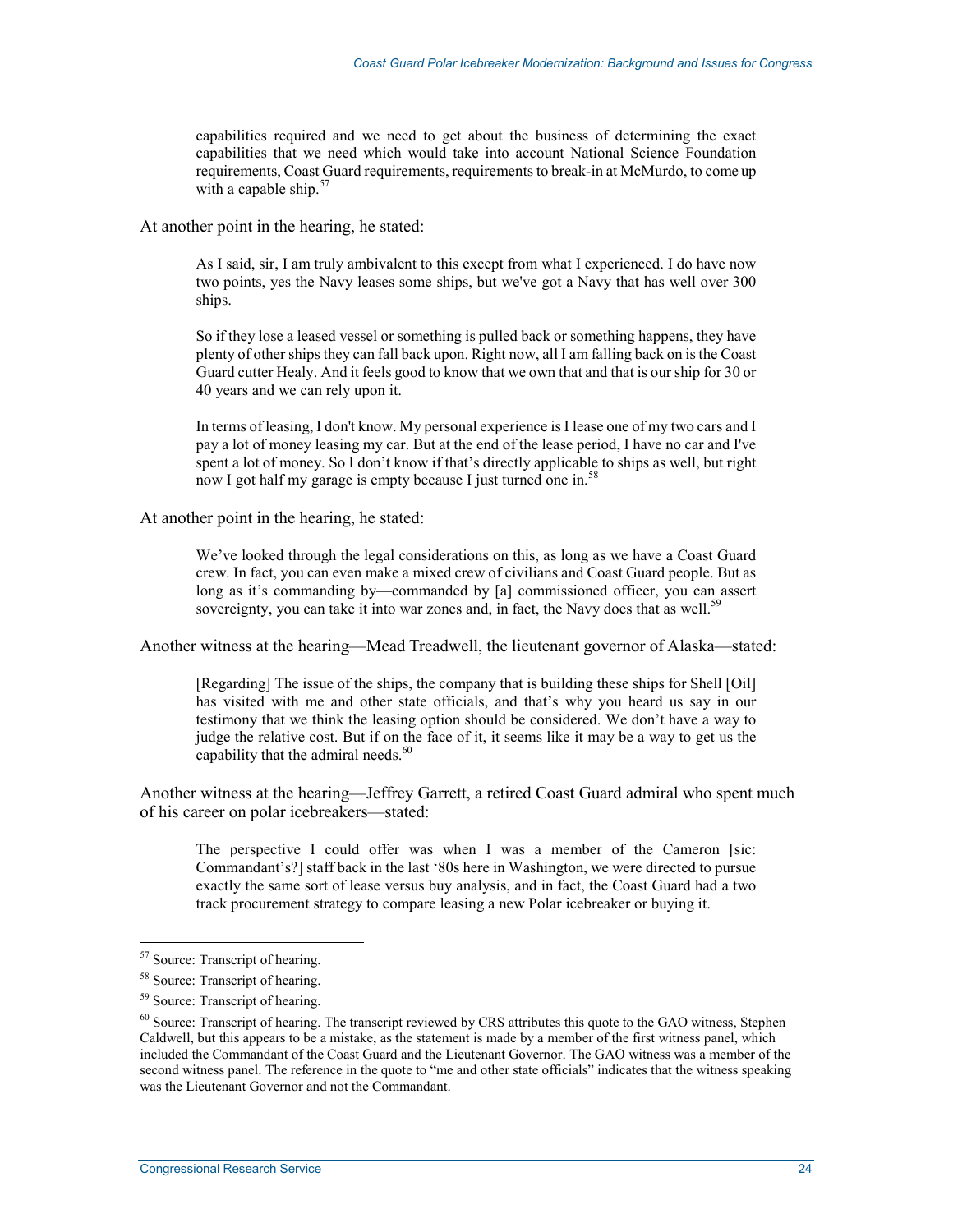capabilities required and we need to get about the business of determining the exact capabilities that we need which would take into account National Science Foundation requirements, Coast Guard requirements, requirements to break-in at McMurdo, to come up with a capable ship.<sup>57</sup>

At another point in the hearing, he stated:

As I said, sir, I am truly ambivalent to this except from what I experienced. I do have now two points, yes the Navy leases some ships, but we've got a Navy that has well over 300 ships.

So if they lose a leased vessel or something is pulled back or something happens, they have plenty of other ships they can fall back upon. Right now, all I am falling back on is the Coast Guard cutter Healy. And it feels good to know that we own that and that is our ship for 30 or 40 years and we can rely upon it.

In terms of leasing, I don't know. My personal experience is I lease one of my two cars and I pay a lot of money leasing my car. But at the end of the lease period, I have no car and I've spent a lot of money. So I don't know if that's directly applicable to ships as well, but right now I got half my garage is empty because I just turned one in.<sup>58</sup>

At another point in the hearing, he stated:

We've looked through the legal considerations on this, as long as we have a Coast Guard crew. In fact, you can even make a mixed crew of civilians and Coast Guard people. But as long as it's commanding by—commanded by [a] commissioned officer, you can assert sovereignty, you can take it into war zones and, in fact, the Navy does that as well.<sup>59</sup>

Another witness at the hearing—Mead Treadwell, the lieutenant governor of Alaska—stated:

[Regarding] The issue of the ships, the company that is building these ships for Shell [Oil] has visited with me and other state officials, and that's why you heard us say in our testimony that we think the leasing option should be considered. We don't have a way to judge the relative cost. But if on the face of it, it seems like it may be a way to get us the capability that the admiral needs.<sup>60</sup>

Another witness at the hearing—Jeffrey Garrett, a retired Coast Guard admiral who spent much of his career on polar icebreakers—stated:

The perspective I could offer was when I was a member of the Cameron [sic: Commandant's?] staff back in the last '80s here in Washington, we were directed to pursue exactly the same sort of lease versus buy analysis, and in fact, the Coast Guard had a two track procurement strategy to compare leasing a new Polar icebreaker or buying it.

<sup>57</sup> Source: Transcript of hearing.

<sup>58</sup> Source: Transcript of hearing.

<sup>59</sup> Source: Transcript of hearing.

 $60$  Source: Transcript of hearing. The transcript reviewed by CRS attributes this quote to the GAO witness, Stephen Caldwell, but this appears to be a mistake, as the statement is made by a member of the first witness panel, which included the Commandant of the Coast Guard and the Lieutenant Governor. The GAO witness was a member of the second witness panel. The reference in the quote to "me and other state officials" indicates that the witness speaking was the Lieutenant Governor and not the Commandant.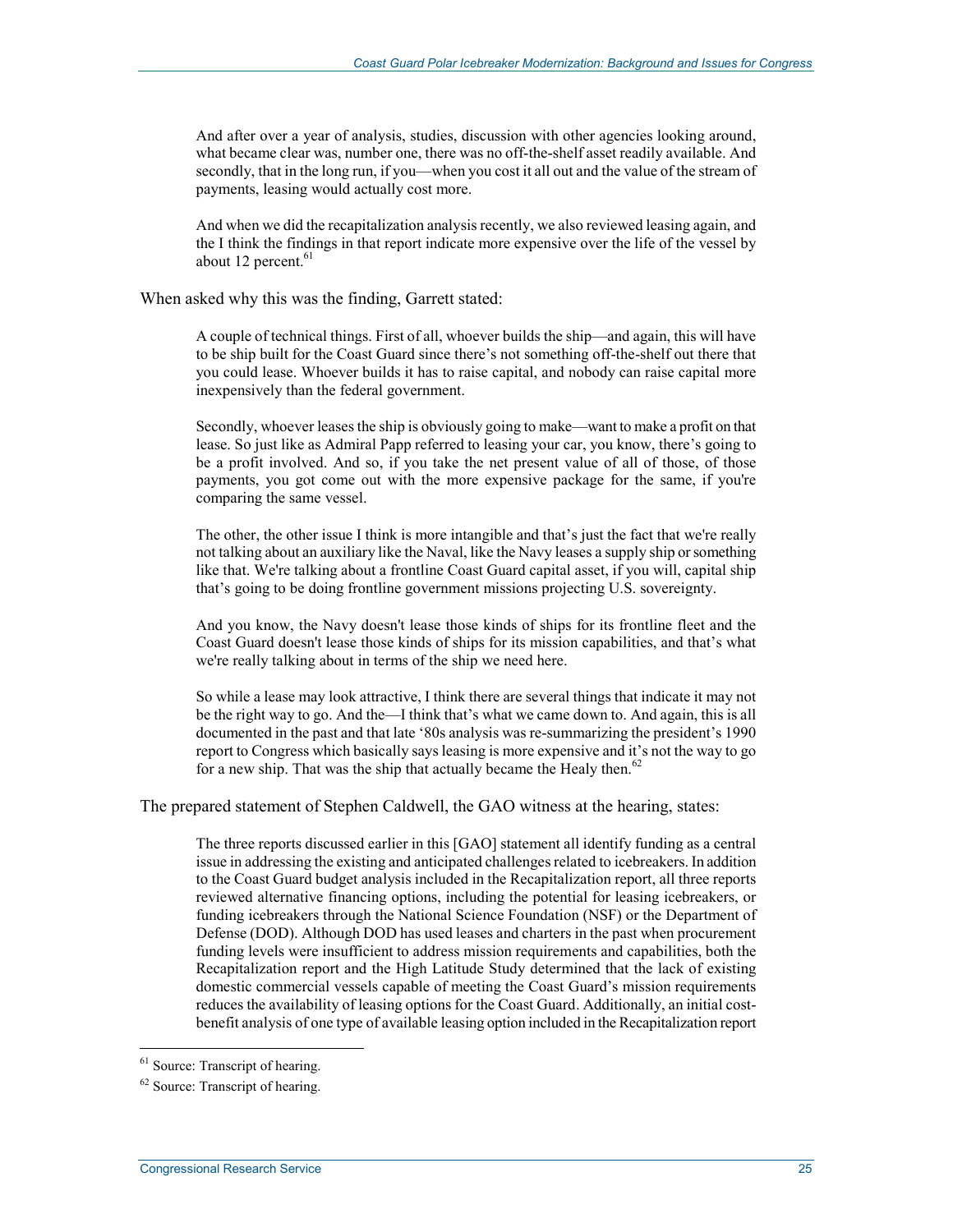And after over a year of analysis, studies, discussion with other agencies looking around, what became clear was, number one, there was no off-the-shelf asset readily available. And secondly, that in the long run, if you—when you cost it all out and the value of the stream of payments, leasing would actually cost more.

And when we did the recapitalization analysis recently, we also reviewed leasing again, and the I think the findings in that report indicate more expensive over the life of the vessel by about 12 percent.<sup>61</sup>

When asked why this was the finding, Garrett stated:

A couple of technical things. First of all, whoever builds the ship—and again, this will have to be ship built for the Coast Guard since there's not something off-the-shelf out there that you could lease. Whoever builds it has to raise capital, and nobody can raise capital more inexpensively than the federal government.

Secondly, whoever leases the ship is obviously going to make—want to make a profit on that lease. So just like as Admiral Papp referred to leasing your car, you know, there's going to be a profit involved. And so, if you take the net present value of all of those, of those payments, you got come out with the more expensive package for the same, if you're comparing the same vessel.

The other, the other issue I think is more intangible and that's just the fact that we're really not talking about an auxiliary like the Naval, like the Navy leases a supply ship or something like that. We're talking about a frontline Coast Guard capital asset, if you will, capital ship that's going to be doing frontline government missions projecting U.S. sovereignty.

And you know, the Navy doesn't lease those kinds of ships for its frontline fleet and the Coast Guard doesn't lease those kinds of ships for its mission capabilities, and that's what we're really talking about in terms of the ship we need here.

So while a lease may look attractive, I think there are several things that indicate it may not be the right way to go. And the—I think that's what we came down to. And again, this is all documented in the past and that late '80s analysis was re-summarizing the president's 1990 report to Congress which basically says leasing is more expensive and it's not the way to go for a new ship. That was the ship that actually became the Healy then.<sup>62</sup>

The prepared statement of Stephen Caldwell, the GAO witness at the hearing, states:

The three reports discussed earlier in this [GAO] statement all identify funding as a central issue in addressing the existing and anticipated challenges related to icebreakers. In addition to the Coast Guard budget analysis included in the Recapitalization report, all three reports reviewed alternative financing options, including the potential for leasing icebreakers, or funding icebreakers through the National Science Foundation (NSF) or the Department of Defense (DOD). Although DOD has used leases and charters in the past when procurement funding levels were insufficient to address mission requirements and capabilities, both the Recapitalization report and the High Latitude Study determined that the lack of existing domestic commercial vessels capable of meeting the Coast Guard's mission requirements reduces the availability of leasing options for the Coast Guard. Additionally, an initial costbenefit analysis of one type of available leasing option included in the Recapitalization report

 $61$  Source: Transcript of hearing.

<sup>&</sup>lt;sup>62</sup> Source: Transcript of hearing.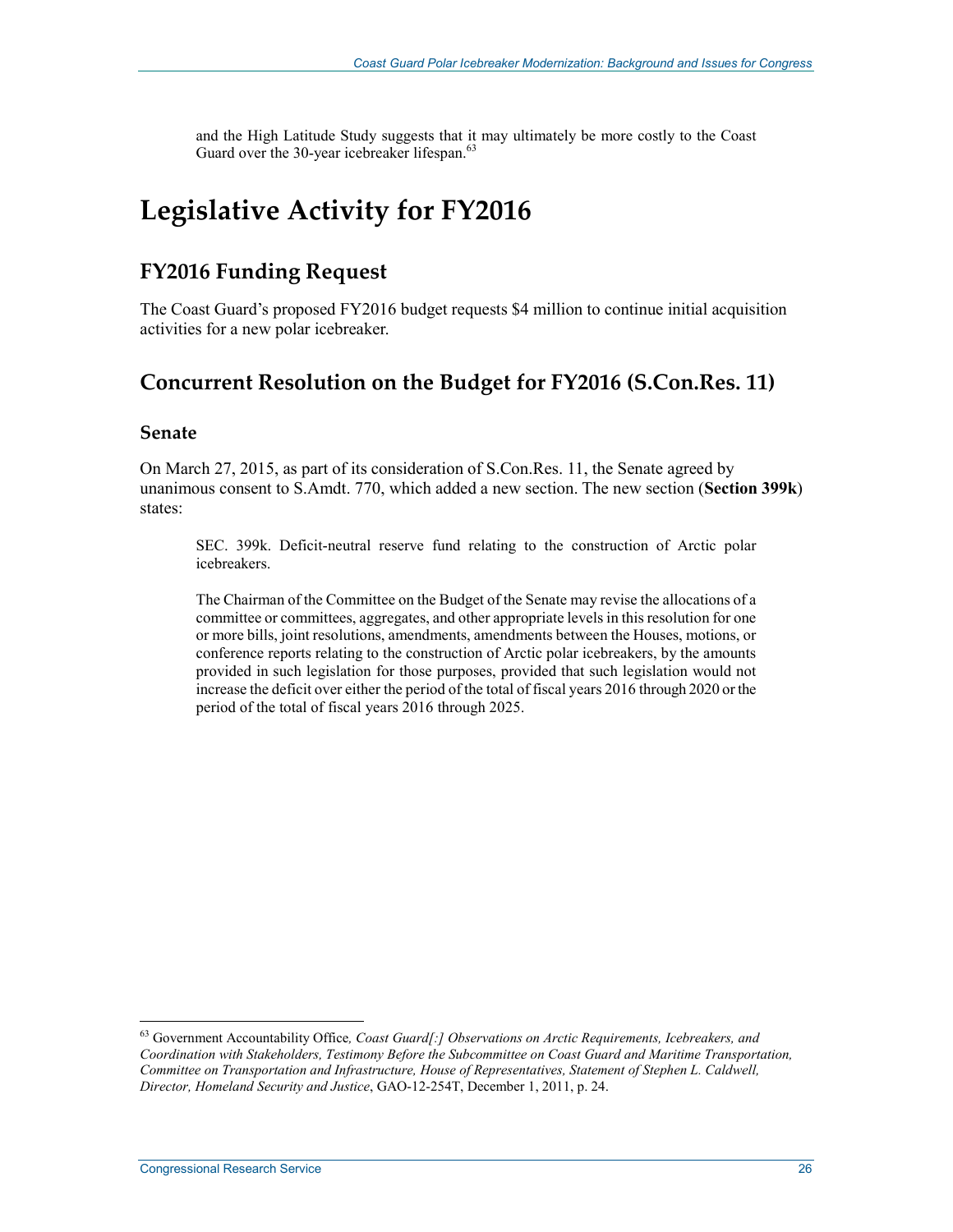and the High Latitude Study suggests that it may ultimately be more costly to the Coast Guard over the 30-year icebreaker lifespan.<sup>63</sup>

## **Legislative Activity for FY2016**

### **FY2016 Funding Request**

The Coast Guard's proposed FY2016 budget requests \$4 million to continue initial acquisition activities for a new polar icebreaker.

### **Concurrent Resolution on the Budget for FY2016 (S.Con.Res. 11)**

#### **Senate**

On March 27, 2015, as part of its consideration of S.Con.Res. 11, the Senate agreed by unanimous consent to S.Amdt. 770, which added a new section. The new section (**Section 399k**) states:

SEC. 399k. Deficit-neutral reserve fund relating to the construction of Arctic polar icebreakers.

The Chairman of the Committee on the Budget of the Senate may revise the allocations of a committee or committees, aggregates, and other appropriate levels in this resolution for one or more bills, joint resolutions, amendments, amendments between the Houses, motions, or conference reports relating to the construction of Arctic polar icebreakers, by the amounts provided in such legislation for those purposes, provided that such legislation would not increase the deficit over either the period of the total of fiscal years 2016 through 2020 or the period of the total of fiscal years 2016 through 2025.

<sup>63</sup> Government Accountability Office*, Coast Guard[:] Observations on Arctic Requirements, Icebreakers, and Coordination with Stakeholders, Testimony Before the Subcommittee on Coast Guard and Maritime Transportation, Committee on Transportation and Infrastructure, House of Representatives, Statement of Stephen L. Caldwell, Director, Homeland Security and Justice*, GAO-12-254T, December 1, 2011, p. 24.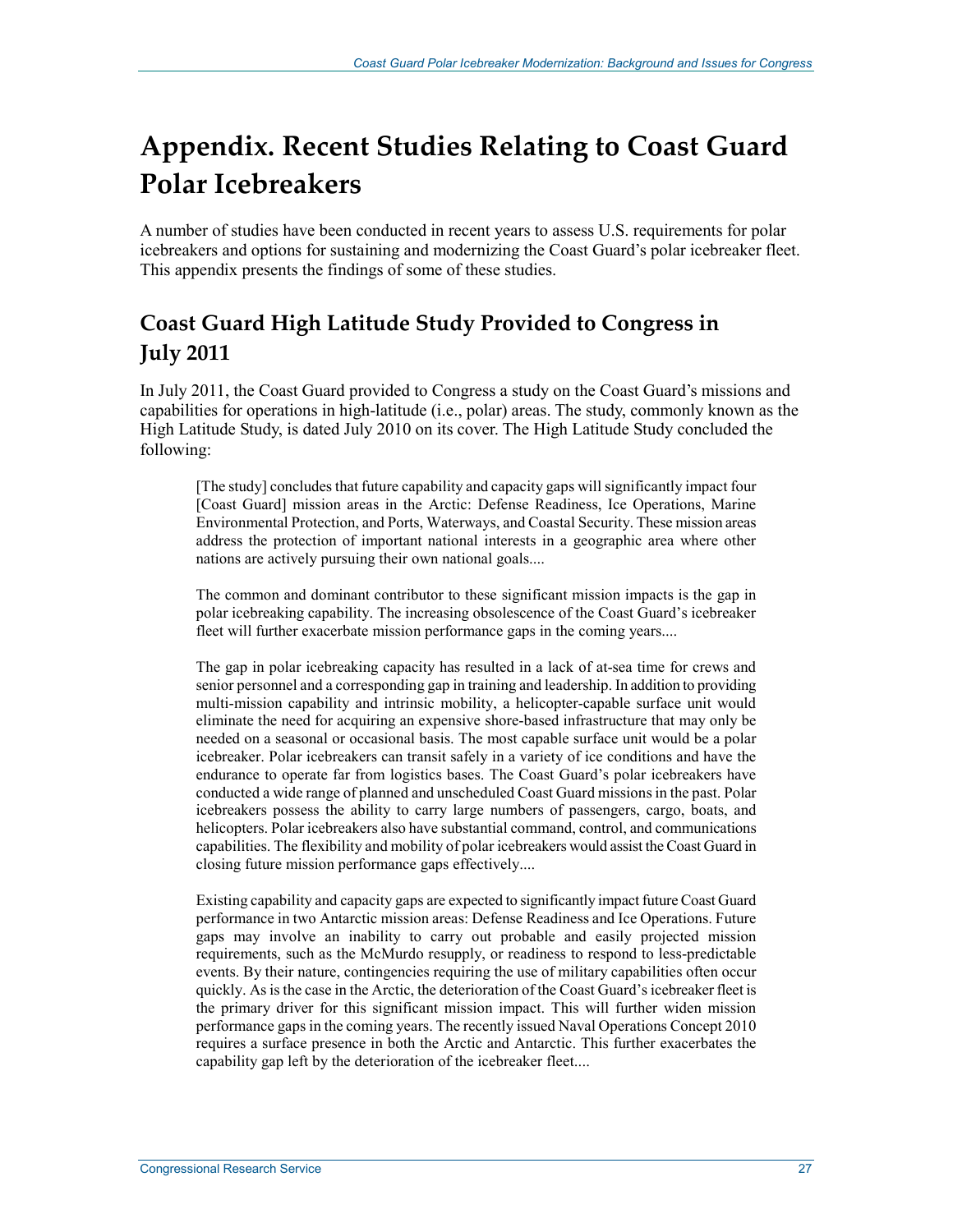## **Appendix. Recent Studies Relating to Coast Guard Polar Icebreakers**

A number of studies have been conducted in recent years to assess U.S. requirements for polar icebreakers and options for sustaining and modernizing the Coast Guard's polar icebreaker fleet. This appendix presents the findings of some of these studies.

## **Coast Guard High Latitude Study Provided to Congress in July 2011**

In July 2011, the Coast Guard provided to Congress a study on the Coast Guard's missions and capabilities for operations in high-latitude (i.e., polar) areas. The study, commonly known as the High Latitude Study, is dated July 2010 on its cover. The High Latitude Study concluded the following:

[The study] concludes that future capability and capacity gaps will significantly impact four [Coast Guard] mission areas in the Arctic: Defense Readiness, Ice Operations, Marine Environmental Protection, and Ports, Waterways, and Coastal Security. These mission areas address the protection of important national interests in a geographic area where other nations are actively pursuing their own national goals....

The common and dominant contributor to these significant mission impacts is the gap in polar icebreaking capability. The increasing obsolescence of the Coast Guard's icebreaker fleet will further exacerbate mission performance gaps in the coming years....

The gap in polar icebreaking capacity has resulted in a lack of at-sea time for crews and senior personnel and a corresponding gap in training and leadership. In addition to providing multi-mission capability and intrinsic mobility, a helicopter-capable surface unit would eliminate the need for acquiring an expensive shore-based infrastructure that may only be needed on a seasonal or occasional basis. The most capable surface unit would be a polar icebreaker. Polar icebreakers can transit safely in a variety of ice conditions and have the endurance to operate far from logistics bases. The Coast Guard's polar icebreakers have conducted a wide range of planned and unscheduled Coast Guard missions in the past. Polar icebreakers possess the ability to carry large numbers of passengers, cargo, boats, and helicopters. Polar icebreakers also have substantial command, control, and communications capabilities. The flexibility and mobility of polar icebreakers would assist the Coast Guard in closing future mission performance gaps effectively....

Existing capability and capacity gaps are expected to significantly impact future Coast Guard performance in two Antarctic mission areas: Defense Readiness and Ice Operations. Future gaps may involve an inability to carry out probable and easily projected mission requirements, such as the McMurdo resupply, or readiness to respond to less-predictable events. By their nature, contingencies requiring the use of military capabilities often occur quickly. As is the case in the Arctic, the deterioration of the Coast Guard's icebreaker fleet is the primary driver for this significant mission impact. This will further widen mission performance gaps in the coming years. The recently issued Naval Operations Concept 2010 requires a surface presence in both the Arctic and Antarctic. This further exacerbates the capability gap left by the deterioration of the icebreaker fleet....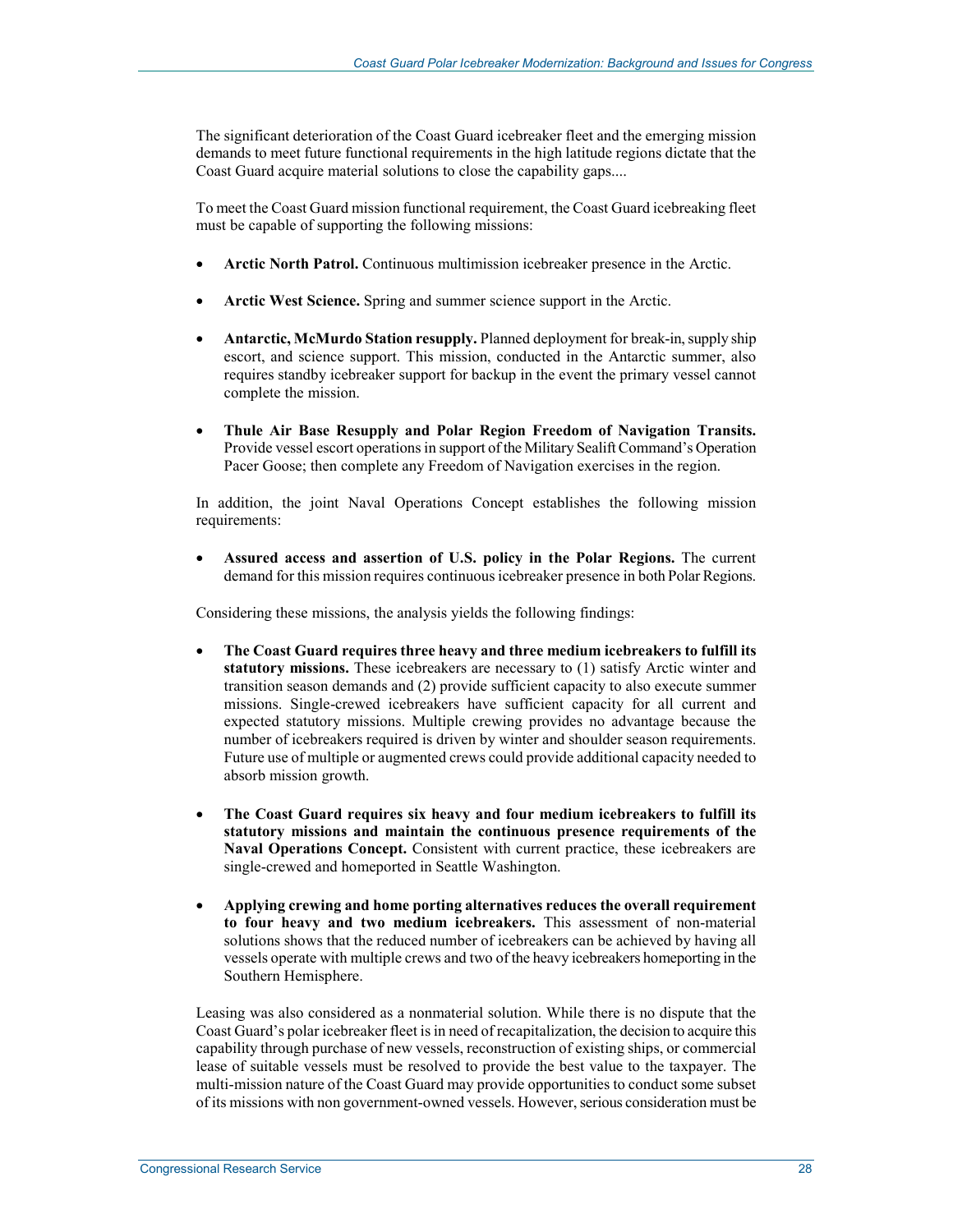The significant deterioration of the Coast Guard icebreaker fleet and the emerging mission demands to meet future functional requirements in the high latitude regions dictate that the Coast Guard acquire material solutions to close the capability gaps....

To meet the Coast Guard mission functional requirement, the Coast Guard icebreaking fleet must be capable of supporting the following missions:

- **Arctic North Patrol.** Continuous multimission icebreaker presence in the Arctic.
- **Arctic West Science.** Spring and summer science support in the Arctic.
- **Antarctic, McMurdo Station resupply.** Planned deployment for break-in, supply ship escort, and science support. This mission, conducted in the Antarctic summer, also requires standby icebreaker support for backup in the event the primary vessel cannot complete the mission.
- **Thule Air Base Resupply and Polar Region Freedom of Navigation Transits.**  Provide vessel escort operations in support of the Military Sealift Command's Operation Pacer Goose; then complete any Freedom of Navigation exercises in the region.

In addition, the joint Naval Operations Concept establishes the following mission requirements:

• **Assured access and assertion of U.S. policy in the Polar Regions.** The current demand for this mission requires continuous icebreaker presence in both Polar Regions.

Considering these missions, the analysis yields the following findings:

- **The Coast Guard requires three heavy and three medium icebreakers to fulfill its statutory missions.** These icebreakers are necessary to (1) satisfy Arctic winter and transition season demands and (2) provide sufficient capacity to also execute summer missions. Single-crewed icebreakers have sufficient capacity for all current and expected statutory missions. Multiple crewing provides no advantage because the number of icebreakers required is driven by winter and shoulder season requirements. Future use of multiple or augmented crews could provide additional capacity needed to absorb mission growth.
- **The Coast Guard requires six heavy and four medium icebreakers to fulfill its statutory missions and maintain the continuous presence requirements of the Naval Operations Concept.** Consistent with current practice, these icebreakers are single-crewed and homeported in Seattle Washington.
- **Applying crewing and home porting alternatives reduces the overall requirement to four heavy and two medium icebreakers.** This assessment of non-material solutions shows that the reduced number of icebreakers can be achieved by having all vessels operate with multiple crews and two of the heavy icebreakers homeporting in the Southern Hemisphere.

Leasing was also considered as a nonmaterial solution. While there is no dispute that the Coast Guard's polar icebreaker fleet is in need of recapitalization, the decision to acquire this capability through purchase of new vessels, reconstruction of existing ships, or commercial lease of suitable vessels must be resolved to provide the best value to the taxpayer. The multi-mission nature of the Coast Guard may provide opportunities to conduct some subset of its missions with non government-owned vessels. However, serious consideration must be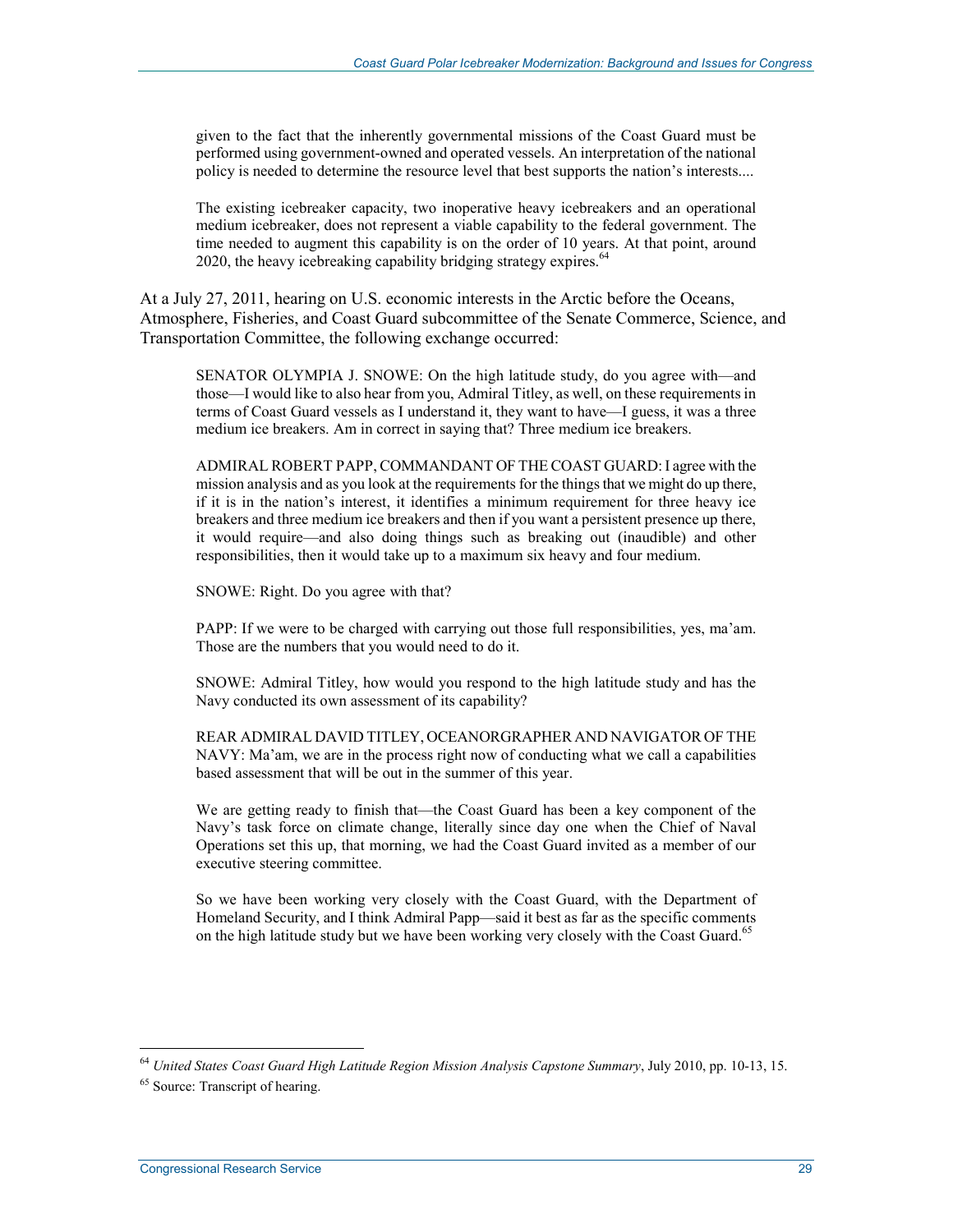given to the fact that the inherently governmental missions of the Coast Guard must be performed using government-owned and operated vessels. An interpretation of the national policy is needed to determine the resource level that best supports the nation's interests....

The existing icebreaker capacity, two inoperative heavy icebreakers and an operational medium icebreaker, does not represent a viable capability to the federal government. The time needed to augment this capability is on the order of 10 years. At that point, around 2020, the heavy icebreaking capability bridging strategy expires. $64$ 

At a July 27, 2011, hearing on U.S. economic interests in the Arctic before the Oceans, Atmosphere, Fisheries, and Coast Guard subcommittee of the Senate Commerce, Science, and Transportation Committee, the following exchange occurred:

SENATOR OLYMPIA J. SNOWE: On the high latitude study, do you agree with—and those—I would like to also hear from you, Admiral Titley, as well, on these requirements in terms of Coast Guard vessels as I understand it, they want to have—I guess, it was a three medium ice breakers. Am in correct in saying that? Three medium ice breakers.

ADMIRAL ROBERT PAPP, COMMANDANT OF THE COAST GUARD: I agree with the mission analysis and as you look at the requirements for the things that we might do up there, if it is in the nation's interest, it identifies a minimum requirement for three heavy ice breakers and three medium ice breakers and then if you want a persistent presence up there, it would require—and also doing things such as breaking out (inaudible) and other responsibilities, then it would take up to a maximum six heavy and four medium.

SNOWE: Right. Do you agree with that?

PAPP: If we were to be charged with carrying out those full responsibilities, yes, ma'am. Those are the numbers that you would need to do it.

SNOWE: Admiral Titley, how would you respond to the high latitude study and has the Navy conducted its own assessment of its capability?

REAR ADMIRAL DAVID TITLEY, OCEANORGRAPHER AND NAVIGATOR OF THE NAVY: Ma'am, we are in the process right now of conducting what we call a capabilities based assessment that will be out in the summer of this year.

We are getting ready to finish that—the Coast Guard has been a key component of the Navy's task force on climate change, literally since day one when the Chief of Naval Operations set this up, that morning, we had the Coast Guard invited as a member of our executive steering committee.

So we have been working very closely with the Coast Guard, with the Department of Homeland Security, and I think Admiral Papp—said it best as far as the specific comments on the high latitude study but we have been working very closely with the Coast Guard.<sup>65</sup>

<sup>64</sup> *United States Coast Guard High Latitude Region Mission Analysis Capstone Summary*, July 2010, pp. 10-13, 15.

<sup>65</sup> Source: Transcript of hearing.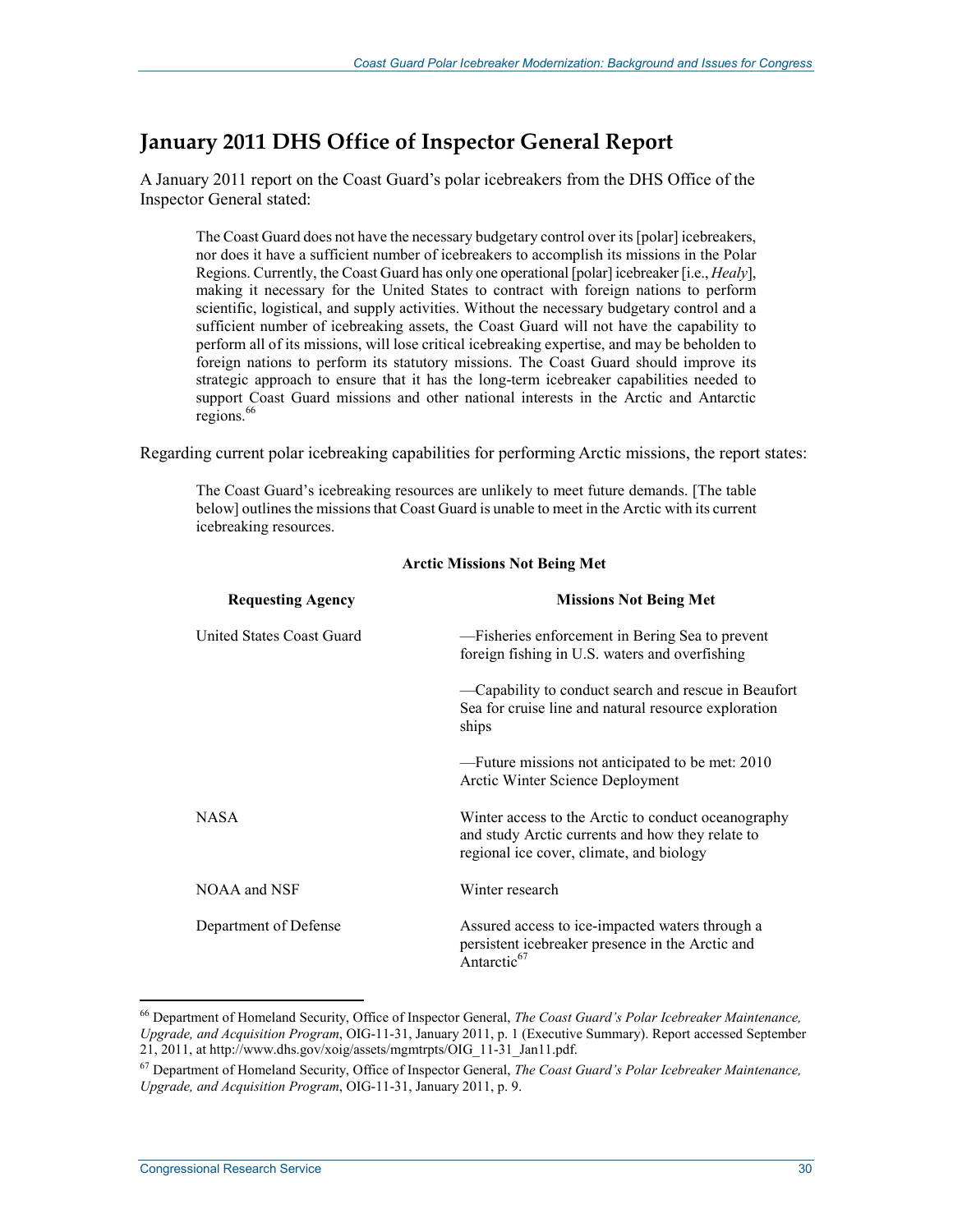### **January 2011 DHS Office of Inspector General Report**

A January 2011 report on the Coast Guard's polar icebreakers from the DHS Office of the Inspector General stated:

The Coast Guard does not have the necessary budgetary control over its [polar] icebreakers, nor does it have a sufficient number of icebreakers to accomplish its missions in the Polar Regions. Currently, the Coast Guard has only one operational [polar] icebreaker [i.e., *Healy*], making it necessary for the United States to contract with foreign nations to perform scientific, logistical, and supply activities. Without the necessary budgetary control and a sufficient number of icebreaking assets, the Coast Guard will not have the capability to perform all of its missions, will lose critical icebreaking expertise, and may be beholden to foreign nations to perform its statutory missions. The Coast Guard should improve its strategic approach to ensure that it has the long-term icebreaker capabilities needed to support Coast Guard missions and other national interests in the Arctic and Antarctic regions.<sup>66</sup>

Regarding current polar icebreaking capabilities for performing Arctic missions, the report states:

The Coast Guard's icebreaking resources are unlikely to meet future demands. [The table below] outlines the missions that Coast Guard is unable to meet in the Arctic with its current icebreaking resources.

| <b>Requesting Agency</b>  | <b>Missions Not Being Met</b>                                                                                                                       |
|---------------------------|-----------------------------------------------------------------------------------------------------------------------------------------------------|
| United States Coast Guard | -Fisheries enforcement in Bering Sea to prevent<br>foreign fishing in U.S. waters and overfishing                                                   |
|                           | — Capability to conduct search and rescue in Beaufort<br>Sea for cruise line and natural resource exploration<br>ships                              |
|                           | —Future missions not anticipated to be met: 2010<br>Arctic Winter Science Deployment                                                                |
| <b>NASA</b>               | Winter access to the Arctic to conduct oceanography<br>and study Arctic currents and how they relate to<br>regional ice cover, climate, and biology |
| NOAA and NSF              | Winter research                                                                                                                                     |
| Department of Defense     | Assured access to ice-impacted waters through a<br>persistent icebreaker presence in the Arctic and<br>Antarctic <sup>67</sup>                      |

#### **Arctic Missions Not Being Met**

<sup>66</sup> Department of Homeland Security, Office of Inspector General, *The Coast Guard's Polar Icebreaker Maintenance, Upgrade, and Acquisition Program*, OIG-11-31, January 2011, p. 1 (Executive Summary). Report accessed September 21, 2011, at http://www.dhs.gov/xoig/assets/mgmtrpts/OIG\_11-31\_Jan11.pdf.

<sup>67</sup> Department of Homeland Security, Office of Inspector General, *The Coast Guard's Polar Icebreaker Maintenance, Upgrade, and Acquisition Program*, OIG-11-31, January 2011, p. 9.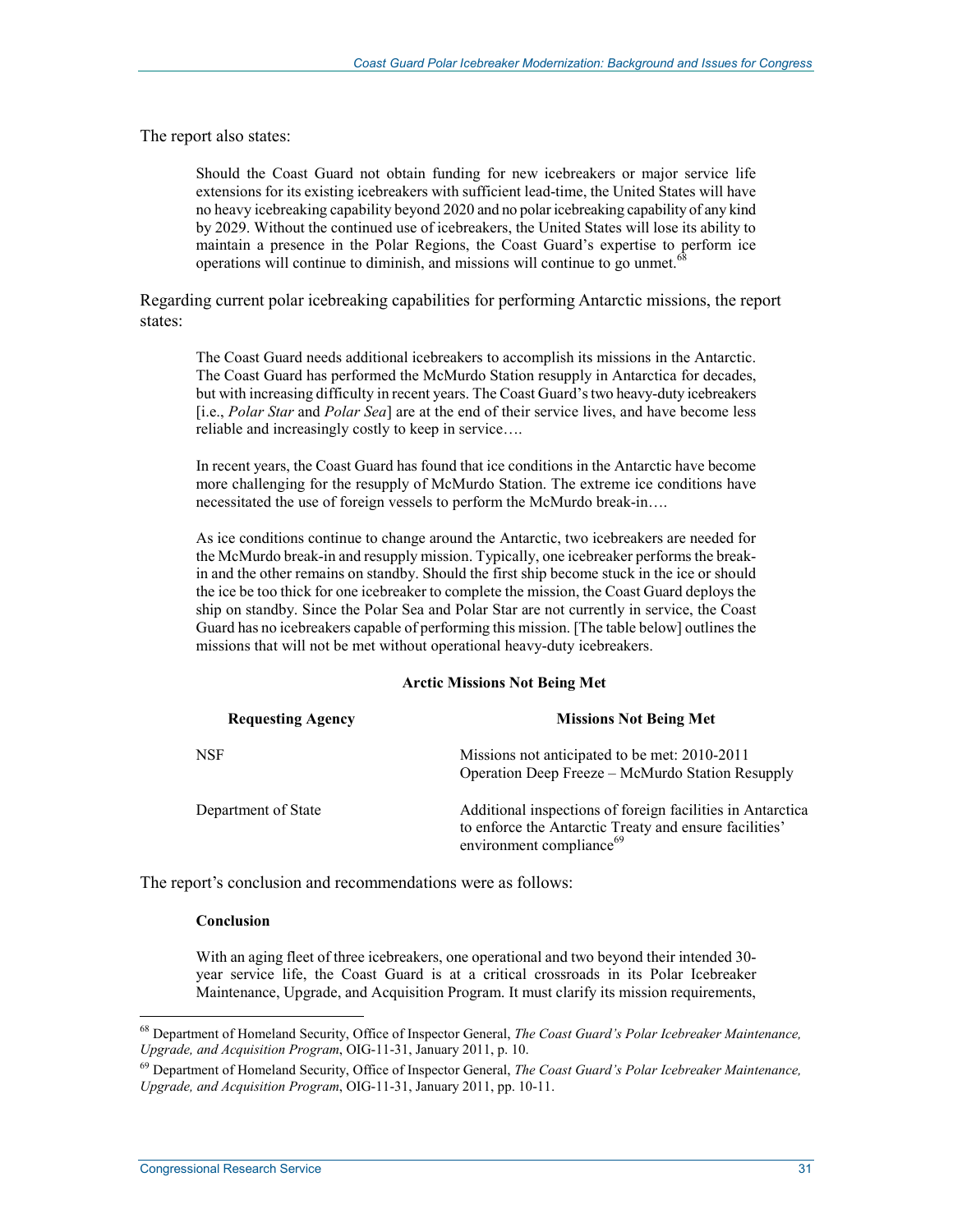The report also states:

Should the Coast Guard not obtain funding for new icebreakers or major service life extensions for its existing icebreakers with sufficient lead-time, the United States will have no heavy icebreaking capability beyond 2020 and no polar icebreaking capability of any kind by 2029. Without the continued use of icebreakers, the United States will lose its ability to maintain a presence in the Polar Regions, the Coast Guard's expertise to perform ice operations will continue to diminish, and missions will continue to go unmet.<sup>68</sup>

Regarding current polar icebreaking capabilities for performing Antarctic missions, the report states:

The Coast Guard needs additional icebreakers to accomplish its missions in the Antarctic. The Coast Guard has performed the McMurdo Station resupply in Antarctica for decades, but with increasing difficulty in recent years. The Coast Guard's two heavy-duty icebreakers [i.e., *Polar Star* and *Polar Sea*] are at the end of their service lives, and have become less reliable and increasingly costly to keep in service….

In recent years, the Coast Guard has found that ice conditions in the Antarctic have become more challenging for the resupply of McMurdo Station. The extreme ice conditions have necessitated the use of foreign vessels to perform the McMurdo break-in….

As ice conditions continue to change around the Antarctic, two icebreakers are needed for the McMurdo break-in and resupply mission. Typically, one icebreaker performs the breakin and the other remains on standby. Should the first ship become stuck in the ice or should the ice be too thick for one icebreaker to complete the mission, the Coast Guard deploys the ship on standby. Since the Polar Sea and Polar Star are not currently in service, the Coast Guard has no icebreakers capable of performing this mission. [The table below] outlines the missions that will not be met without operational heavy-duty icebreakers.

#### **Arctic Missions Not Being Met**

| <b>Requesting Agency</b> | <b>Missions Not Being Met</b>                                                                                                                                |
|--------------------------|--------------------------------------------------------------------------------------------------------------------------------------------------------------|
| <b>NSF</b>               | Missions not anticipated to be met: 2010-2011<br>Operation Deep Freeze – McMurdo Station Resupply                                                            |
| Department of State      | Additional inspections of foreign facilities in Antarctica<br>to enforce the Antarctic Treaty and ensure facilities'<br>environment compliance <sup>69</sup> |

The report's conclusion and recommendations were as follows:

#### **Conclusion**

1

With an aging fleet of three icebreakers, one operational and two beyond their intended 30 year service life, the Coast Guard is at a critical crossroads in its Polar Icebreaker Maintenance, Upgrade, and Acquisition Program. It must clarify its mission requirements,

<sup>68</sup> Department of Homeland Security, Office of Inspector General, *The Coast Guard's Polar Icebreaker Maintenance, Upgrade, and Acquisition Program*, OIG-11-31, January 2011, p. 10.

<sup>69</sup> Department of Homeland Security, Office of Inspector General, *The Coast Guard's Polar Icebreaker Maintenance, Upgrade, and Acquisition Program*, OIG-11-31, January 2011, pp. 10-11.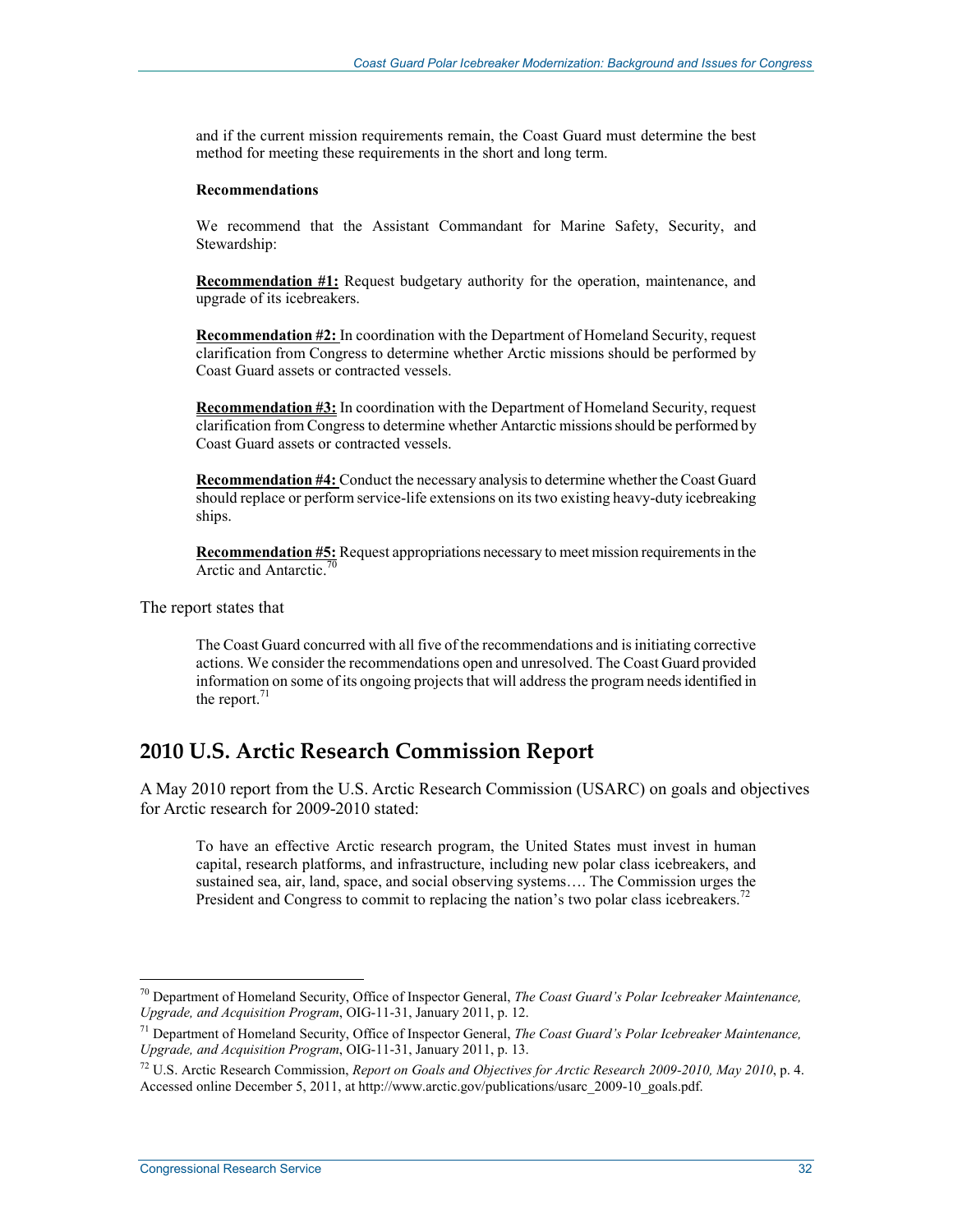and if the current mission requirements remain, the Coast Guard must determine the best method for meeting these requirements in the short and long term.

#### **Recommendations**

We recommend that the Assistant Commandant for Marine Safety, Security, and Stewardship:

**Recommendation #1:** Request budgetary authority for the operation, maintenance, and upgrade of its icebreakers.

**Recommendation #2:** In coordination with the Department of Homeland Security, request clarification from Congress to determine whether Arctic missions should be performed by Coast Guard assets or contracted vessels.

**Recommendation #3:** In coordination with the Department of Homeland Security, request clarification from Congress to determine whether Antarctic missions should be performed by Coast Guard assets or contracted vessels.

**Recommendation #4:** Conduct the necessary analysis to determine whether the Coast Guard should replace or perform service-life extensions on its two existing heavy-duty icebreaking ships.

**Recommendation #5:** Request appropriations necessary to meet mission requirements in the Arctic and Antarctic.

The report states that

The Coast Guard concurred with all five of the recommendations and is initiating corrective actions. We consider the recommendations open and unresolved. The Coast Guard provided information on some of its ongoing projects that will address the program needs identified in the report.<sup>71</sup>

#### **2010 U.S. Arctic Research Commission Report**

A May 2010 report from the U.S. Arctic Research Commission (USARC) on goals and objectives for Arctic research for 2009-2010 stated:

To have an effective Arctic research program, the United States must invest in human capital, research platforms, and infrastructure, including new polar class icebreakers, and sustained sea, air, land, space, and social observing systems…. The Commission urges the President and Congress to commit to replacing the nation's two polar class icebreakers.<sup>72</sup>

<sup>70</sup> Department of Homeland Security, Office of Inspector General, *The Coast Guard's Polar Icebreaker Maintenance, Upgrade, and Acquisition Program*, OIG-11-31, January 2011, p. 12.

<sup>71</sup> Department of Homeland Security, Office of Inspector General, *The Coast Guard's Polar Icebreaker Maintenance, Upgrade, and Acquisition Program*, OIG-11-31, January 2011, p. 13.

<sup>72</sup> U.S. Arctic Research Commission, *Report on Goals and Objectives for Arctic Research 2009-2010, May 2010*, p. 4. Accessed online December 5, 2011, at http://www.arctic.gov/publications/usarc\_2009-10\_goals.pdf.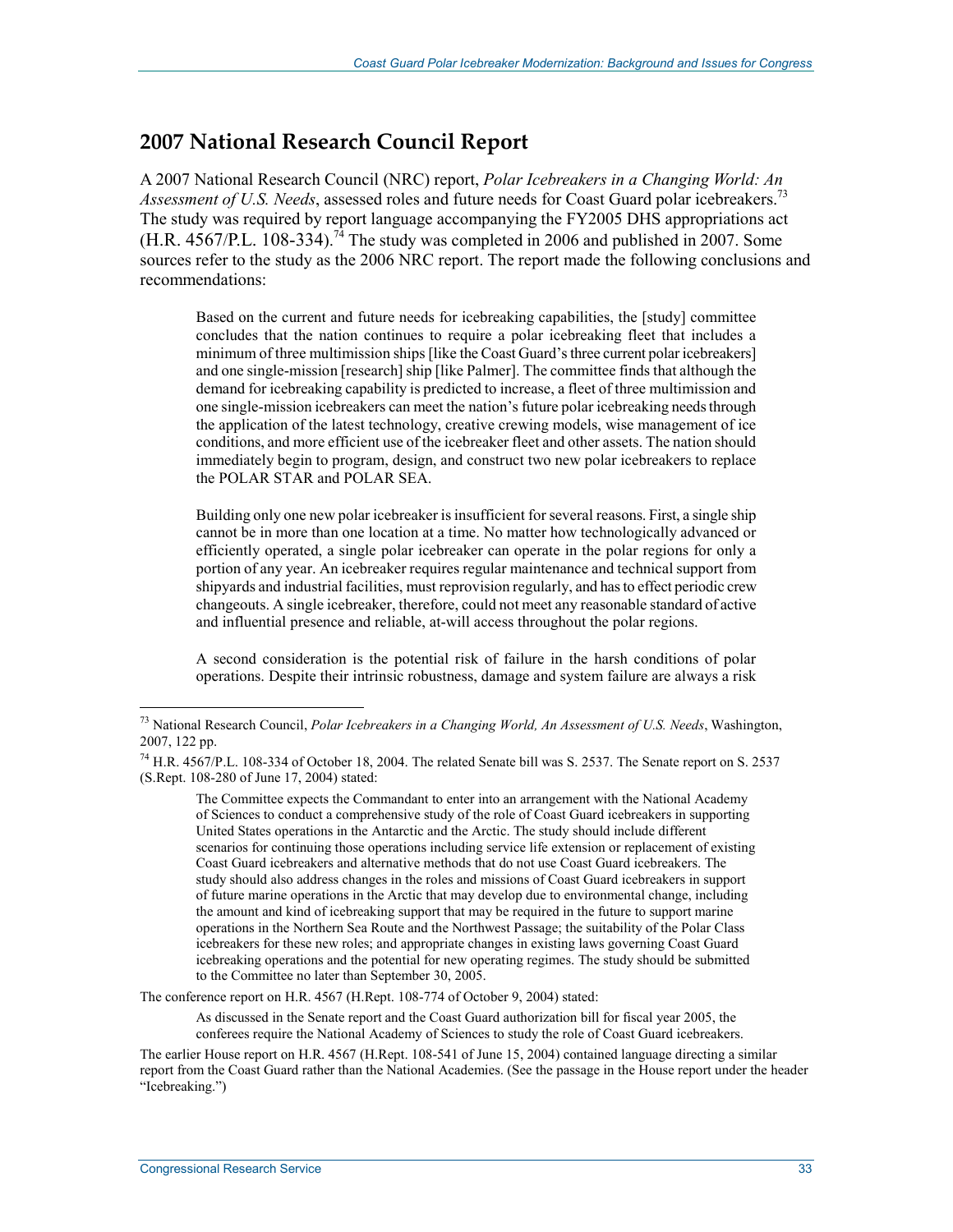### **2007 National Research Council Report**

A 2007 National Research Council (NRC) report, *Polar Icebreakers in a Changing World: An*  Assessment of U.S. Needs, assessed roles and future needs for Coast Guard polar icebreakers.<sup>73</sup> The study was required by report language accompanying the FY2005 DHS appropriations act  $(H.R. 4567/P.L. 108-334).$ <sup>74</sup> The study was completed in 2006 and published in 2007. Some sources refer to the study as the 2006 NRC report. The report made the following conclusions and recommendations:

Based on the current and future needs for icebreaking capabilities, the [study] committee concludes that the nation continues to require a polar icebreaking fleet that includes a minimum of three multimission ships [like the Coast Guard's three current polar icebreakers] and one single-mission [research] ship [like Palmer]. The committee finds that although the demand for icebreaking capability is predicted to increase, a fleet of three multimission and one single-mission icebreakers can meet the nation's future polar icebreaking needs through the application of the latest technology, creative crewing models, wise management of ice conditions, and more efficient use of the icebreaker fleet and other assets. The nation should immediately begin to program, design, and construct two new polar icebreakers to replace the POLAR STAR and POLAR SEA.

Building only one new polar icebreaker is insufficient for several reasons. First, a single ship cannot be in more than one location at a time. No matter how technologically advanced or efficiently operated, a single polar icebreaker can operate in the polar regions for only a portion of any year. An icebreaker requires regular maintenance and technical support from shipyards and industrial facilities, must reprovision regularly, and has to effect periodic crew changeouts. A single icebreaker, therefore, could not meet any reasonable standard of active and influential presence and reliable, at-will access throughout the polar regions.

A second consideration is the potential risk of failure in the harsh conditions of polar operations. Despite their intrinsic robustness, damage and system failure are always a risk

The conference report on H.R. 4567 (H.Rept. 108-774 of October 9, 2004) stated:

As discussed in the Senate report and the Coast Guard authorization bill for fiscal year 2005, the conferees require the National Academy of Sciences to study the role of Coast Guard icebreakers.

<sup>73</sup> National Research Council, *Polar Icebreakers in a Changing World, An Assessment of U.S. Needs*, Washington, 2007, 122 pp.

<sup>&</sup>lt;sup>74</sup> H.R. 4567/P.L. 108-334 of October 18, 2004. The related Senate bill was S. 2537. The Senate report on S. 2537 (S.Rept. 108-280 of June 17, 2004) stated:

The Committee expects the Commandant to enter into an arrangement with the National Academy of Sciences to conduct a comprehensive study of the role of Coast Guard icebreakers in supporting United States operations in the Antarctic and the Arctic. The study should include different scenarios for continuing those operations including service life extension or replacement of existing Coast Guard icebreakers and alternative methods that do not use Coast Guard icebreakers. The study should also address changes in the roles and missions of Coast Guard icebreakers in support of future marine operations in the Arctic that may develop due to environmental change, including the amount and kind of icebreaking support that may be required in the future to support marine operations in the Northern Sea Route and the Northwest Passage; the suitability of the Polar Class icebreakers for these new roles; and appropriate changes in existing laws governing Coast Guard icebreaking operations and the potential for new operating regimes. The study should be submitted to the Committee no later than September 30, 2005.

The earlier House report on H.R. 4567 (H.Rept. 108-541 of June 15, 2004) contained language directing a similar report from the Coast Guard rather than the National Academies. (See the passage in the House report under the header "Icebreaking.")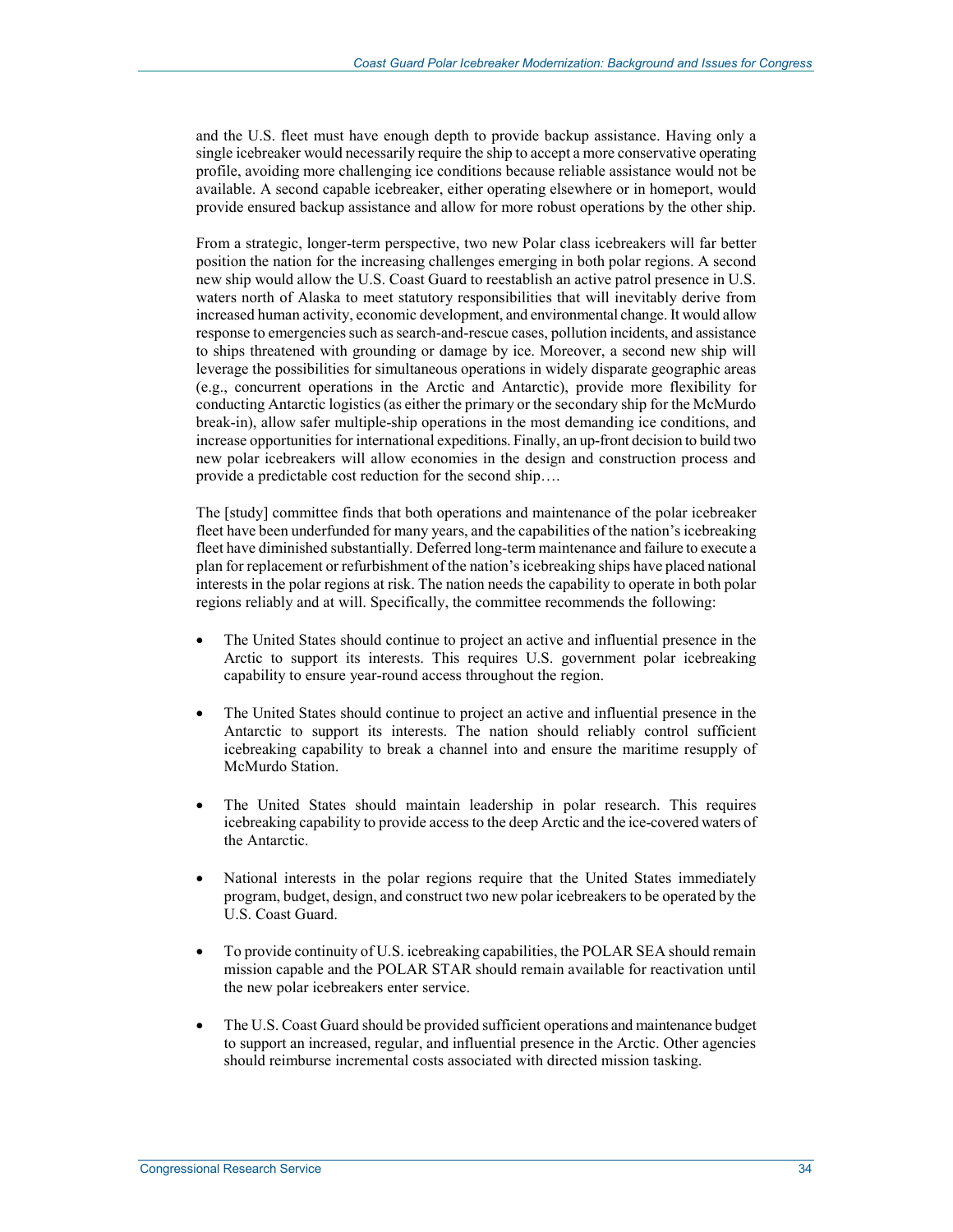and the U.S. fleet must have enough depth to provide backup assistance. Having only a single icebreaker would necessarily require the ship to accept a more conservative operating profile, avoiding more challenging ice conditions because reliable assistance would not be available. A second capable icebreaker, either operating elsewhere or in homeport, would provide ensured backup assistance and allow for more robust operations by the other ship.

From a strategic, longer-term perspective, two new Polar class icebreakers will far better position the nation for the increasing challenges emerging in both polar regions. A second new ship would allow the U.S. Coast Guard to reestablish an active patrol presence in U.S. waters north of Alaska to meet statutory responsibilities that will inevitably derive from increased human activity, economic development, and environmental change. It would allow response to emergencies such as search-and-rescue cases, pollution incidents, and assistance to ships threatened with grounding or damage by ice. Moreover, a second new ship will leverage the possibilities for simultaneous operations in widely disparate geographic areas (e.g., concurrent operations in the Arctic and Antarctic), provide more flexibility for conducting Antarctic logistics (as either the primary or the secondary ship for the McMurdo break-in), allow safer multiple-ship operations in the most demanding ice conditions, and increase opportunities for international expeditions. Finally, an up-front decision to build two new polar icebreakers will allow economies in the design and construction process and provide a predictable cost reduction for the second ship….

The [study] committee finds that both operations and maintenance of the polar icebreaker fleet have been underfunded for many years, and the capabilities of the nation's icebreaking fleet have diminished substantially. Deferred long-term maintenance and failure to execute a plan for replacement or refurbishment of the nation's icebreaking ships have placed national interests in the polar regions at risk. The nation needs the capability to operate in both polar regions reliably and at will. Specifically, the committee recommends the following:

- The United States should continue to project an active and influential presence in the Arctic to support its interests. This requires U.S. government polar icebreaking capability to ensure year-round access throughout the region.
- The United States should continue to project an active and influential presence in the Antarctic to support its interests. The nation should reliably control sufficient icebreaking capability to break a channel into and ensure the maritime resupply of McMurdo Station.
- The United States should maintain leadership in polar research. This requires icebreaking capability to provide access to the deep Arctic and the ice-covered waters of the Antarctic.
- National interests in the polar regions require that the United States immediately program, budget, design, and construct two new polar icebreakers to be operated by the U.S. Coast Guard.
- To provide continuity of U.S. icebreaking capabilities, the POLAR SEA should remain mission capable and the POLAR STAR should remain available for reactivation until the new polar icebreakers enter service.
- The U.S. Coast Guard should be provided sufficient operations and maintenance budget to support an increased, regular, and influential presence in the Arctic. Other agencies should reimburse incremental costs associated with directed mission tasking.